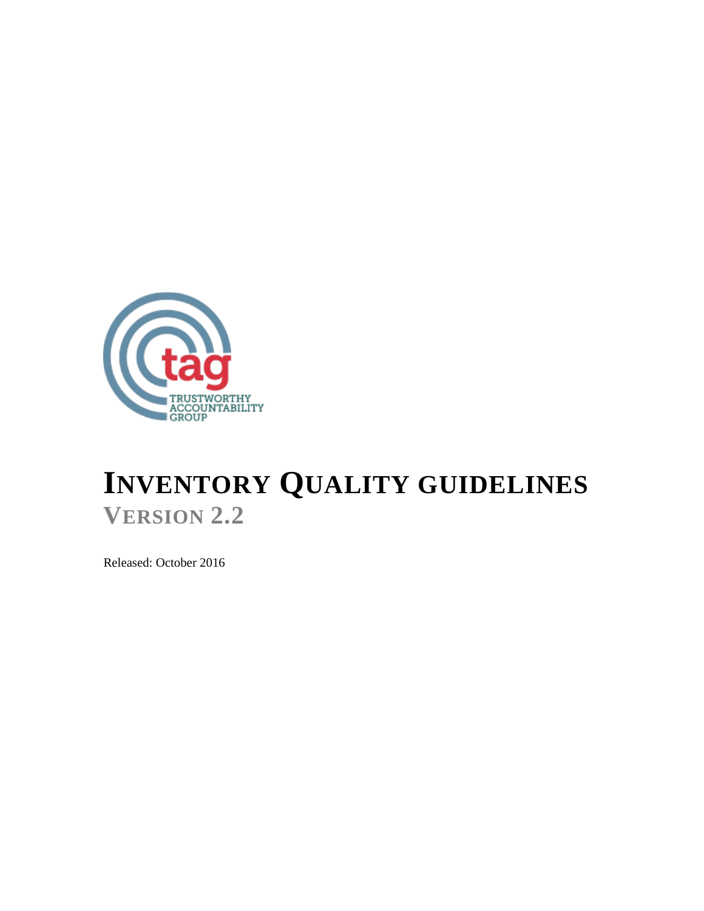

# **INVENTORY QUALITY GUIDELINES VERSION 2.2**

Released: October 2016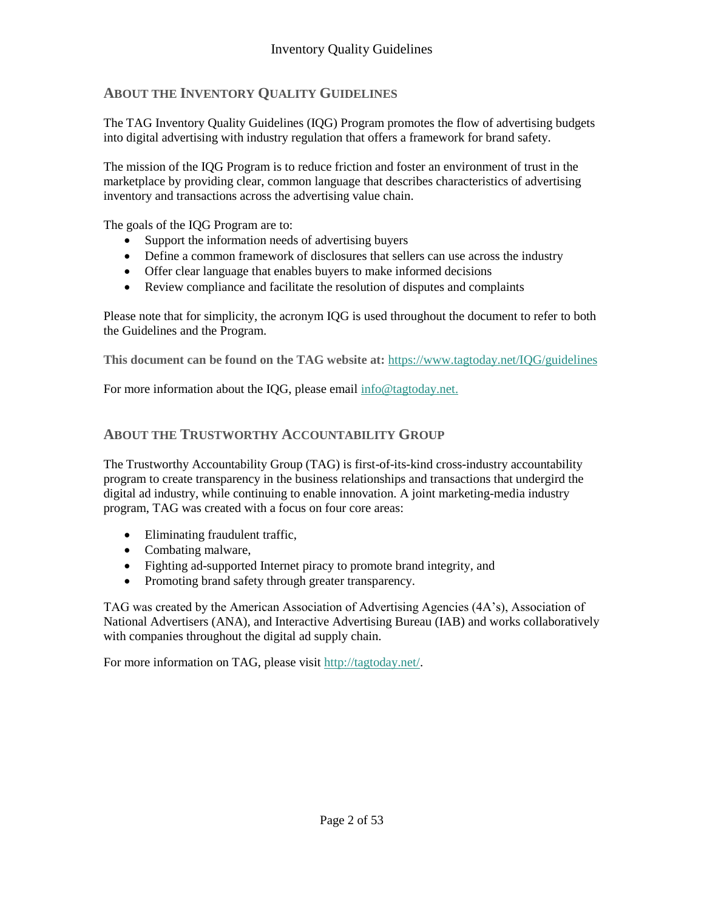#### **ABOUT THE INVENTORY QUALITY GUIDELINES**

The TAG Inventory Quality Guidelines (IQG) Program promotes the flow of advertising budgets into digital advertising with industry regulation that offers a framework for brand safety.

The mission of the IQG Program is to reduce friction and foster an environment of trust in the marketplace by providing clear, common language that describes characteristics of advertising inventory and transactions across the advertising value chain.

The goals of the IQG Program are to:

- Support the information needs of advertising buyers
- Define a common framework of disclosures that sellers can use across the industry
- Offer clear language that enables buyers to make informed decisions
- Review compliance and facilitate the resolution of disputes and complaints

Please note that for simplicity, the acronym IQG is used throughout the document to refer to both the Guidelines and the Program.

**This document can be found on the TAG website at:** <https://www.tagtoday.net/IQG/guidelines>

For more information about the IQG, please email [info@tagtoday.net.](mailto:info@tagtoday.net)

#### **ABOUT THE TRUSTWORTHY ACCOUNTABILITY GROUP**

The Trustworthy Accountability Group (TAG) is first-of-its-kind cross-industry accountability program to create transparency in the business relationships and transactions that undergird the digital ad industry, while continuing to enable innovation. A joint marketing-media industry program, TAG was created with a focus on four core areas:

- Eliminating fraudulent traffic,
- Combating malware,
- Fighting ad-supported Internet piracy to promote brand integrity, and
- Promoting brand safety through greater transparency.

TAG was created by the American Association of Advertising Agencies (4A's), Association of National Advertisers (ANA), and Interactive Advertising Bureau (IAB) and works collaboratively with companies throughout the digital ad supply chain.

For more information on TAG, please visit [http://tagtoday.net/.](http://tagtoday.net/)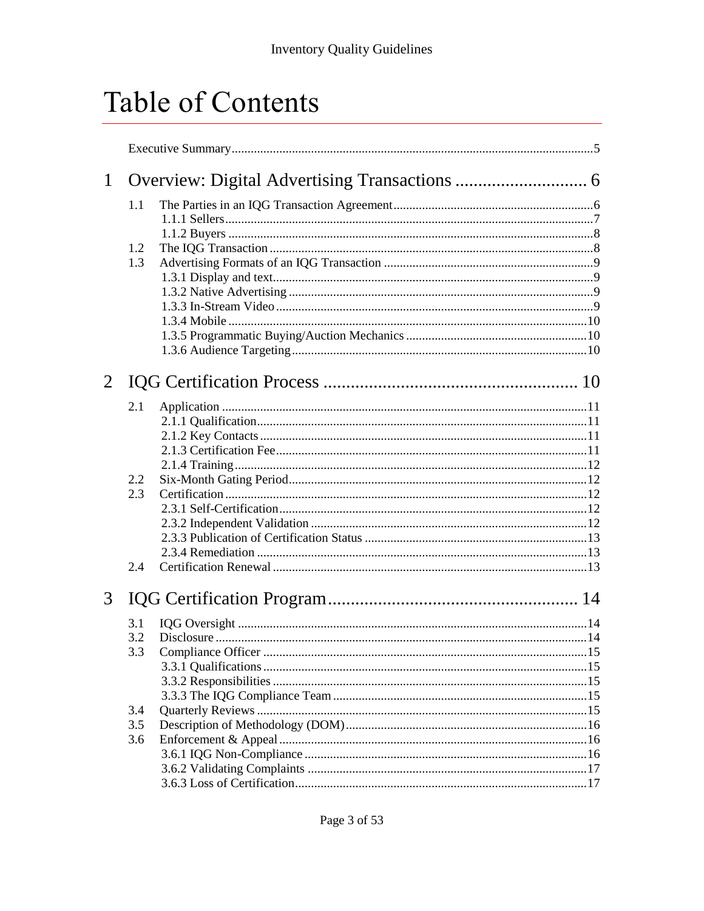# Table of Contents

| $\mathbf{1}$   |     |                    |  |
|----------------|-----|--------------------|--|
|                | 1.1 |                    |  |
|                |     |                    |  |
|                |     |                    |  |
|                | 1.2 |                    |  |
|                | 1.3 |                    |  |
|                |     |                    |  |
|                |     |                    |  |
|                |     |                    |  |
|                |     |                    |  |
|                |     |                    |  |
|                |     |                    |  |
| $\overline{2}$ |     |                    |  |
|                | 2.1 |                    |  |
|                |     |                    |  |
|                |     |                    |  |
|                |     |                    |  |
|                |     |                    |  |
|                | 2.2 |                    |  |
|                | 2.3 |                    |  |
|                |     |                    |  |
|                |     |                    |  |
|                |     |                    |  |
|                |     |                    |  |
|                | 2.4 |                    |  |
| 3              |     |                    |  |
|                |     |                    |  |
|                | 3.1 |                    |  |
|                | 3.2 |                    |  |
|                | 3.3 | Compliance Officer |  |
|                |     |                    |  |
|                |     |                    |  |
|                |     |                    |  |
|                | 3.4 |                    |  |
|                | 3.5 |                    |  |
|                | 3.6 |                    |  |
|                |     |                    |  |
|                |     |                    |  |
|                |     |                    |  |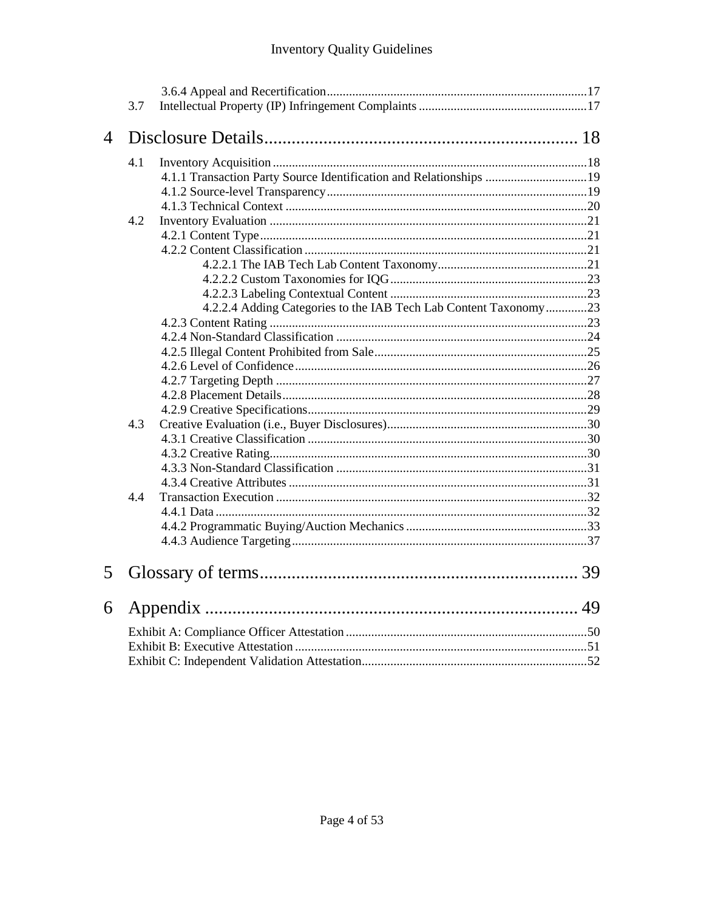## **Inventory Quality Guidelines**

|                | 3.7 |                                                                    |  |
|----------------|-----|--------------------------------------------------------------------|--|
| $\overline{4}$ |     |                                                                    |  |
|                | 4.1 |                                                                    |  |
|                |     | 4.1.1 Transaction Party Source Identification and Relationships 19 |  |
|                |     |                                                                    |  |
|                |     |                                                                    |  |
|                | 4.2 |                                                                    |  |
|                |     |                                                                    |  |
|                |     |                                                                    |  |
|                |     |                                                                    |  |
|                |     |                                                                    |  |
|                |     |                                                                    |  |
|                |     | 4.2.2.4 Adding Categories to the IAB Tech Lab Content Taxonomy23   |  |
|                |     |                                                                    |  |
|                |     |                                                                    |  |
|                |     |                                                                    |  |
|                |     |                                                                    |  |
|                |     |                                                                    |  |
|                |     |                                                                    |  |
|                |     |                                                                    |  |
|                | 4.3 |                                                                    |  |
|                |     |                                                                    |  |
|                |     |                                                                    |  |
|                |     |                                                                    |  |
|                |     |                                                                    |  |
|                | 4.4 |                                                                    |  |
|                |     |                                                                    |  |
|                |     |                                                                    |  |
|                |     |                                                                    |  |
| 5              |     |                                                                    |  |
| 6              |     |                                                                    |  |
|                |     |                                                                    |  |
|                |     |                                                                    |  |
|                |     |                                                                    |  |
|                |     |                                                                    |  |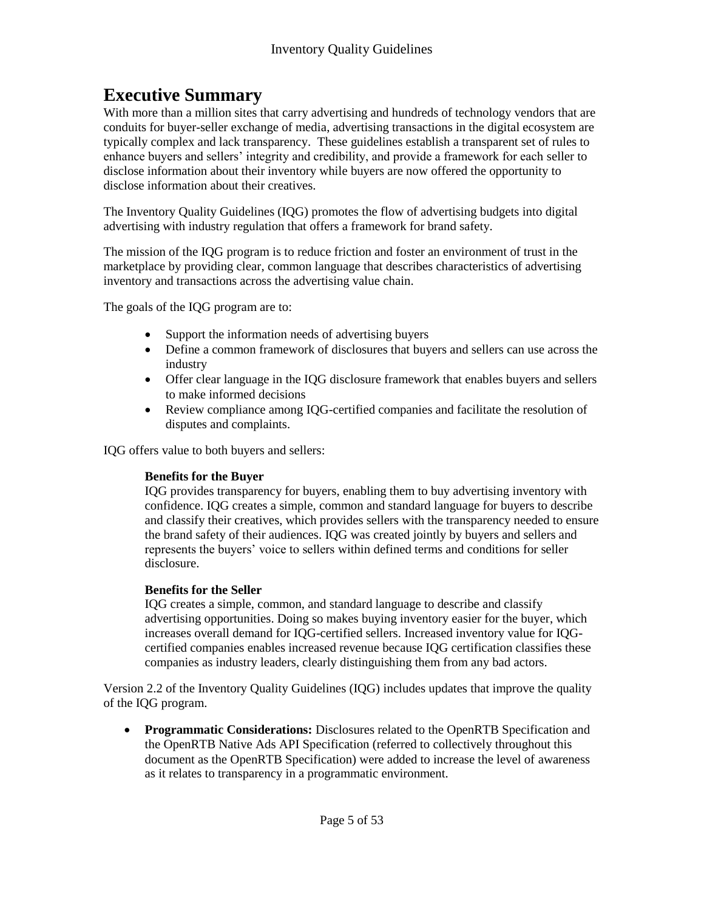## **Executive Summary**

With more than a million sites that carry advertising and hundreds of technology vendors that are conduits for buyer-seller exchange of media, advertising transactions in the digital ecosystem are typically complex and lack transparency. These guidelines establish a transparent set of rules to enhance buyers and sellers' integrity and credibility, and provide a framework for each seller to disclose information about their inventory while buyers are now offered the opportunity to disclose information about their creatives.

The Inventory Quality Guidelines (IQG) promotes the flow of advertising budgets into digital advertising with industry regulation that offers a framework for brand safety.

The mission of the IQG program is to reduce friction and foster an environment of trust in the marketplace by providing clear, common language that describes characteristics of advertising inventory and transactions across the advertising value chain.

The goals of the IQG program are to:

- Support the information needs of advertising buyers
- Define a common framework of disclosures that buyers and sellers can use across the industry
- Offer clear language in the IQG disclosure framework that enables buyers and sellers to make informed decisions
- Review compliance among IQG-certified companies and facilitate the resolution of disputes and complaints.

IQG offers value to both buyers and sellers:

#### **Benefits for the Buyer**

IQG provides transparency for buyers, enabling them to buy advertising inventory with confidence. IQG creates a simple, common and standard language for buyers to describe and classify their creatives, which provides sellers with the transparency needed to ensure the brand safety of their audiences. IQG was created jointly by buyers and sellers and represents the buyers' voice to sellers within defined terms and conditions for seller disclosure.

#### **Benefits for the Seller**

IQG creates a simple, common, and standard language to describe and classify advertising opportunities. Doing so makes buying inventory easier for the buyer, which increases overall demand for IQG-certified sellers. Increased inventory value for IQGcertified companies enables increased revenue because IQG certification classifies these companies as industry leaders, clearly distinguishing them from any bad actors.

Version 2.2 of the Inventory Quality Guidelines (IQG) includes updates that improve the quality of the IQG program.

 **Programmatic Considerations:** Disclosures related to the OpenRTB Specification and the OpenRTB Native Ads API Specification (referred to collectively throughout this document as the OpenRTB Specification) were added to increase the level of awareness as it relates to transparency in a programmatic environment.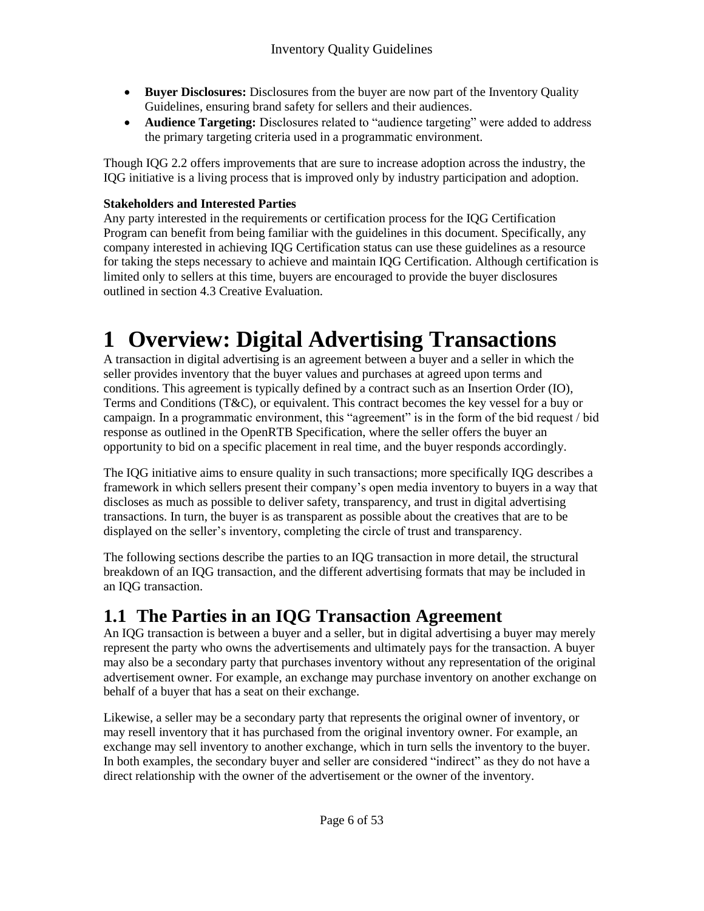- **Buyer Disclosures:** Disclosures from the buyer are now part of the Inventory Quality Guidelines, ensuring brand safety for sellers and their audiences.
- **Audience Targeting:** Disclosures related to "audience targeting" were added to address the primary targeting criteria used in a programmatic environment.

Though IQG 2.2 offers improvements that are sure to increase adoption across the industry, the IQG initiative is a living process that is improved only by industry participation and adoption.

#### **Stakeholders and Interested Parties**

Any party interested in the requirements or certification process for the IQG Certification Program can benefit from being familiar with the guidelines in this document. Specifically, any company interested in achieving IQG Certification status can use these guidelines as a resource for taking the steps necessary to achieve and maintain IQG Certification. Although certification is limited only to sellers at this time, buyers are encouraged to provide the buyer disclosures outlined in section 4.3 Creative Evaluation.

# **1 Overview: Digital Advertising Transactions**

A transaction in digital advertising is an agreement between a buyer and a seller in which the seller provides inventory that the buyer values and purchases at agreed upon terms and conditions. This agreement is typically defined by a contract such as an Insertion Order (IO), Terms and Conditions (T&C), or equivalent. This contract becomes the key vessel for a buy or campaign. In a programmatic environment, this "agreement" is in the form of the bid request / bid response as outlined in the OpenRTB Specification, where the seller offers the buyer an opportunity to bid on a specific placement in real time, and the buyer responds accordingly.

The IQG initiative aims to ensure quality in such transactions; more specifically IQG describes a framework in which sellers present their company's open media inventory to buyers in a way that discloses as much as possible to deliver safety, transparency, and trust in digital advertising transactions. In turn, the buyer is as transparent as possible about the creatives that are to be displayed on the seller's inventory, completing the circle of trust and transparency.

The following sections describe the parties to an IQG transaction in more detail, the structural breakdown of an IQG transaction, and the different advertising formats that may be included in an IQG transaction.

## **1.1 The Parties in an IQG Transaction Agreement**

An IQG transaction is between a buyer and a seller, but in digital advertising a buyer may merely represent the party who owns the advertisements and ultimately pays for the transaction. A buyer may also be a secondary party that purchases inventory without any representation of the original advertisement owner. For example, an exchange may purchase inventory on another exchange on behalf of a buyer that has a seat on their exchange.

Likewise, a seller may be a secondary party that represents the original owner of inventory, or may resell inventory that it has purchased from the original inventory owner. For example, an exchange may sell inventory to another exchange, which in turn sells the inventory to the buyer. In both examples, the secondary buyer and seller are considered "indirect" as they do not have a direct relationship with the owner of the advertisement or the owner of the inventory.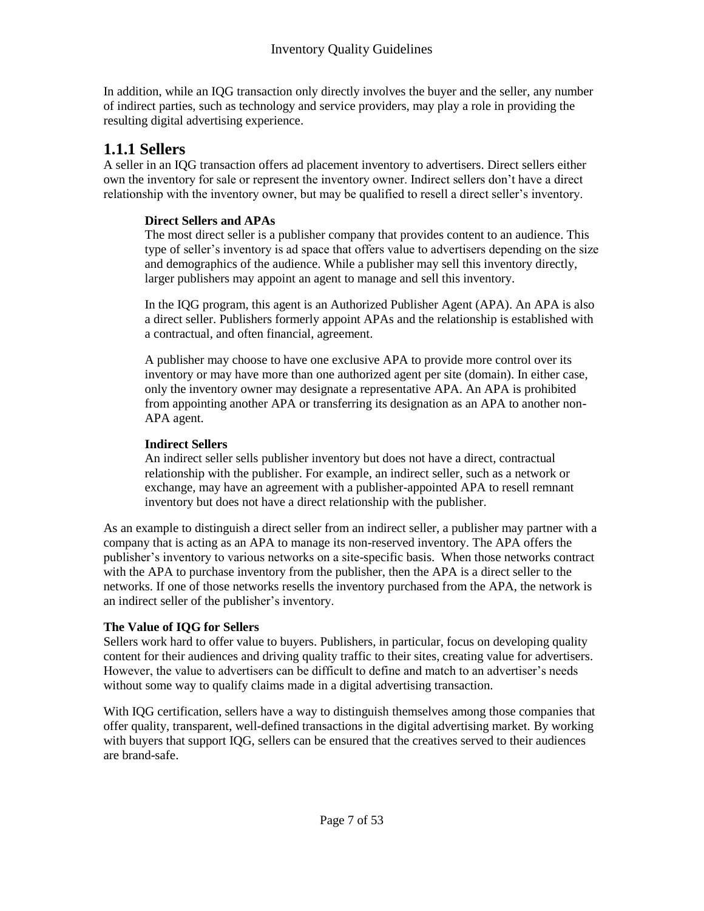In addition, while an IQG transaction only directly involves the buyer and the seller, any number of indirect parties, such as technology and service providers, may play a role in providing the resulting digital advertising experience.

### **1.1.1 Sellers**

A seller in an IQG transaction offers ad placement inventory to advertisers. Direct sellers either own the inventory for sale or represent the inventory owner. Indirect sellers don't have a direct relationship with the inventory owner, but may be qualified to resell a direct seller's inventory.

#### **Direct Sellers and APAs**

The most direct seller is a publisher company that provides content to an audience. This type of seller's inventory is ad space that offers value to advertisers depending on the size and demographics of the audience. While a publisher may sell this inventory directly, larger publishers may appoint an agent to manage and sell this inventory.

In the IQG program, this agent is an Authorized Publisher Agent (APA). An APA is also a direct seller. Publishers formerly appoint APAs and the relationship is established with a contractual, and often financial, agreement.

A publisher may choose to have one exclusive APA to provide more control over its inventory or may have more than one authorized agent per site (domain). In either case, only the inventory owner may designate a representative APA. An APA is prohibited from appointing another APA or transferring its designation as an APA to another non-APA agent.

#### **Indirect Sellers**

An indirect seller sells publisher inventory but does not have a direct, contractual relationship with the publisher. For example, an indirect seller, such as a network or exchange, may have an agreement with a publisher-appointed APA to resell remnant inventory but does not have a direct relationship with the publisher.

As an example to distinguish a direct seller from an indirect seller, a publisher may partner with a company that is acting as an APA to manage its non-reserved inventory. The APA offers the publisher's inventory to various networks on a site-specific basis. When those networks contract with the APA to purchase inventory from the publisher, then the APA is a direct seller to the networks. If one of those networks resells the inventory purchased from the APA, the network is an indirect seller of the publisher's inventory.

#### **The Value of IQG for Sellers**

Sellers work hard to offer value to buyers. Publishers, in particular, focus on developing quality content for their audiences and driving quality traffic to their sites, creating value for advertisers. However, the value to advertisers can be difficult to define and match to an advertiser's needs without some way to qualify claims made in a digital advertising transaction.

With IQG certification, sellers have a way to distinguish themselves among those companies that offer quality, transparent, well-defined transactions in the digital advertising market. By working with buyers that support IQG, sellers can be ensured that the creatives served to their audiences are brand-safe.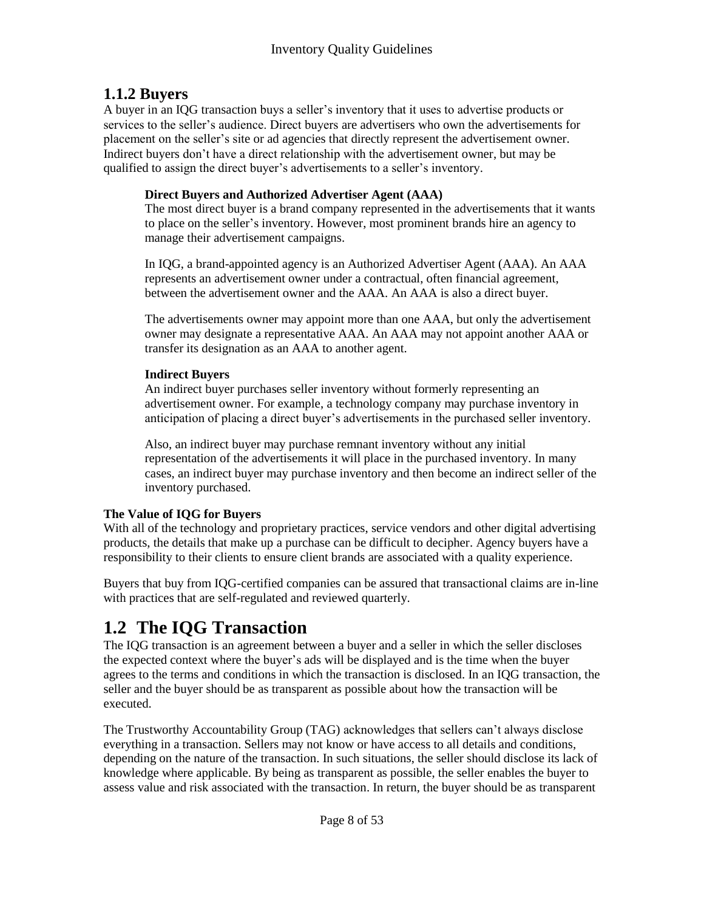## **1.1.2 Buyers**

A buyer in an IQG transaction buys a seller's inventory that it uses to advertise products or services to the seller's audience. Direct buyers are advertisers who own the advertisements for placement on the seller's site or ad agencies that directly represent the advertisement owner. Indirect buyers don't have a direct relationship with the advertisement owner, but may be qualified to assign the direct buyer's advertisements to a seller's inventory.

#### **Direct Buyers and Authorized Advertiser Agent (AAA)**

The most direct buyer is a brand company represented in the advertisements that it wants to place on the seller's inventory. However, most prominent brands hire an agency to manage their advertisement campaigns.

In IQG, a brand-appointed agency is an Authorized Advertiser Agent (AAA). An AAA represents an advertisement owner under a contractual, often financial agreement, between the advertisement owner and the AAA. An AAA is also a direct buyer.

The advertisements owner may appoint more than one AAA, but only the advertisement owner may designate a representative AAA. An AAA may not appoint another AAA or transfer its designation as an AAA to another agent.

#### **Indirect Buyers**

An indirect buyer purchases seller inventory without formerly representing an advertisement owner. For example, a technology company may purchase inventory in anticipation of placing a direct buyer's advertisements in the purchased seller inventory.

Also, an indirect buyer may purchase remnant inventory without any initial representation of the advertisements it will place in the purchased inventory. In many cases, an indirect buyer may purchase inventory and then become an indirect seller of the inventory purchased.

#### **The Value of IQG for Buyers**

With all of the technology and proprietary practices, service vendors and other digital advertising products, the details that make up a purchase can be difficult to decipher. Agency buyers have a responsibility to their clients to ensure client brands are associated with a quality experience.

Buyers that buy from IQG-certified companies can be assured that transactional claims are in-line with practices that are self-regulated and reviewed quarterly.

# **1.2 The IQG Transaction**

The IQG transaction is an agreement between a buyer and a seller in which the seller discloses the expected context where the buyer's ads will be displayed and is the time when the buyer agrees to the terms and conditions in which the transaction is disclosed. In an IQG transaction, the seller and the buyer should be as transparent as possible about how the transaction will be executed.

The Trustworthy Accountability Group (TAG) acknowledges that sellers can't always disclose everything in a transaction. Sellers may not know or have access to all details and conditions, depending on the nature of the transaction. In such situations, the seller should disclose its lack of knowledge where applicable. By being as transparent as possible, the seller enables the buyer to assess value and risk associated with the transaction. In return, the buyer should be as transparent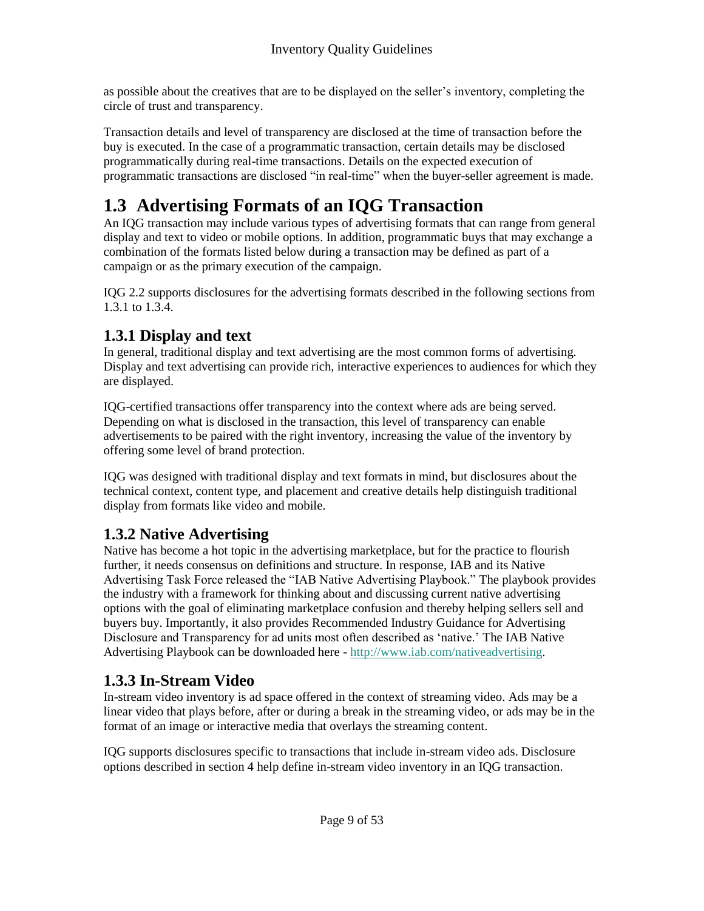as possible about the creatives that are to be displayed on the seller's inventory, completing the circle of trust and transparency.

Transaction details and level of transparency are disclosed at the time of transaction before the buy is executed. In the case of a programmatic transaction, certain details may be disclosed programmatically during real-time transactions. Details on the expected execution of programmatic transactions are disclosed "in real-time" when the buyer-seller agreement is made.

# **1.3 Advertising Formats of an IQG Transaction**

An IQG transaction may include various types of advertising formats that can range from general display and text to video or mobile options. In addition, programmatic buys that may exchange a combination of the formats listed below during a transaction may be defined as part of a campaign or as the primary execution of the campaign.

IQG 2.2 supports disclosures for the advertising formats described in the following sections from 1.3.1 to 1.3.4.

## **1.3.1 Display and text**

In general, traditional display and text advertising are the most common forms of advertising. Display and text advertising can provide rich, interactive experiences to audiences for which they are displayed.

IQG-certified transactions offer transparency into the context where ads are being served. Depending on what is disclosed in the transaction, this level of transparency can enable advertisements to be paired with the right inventory, increasing the value of the inventory by offering some level of brand protection.

IQG was designed with traditional display and text formats in mind, but disclosures about the technical context, content type, and placement and creative details help distinguish traditional display from formats like video and mobile.

## **1.3.2 Native Advertising**

Native has become a hot topic in the advertising marketplace, but for the practice to flourish further, it needs consensus on definitions and structure. In response, IAB and its Native Advertising Task Force released the "IAB Native Advertising Playbook." The playbook provides the industry with a framework for thinking about and discussing current native advertising options with the goal of eliminating marketplace confusion and thereby helping sellers sell and buyers buy. Importantly, it also provides Recommended Industry Guidance for Advertising Disclosure and Transparency for ad units most often described as 'native.' The IAB Native Advertising Playbook can be downloaded here - [http://www.iab.com/nativeadvertising.](http://www.iab.net/nativeadvertising)

## **1.3.3 In-Stream Video**

In-stream video inventory is ad space offered in the context of streaming video. Ads may be a linear video that plays before, after or during a break in the streaming video, or ads may be in the format of an image or interactive media that overlays the streaming content.

IQG supports disclosures specific to transactions that include in-stream video ads. Disclosure options described in section 4 help define in-stream video inventory in an IQG transaction.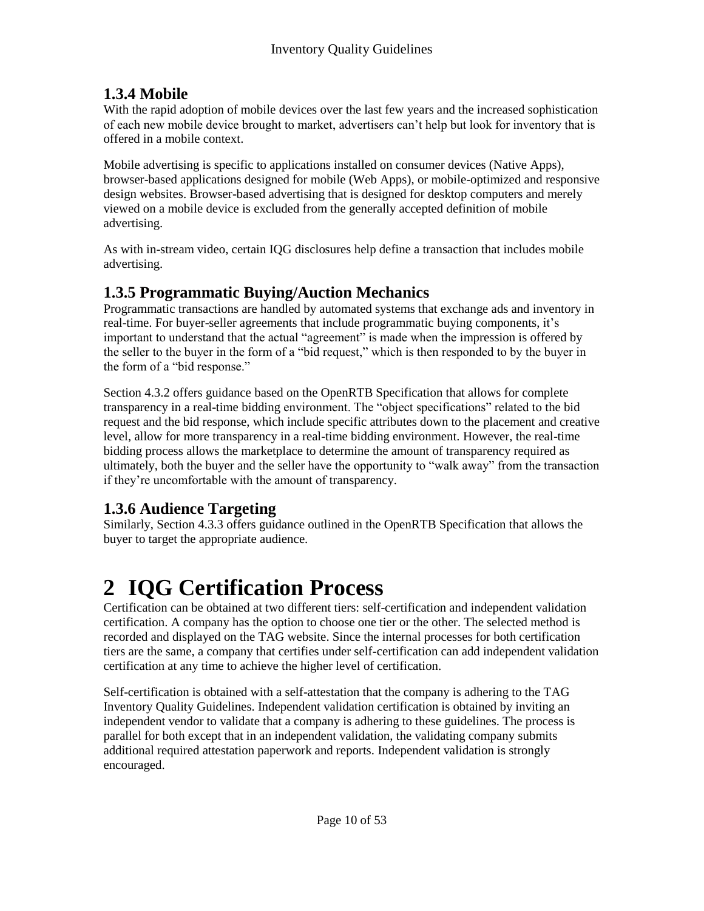## **1.3.4 Mobile**

With the rapid adoption of mobile devices over the last few years and the increased sophistication of each new mobile device brought to market, advertisers can't help but look for inventory that is offered in a mobile context.

Mobile advertising is specific to applications installed on consumer devices (Native Apps), browser-based applications designed for mobile (Web Apps), or mobile-optimized and responsive design websites. Browser-based advertising that is designed for desktop computers and merely viewed on a mobile device is excluded from the generally accepted definition of mobile advertising.

As with in-stream video, certain IQG disclosures help define a transaction that includes mobile advertising.

## **1.3.5 Programmatic Buying/Auction Mechanics**

Programmatic transactions are handled by automated systems that exchange ads and inventory in real-time. For buyer-seller agreements that include programmatic buying components, it's important to understand that the actual "agreement" is made when the impression is offered by the seller to the buyer in the form of a "bid request," which is then responded to by the buyer in the form of a "bid response."

Section 4.3.2 offers guidance based on the OpenRTB Specification that allows for complete transparency in a real-time bidding environment. The "object specifications" related to the bid request and the bid response, which include specific attributes down to the placement and creative level, allow for more transparency in a real-time bidding environment. However, the real-time bidding process allows the marketplace to determine the amount of transparency required as ultimately, both the buyer and the seller have the opportunity to "walk away" from the transaction if they're uncomfortable with the amount of transparency.

## **1.3.6 Audience Targeting**

Similarly, Section 4.3.3 offers guidance outlined in the OpenRTB Specification that allows the buyer to target the appropriate audience.

# **2 IQG Certification Process**

Certification can be obtained at two different tiers: self-certification and independent validation certification. A company has the option to choose one tier or the other. The selected method is recorded and displayed on the TAG website. Since the internal processes for both certification tiers are the same, a company that certifies under self-certification can add independent validation certification at any time to achieve the higher level of certification.

Self-certification is obtained with a self-attestation that the company is adhering to the TAG Inventory Quality Guidelines. Independent validation certification is obtained by inviting an independent vendor to validate that a company is adhering to these guidelines. The process is parallel for both except that in an independent validation, the validating company submits additional required attestation paperwork and reports. Independent validation is strongly encouraged.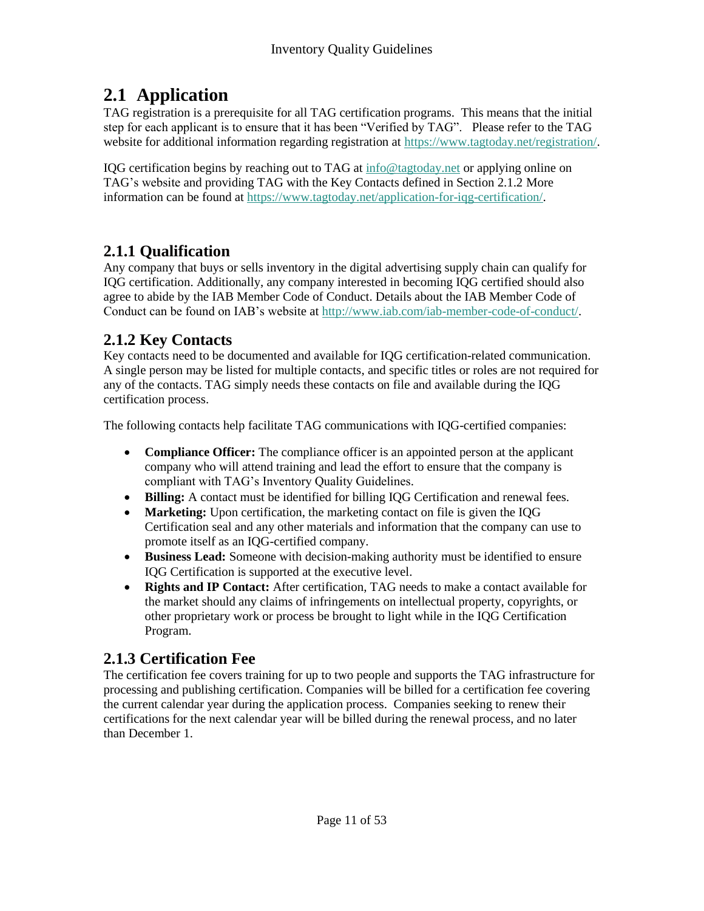## **2.1 Application**

TAG registration is a prerequisite for all TAG certification programs. This means that the initial step for each applicant is to ensure that it has been "Verified by TAG". Please refer to the TAG website for additional information regarding registration at [https://www.tagtoday.net/registration/.](https://www.tagtoday.net/registration/)

IQG certification begins by reaching out to TAG at [info@tagtoday.net](mailto:info@tagtoday.net) or applying online on TAG's website and providing TAG with the Key Contacts defined in Section 2.1.2 More information can be found at [https://www.tagtoday.net/application-for-iqg-certification/.](https://www.tagtoday.net/application-for-iqg-certification/)

## **2.1.1 Qualification**

Any company that buys or sells inventory in the digital advertising supply chain can qualify for IQG certification. Additionally, any company interested in becoming IQG certified should also agree to abide by the IAB Member Code of Conduct. Details about the IAB Member Code of Conduct can be found on IAB's website at [http://www.iab.com/iab-member-code-of-conduct/.](http://www.iab.com/iab-member-code-of-conduct/)

## **2.1.2 Key Contacts**

Key contacts need to be documented and available for IQG certification-related communication. A single person may be listed for multiple contacts, and specific titles or roles are not required for any of the contacts. TAG simply needs these contacts on file and available during the IQG certification process.

The following contacts help facilitate TAG communications with IQG-certified companies:

- **Compliance Officer:** The compliance officer is an appointed person at the applicant company who will attend training and lead the effort to ensure that the company is compliant with TAG's Inventory Quality Guidelines.
- **Billing:** A contact must be identified for billing IQG Certification and renewal fees.
- **Marketing:** Upon certification, the marketing contact on file is given the IQG Certification seal and any other materials and information that the company can use to promote itself as an IQG-certified company.
- **Business Lead:** Someone with decision-making authority must be identified to ensure IQG Certification is supported at the executive level.
- **Rights and IP Contact:** After certification, TAG needs to make a contact available for the market should any claims of infringements on intellectual property, copyrights, or other proprietary work or process be brought to light while in the IQG Certification Program.

## **2.1.3 Certification Fee**

The certification fee covers training for up to two people and supports the TAG infrastructure for processing and publishing certification. Companies will be billed for a certification fee covering the current calendar year during the application process. Companies seeking to renew their certifications for the next calendar year will be billed during the renewal process, and no later than December 1.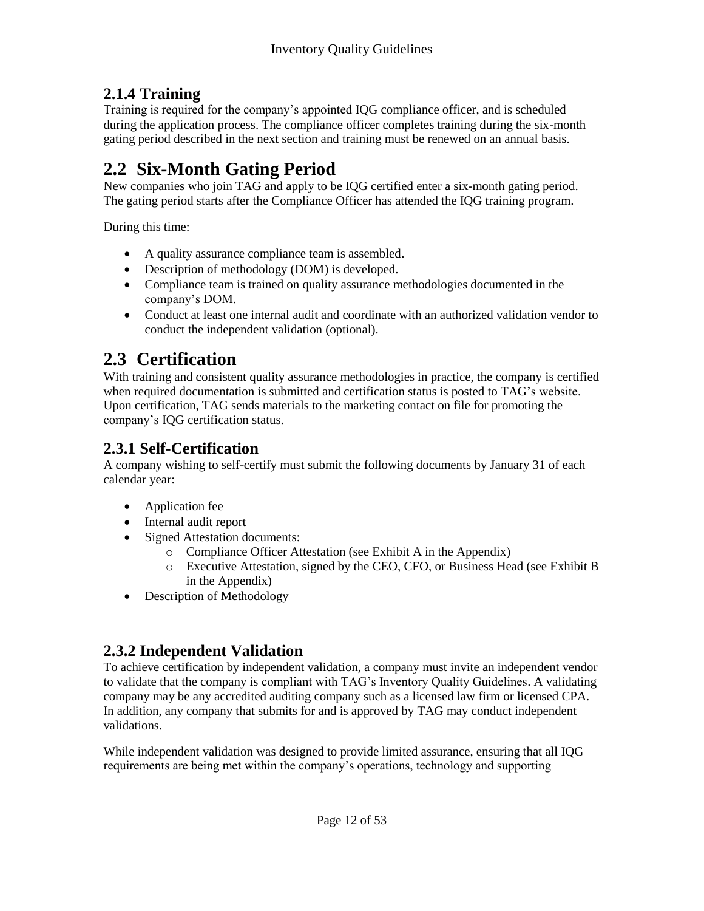## **2.1.4 Training**

Training is required for the company's appointed IQG compliance officer, and is scheduled during the application process. The compliance officer completes training during the six-month gating period described in the next section and training must be renewed on an annual basis.

## **2.2 Six-Month Gating Period**

New companies who join TAG and apply to be IQG certified enter a six-month gating period. The gating period starts after the Compliance Officer has attended the IQG training program.

During this time:

- A quality assurance compliance team is assembled.
- Description of methodology (DOM) is developed.
- Compliance team is trained on quality assurance methodologies documented in the company's DOM.
- Conduct at least one internal audit and coordinate with an authorized validation vendor to conduct the independent validation (optional).

# **2.3 Certification**

With training and consistent quality assurance methodologies in practice, the company is certified when required documentation is submitted and certification status is posted to TAG's website. Upon certification, TAG sends materials to the marketing contact on file for promoting the company's IQG certification status.

## **2.3.1 Self-Certification**

A company wishing to self-certify must submit the following documents by January 31 of each calendar year:

- Application fee
- Internal audit report
- Signed Attestation documents:
	- o Compliance Officer Attestation (see Exhibit A in the Appendix)
	- o Executive Attestation, signed by the CEO, CFO, or Business Head (see Exhibit B in the Appendix)
- Description of Methodology

## **2.3.2 Independent Validation**

To achieve certification by independent validation, a company must invite an independent vendor to validate that the company is compliant with TAG's Inventory Quality Guidelines. A validating company may be any accredited auditing company such as a licensed law firm or licensed CPA. In addition, any company that submits for and is approved by TAG may conduct independent validations.

While independent validation was designed to provide limited assurance, ensuring that all IQG requirements are being met within the company's operations, technology and supporting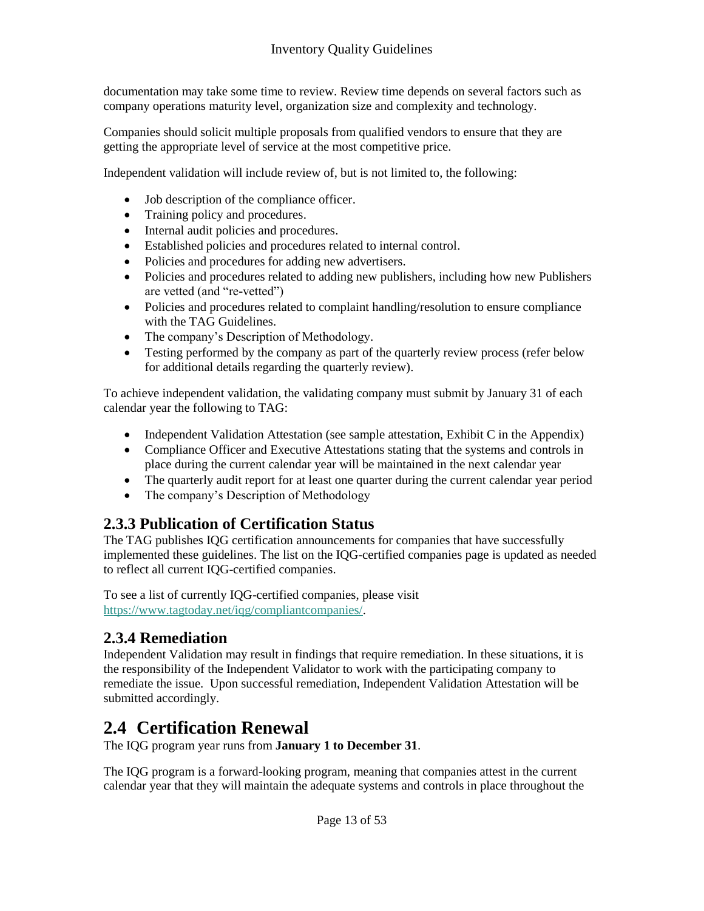documentation may take some time to review. Review time depends on several factors such as company operations maturity level, organization size and complexity and technology.

Companies should solicit multiple proposals from qualified vendors to ensure that they are getting the appropriate level of service at the most competitive price.

Independent validation will include review of, but is not limited to, the following:

- Job description of the compliance officer.
- Training policy and procedures.
- Internal audit policies and procedures.
- Established policies and procedures related to internal control.
- Policies and procedures for adding new advertisers.
- Policies and procedures related to adding new publishers, including how new Publishers are vetted (and "re-vetted")
- Policies and procedures related to complaint handling/resolution to ensure compliance with the TAG Guidelines.
- The company's Description of Methodology.
- Testing performed by the company as part of the quarterly review process (refer below for additional details regarding the quarterly review).

To achieve independent validation, the validating company must submit by January 31 of each calendar year the following to TAG:

- Independent Validation Attestation (see sample attestation, Exhibit C in the Appendix)
- Compliance Officer and Executive Attestations stating that the systems and controls in place during the current calendar year will be maintained in the next calendar year
- The quarterly audit report for at least one quarter during the current calendar year period
- The company's Description of Methodology

## **2.3.3 Publication of Certification Status**

The TAG publishes IQG certification announcements for companies that have successfully implemented these guidelines. The list on the IQG-certified companies page is updated as needed to reflect all current IQG-certified companies.

To see a list of currently IQG-certified companies, please visit [https://www.tagtoday.net/iqg/compliantcompanies/.](https://www.tagtoday.net/iqg/compliantcompanies/)

## **2.3.4 Remediation**

Independent Validation may result in findings that require remediation. In these situations, it is the responsibility of the Independent Validator to work with the participating company to remediate the issue. Upon successful remediation, Independent Validation Attestation will be submitted accordingly.

## **2.4 Certification Renewal**

The IQG program year runs from **January 1 to December 31**.

The IQG program is a forward-looking program, meaning that companies attest in the current calendar year that they will maintain the adequate systems and controls in place throughout the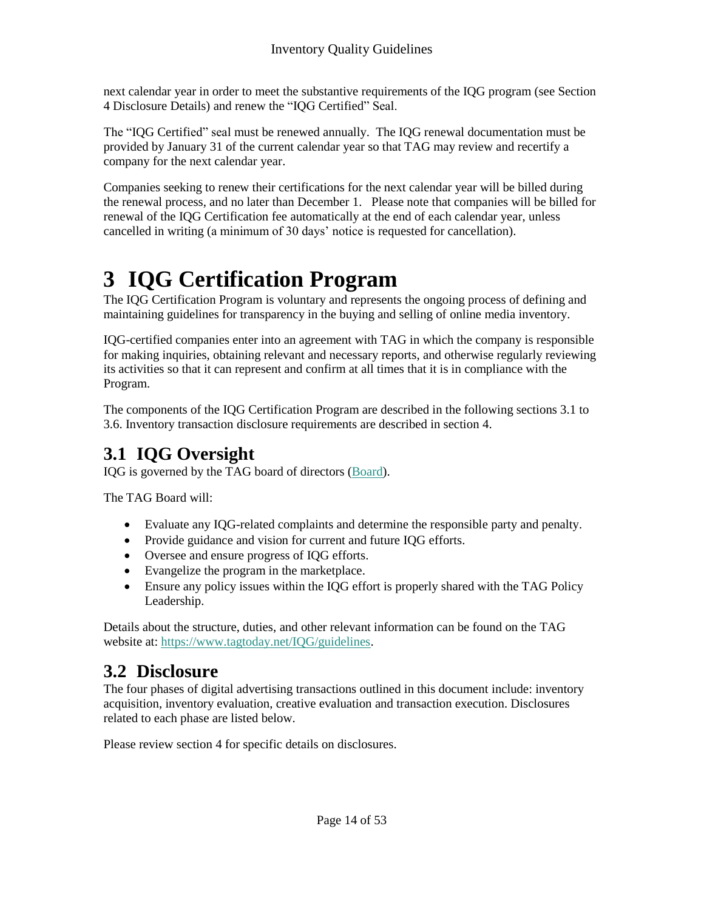next calendar year in order to meet the substantive requirements of the IQG program (see Section 4 Disclosure Details) and renew the "IQG Certified" Seal.

The "IQG Certified" seal must be renewed annually. The IQG renewal documentation must be provided by January 31 of the current calendar year so that TAG may review and recertify a company for the next calendar year.

Companies seeking to renew their certifications for the next calendar year will be billed during the renewal process, and no later than December 1. Please note that companies will be billed for renewal of the IQG Certification fee automatically at the end of each calendar year, unless cancelled in writing (a minimum of 30 days' notice is requested for cancellation).

# **3 IQG Certification Program**

The IQG Certification Program is voluntary and represents the ongoing process of defining and maintaining guidelines for transparency in the buying and selling of online media inventory.

IQG-certified companies enter into an agreement with TAG in which the company is responsible for making inquiries, obtaining relevant and necessary reports, and otherwise regularly reviewing its activities so that it can represent and confirm at all times that it is in compliance with the Program.

The components of the IQG Certification Program are described in the following sections 3.1 to 3.6. Inventory transaction disclosure requirements are described in section 4.

# **3.1 IQG Oversight**

IQG is governed by the TAG board of directors [\(Board\)](https://www.tagtoday.net/aboutus/#directors).

The TAG Board will:

- Evaluate any IQG-related complaints and determine the responsible party and penalty.
- Provide guidance and vision for current and future IQG efforts.
- Oversee and ensure progress of IQG efforts.
- Evangelize the program in the marketplace.
- Ensure any policy issues within the IQG effort is properly shared with the TAG Policy Leadership.

Details about the structure, duties, and other relevant information can be found on the TAG website at: [https://www.tagtoday.net/IQG/guidelines.](https://www.tagtoday.net/IQG/guidelines)

# **3.2 Disclosure**

The four phases of digital advertising transactions outlined in this document include: inventory acquisition, inventory evaluation, creative evaluation and transaction execution. Disclosures related to each phase are listed below.

Please review section 4 for specific details on disclosures.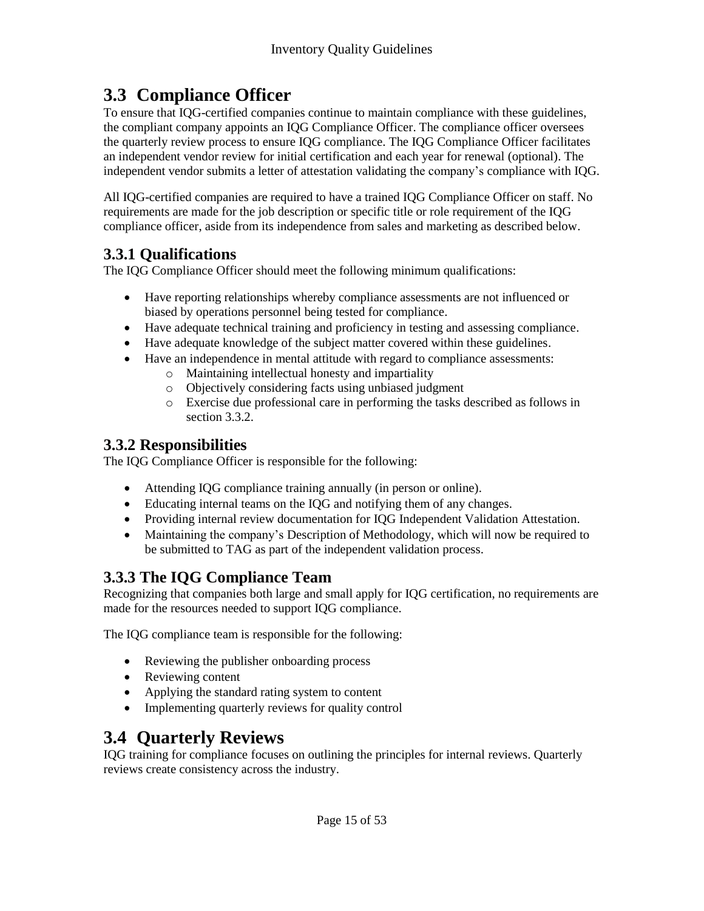## **3.3 Compliance Officer**

To ensure that IQG-certified companies continue to maintain compliance with these guidelines, the compliant company appoints an IQG Compliance Officer. The compliance officer oversees the quarterly review process to ensure IQG compliance. The IQG Compliance Officer facilitates an independent vendor review for initial certification and each year for renewal (optional). The independent vendor submits a letter of attestation validating the company's compliance with IQG.

All IQG-certified companies are required to have a trained IQG Compliance Officer on staff. No requirements are made for the job description or specific title or role requirement of the IQG compliance officer, aside from its independence from sales and marketing as described below.

## **3.3.1 Qualifications**

The IQG Compliance Officer should meet the following minimum qualifications:

- Have reporting relationships whereby compliance assessments are not influenced or biased by operations personnel being tested for compliance.
- Have adequate technical training and proficiency in testing and assessing compliance.
- Have adequate knowledge of the subject matter covered within these guidelines.
- Have an independence in mental attitude with regard to compliance assessments:
	- o Maintaining intellectual honesty and impartiality
		- o Objectively considering facts using unbiased judgment
		- o Exercise due professional care in performing the tasks described as follows in section 3.3.2.

## **3.3.2 Responsibilities**

The IQG Compliance Officer is responsible for the following:

- Attending IQG compliance training annually (in person or online).
- Educating internal teams on the IQG and notifying them of any changes.
- Providing internal review documentation for IQG Independent Validation Attestation.
- Maintaining the company's Description of Methodology, which will now be required to be submitted to TAG as part of the independent validation process.

## **3.3.3 The IQG Compliance Team**

Recognizing that companies both large and small apply for IQG certification, no requirements are made for the resources needed to support IQG compliance.

The IQG compliance team is responsible for the following:

- Reviewing the publisher onboarding process
- Reviewing content
- Applying the standard rating system to content
- Implementing quarterly reviews for quality control

# **3.4 Quarterly Reviews**

IQG training for compliance focuses on outlining the principles for internal reviews. Quarterly reviews create consistency across the industry.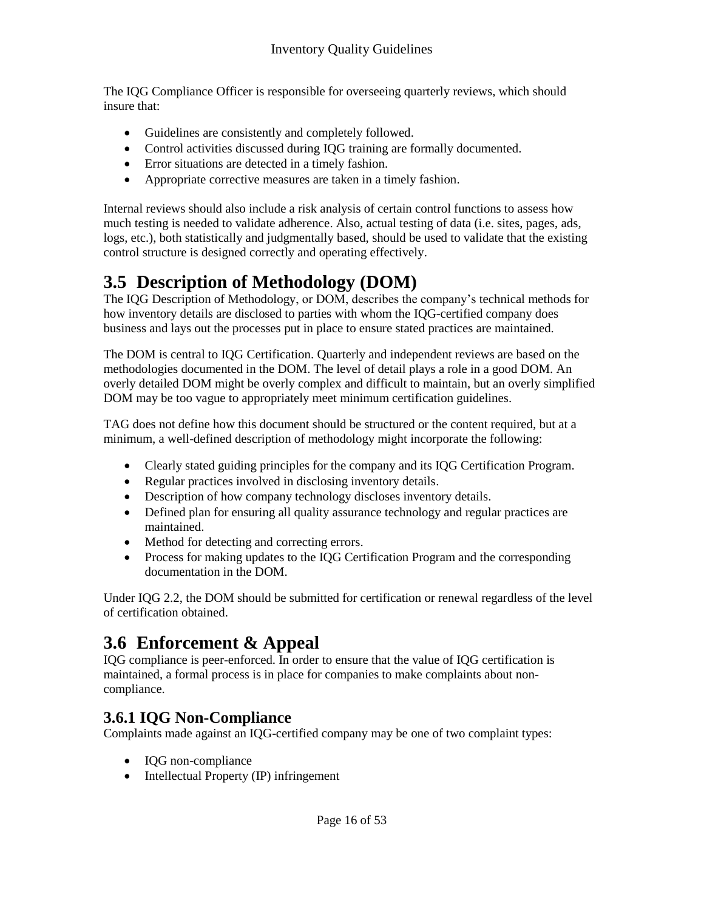The IQG Compliance Officer is responsible for overseeing quarterly reviews, which should insure that:

- Guidelines are consistently and completely followed.
- Control activities discussed during IQG training are formally documented.
- Error situations are detected in a timely fashion.
- Appropriate corrective measures are taken in a timely fashion.

Internal reviews should also include a risk analysis of certain control functions to assess how much testing is needed to validate adherence. Also, actual testing of data (i.e. sites, pages, ads, logs, etc.), both statistically and judgmentally based, should be used to validate that the existing control structure is designed correctly and operating effectively.

# **3.5 Description of Methodology (DOM)**

The IQG Description of Methodology, or DOM, describes the company's technical methods for how inventory details are disclosed to parties with whom the IQG-certified company does business and lays out the processes put in place to ensure stated practices are maintained.

The DOM is central to IQG Certification. Quarterly and independent reviews are based on the methodologies documented in the DOM. The level of detail plays a role in a good DOM. An overly detailed DOM might be overly complex and difficult to maintain, but an overly simplified DOM may be too vague to appropriately meet minimum certification guidelines.

TAG does not define how this document should be structured or the content required, but at a minimum, a well-defined description of methodology might incorporate the following:

- Clearly stated guiding principles for the company and its IQG Certification Program.
- Regular practices involved in disclosing inventory details.
- Description of how company technology discloses inventory details.
- Defined plan for ensuring all quality assurance technology and regular practices are maintained.
- Method for detecting and correcting errors.
- Process for making updates to the IQG Certification Program and the corresponding documentation in the DOM.

Under IQG 2.2, the DOM should be submitted for certification or renewal regardless of the level of certification obtained.

# **3.6 Enforcement & Appeal**

IQG compliance is peer-enforced. In order to ensure that the value of IQG certification is maintained, a formal process is in place for companies to make complaints about noncompliance.

## **3.6.1 IQG Non-Compliance**

Complaints made against an IQG-certified company may be one of two complaint types:

- IQG non-compliance
- Intellectual Property (IP) infringement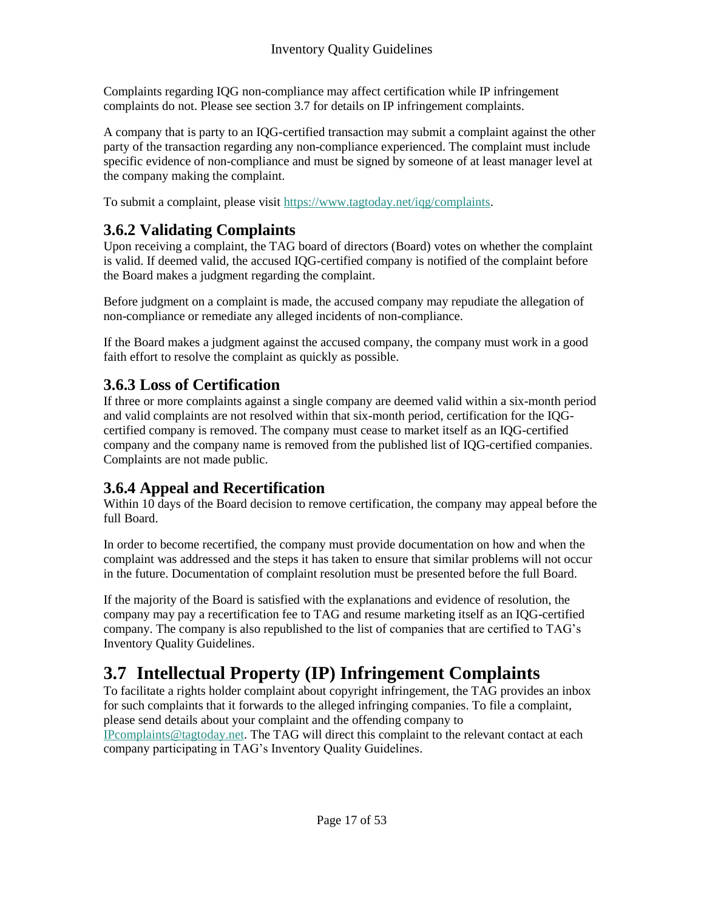Complaints regarding IQG non-compliance may affect certification while IP infringement complaints do not. Please see section 3.7 for details on IP infringement complaints.

A company that is party to an IQG-certified transaction may submit a complaint against the other party of the transaction regarding any non-compliance experienced. The complaint must include specific evidence of non-compliance and must be signed by someone of at least manager level at the company making the complaint.

To submit a complaint, please visit [https://www.tagtoday.net/iqg/complaints.](https://www.tagtoday.net/iqg/complaints)

## **3.6.2 Validating Complaints**

Upon receiving a complaint, the TAG board of directors (Board) votes on whether the complaint is valid. If deemed valid, the accused IQG-certified company is notified of the complaint before the Board makes a judgment regarding the complaint.

Before judgment on a complaint is made, the accused company may repudiate the allegation of non-compliance or remediate any alleged incidents of non-compliance.

If the Board makes a judgment against the accused company, the company must work in a good faith effort to resolve the complaint as quickly as possible.

## **3.6.3 Loss of Certification**

If three or more complaints against a single company are deemed valid within a six-month period and valid complaints are not resolved within that six-month period, certification for the IQGcertified company is removed. The company must cease to market itself as an IQG-certified company and the company name is removed from the published list of IQG-certified companies. Complaints are not made public.

## **3.6.4 Appeal and Recertification**

Within 10 days of the Board decision to remove certification, the company may appeal before the full Board.

In order to become recertified, the company must provide documentation on how and when the complaint was addressed and the steps it has taken to ensure that similar problems will not occur in the future. Documentation of complaint resolution must be presented before the full Board.

If the majority of the Board is satisfied with the explanations and evidence of resolution, the company may pay a recertification fee to TAG and resume marketing itself as an IQG-certified company. The company is also republished to the list of companies that are certified to TAG's Inventory Quality Guidelines.

# **3.7 Intellectual Property (IP) Infringement Complaints**

To facilitate a rights holder complaint about copyright infringement, the TAG provides an inbox for such complaints that it forwards to the alleged infringing companies. To file a complaint, please send details about your complaint and the offending company to

[IPcomplaints@tagtoday.net.](mailto:IPcomplaints@tagtoday.net) The TAG will direct this complaint to the relevant contact at each company participating in TAG's Inventory Quality Guidelines.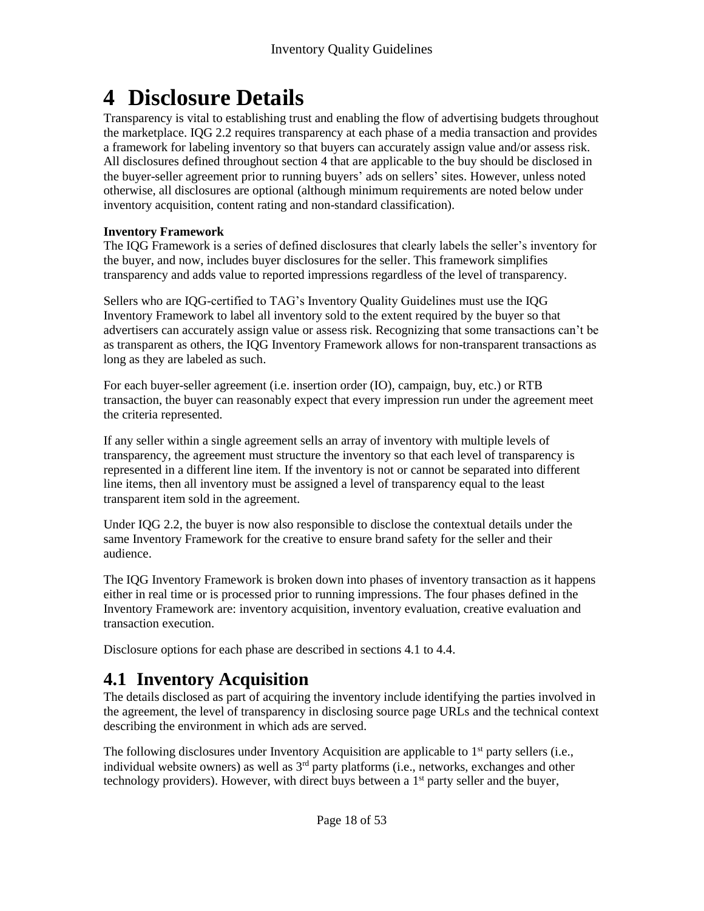# **4 Disclosure Details**

Transparency is vital to establishing trust and enabling the flow of advertising budgets throughout the marketplace. IQG 2.2 requires transparency at each phase of a media transaction and provides a framework for labeling inventory so that buyers can accurately assign value and/or assess risk. All disclosures defined throughout section 4 that are applicable to the buy should be disclosed in the buyer-seller agreement prior to running buyers' ads on sellers' sites. However, unless noted otherwise, all disclosures are optional (although minimum requirements are noted below under inventory acquisition, content rating and non-standard classification).

#### **Inventory Framework**

The IQG Framework is a series of defined disclosures that clearly labels the seller's inventory for the buyer, and now, includes buyer disclosures for the seller. This framework simplifies transparency and adds value to reported impressions regardless of the level of transparency.

Sellers who are IQG-certified to TAG's Inventory Quality Guidelines must use the IQG Inventory Framework to label all inventory sold to the extent required by the buyer so that advertisers can accurately assign value or assess risk. Recognizing that some transactions can't be as transparent as others, the IQG Inventory Framework allows for non-transparent transactions as long as they are labeled as such.

For each buyer-seller agreement (i.e. insertion order (IO), campaign, buy, etc.) or RTB transaction, the buyer can reasonably expect that every impression run under the agreement meet the criteria represented.

If any seller within a single agreement sells an array of inventory with multiple levels of transparency, the agreement must structure the inventory so that each level of transparency is represented in a different line item. If the inventory is not or cannot be separated into different line items, then all inventory must be assigned a level of transparency equal to the least transparent item sold in the agreement.

Under IQG 2.2, the buyer is now also responsible to disclose the contextual details under the same Inventory Framework for the creative to ensure brand safety for the seller and their audience.

The IQG Inventory Framework is broken down into phases of inventory transaction as it happens either in real time or is processed prior to running impressions. The four phases defined in the Inventory Framework are: inventory acquisition, inventory evaluation, creative evaluation and transaction execution.

Disclosure options for each phase are described in sections 4.1 to 4.4.

# **4.1 Inventory Acquisition**

The details disclosed as part of acquiring the inventory include identifying the parties involved in the agreement, the level of transparency in disclosing source page URLs and the technical context describing the environment in which ads are served.

The following disclosures under Inventory Acquisition are applicable to  $1<sup>st</sup>$  party sellers (i.e., individual website owners) as well as 3<sup>rd</sup> party platforms (i.e., networks, exchanges and other technology providers). However, with direct buys between a  $1<sup>st</sup>$  party seller and the buyer,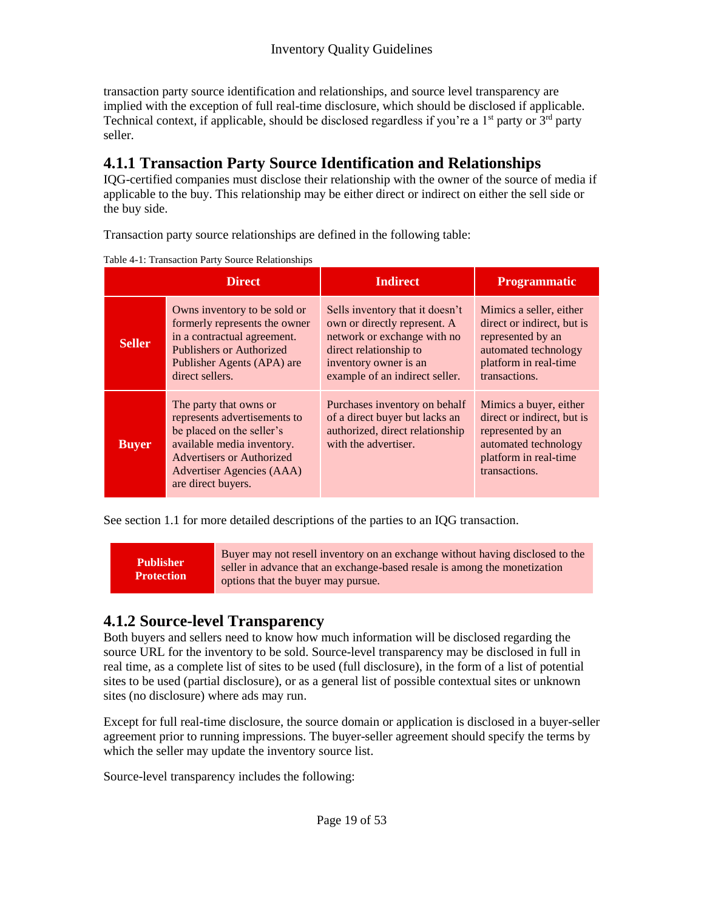transaction party source identification and relationships, and source level transparency are implied with the exception of full real-time disclosure, which should be disclosed if applicable. Technical context, if applicable, should be disclosed regardless if you're a  $1<sup>st</sup>$  party or  $3<sup>rd</sup>$  party seller.

## **4.1.1 Transaction Party Source Identification and Relationships**

IQG-certified companies must disclose their relationship with the owner of the source of media if applicable to the buy. This relationship may be either direct or indirect on either the sell side or the buy side.

Transaction party source relationships are defined in the following table:

Table 4-1: Transaction Party Source Relationships

|               | <b>Direct</b>                                                                                                                                                                                     | <b>Indirect</b>                                                                                                                                                                     | <b>Programmatic</b>                                                                                                                          |
|---------------|---------------------------------------------------------------------------------------------------------------------------------------------------------------------------------------------------|-------------------------------------------------------------------------------------------------------------------------------------------------------------------------------------|----------------------------------------------------------------------------------------------------------------------------------------------|
| <b>Seller</b> | Owns inventory to be sold or<br>formerly represents the owner<br>in a contractual agreement.<br>Publishers or Authorized<br>Publisher Agents (APA) are<br>direct sellers.                         | Sells inventory that it doesn't<br>own or directly represent. A<br>network or exchange with no<br>direct relationship to<br>inventory owner is an<br>example of an indirect seller. | Mimics a seller, either<br>direct or indirect, but is<br>represented by an<br>automated technology<br>platform in real-time<br>transactions. |
| <b>Buyer</b>  | The party that owns or<br>represents advertisements to<br>be placed on the seller's<br>available media inventory.<br>Advertisers or Authorized<br>Advertiser Agencies (AAA)<br>are direct buyers. | Purchases inventory on behalf<br>of a direct buyer but lacks an<br>authorized, direct relationship<br>with the advertiser.                                                          | Mimics a buyer, either<br>direct or indirect, but is<br>represented by an<br>automated technology<br>platform in real-time<br>transactions.  |

See section 1.1 for more detailed descriptions of the parties to an IQG transaction.

**Publisher Protection**

Buyer may not resell inventory on an exchange without having disclosed to the seller in advance that an exchange-based resale is among the monetization options that the buyer may pursue.

## **4.1.2 Source-level Transparency**

Both buyers and sellers need to know how much information will be disclosed regarding the source URL for the inventory to be sold. Source-level transparency may be disclosed in full in real time, as a complete list of sites to be used (full disclosure), in the form of a list of potential sites to be used (partial disclosure), or as a general list of possible contextual sites or unknown sites (no disclosure) where ads may run.

Except for full real-time disclosure, the source domain or application is disclosed in a buyer-seller agreement prior to running impressions. The buyer-seller agreement should specify the terms by which the seller may update the inventory source list.

Source-level transparency includes the following: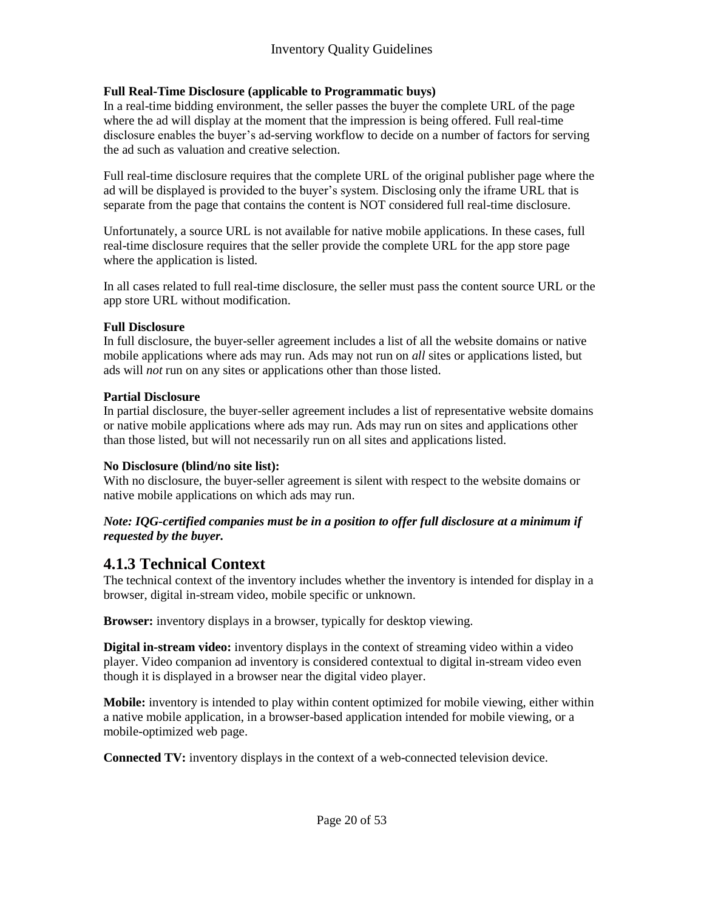#### **Full Real-Time Disclosure (applicable to Programmatic buys)**

In a real-time bidding environment, the seller passes the buyer the complete URL of the page where the ad will display at the moment that the impression is being offered. Full real-time disclosure enables the buyer's ad-serving workflow to decide on a number of factors for serving the ad such as valuation and creative selection.

Full real-time disclosure requires that the complete URL of the original publisher page where the ad will be displayed is provided to the buyer's system. Disclosing only the iframe URL that is separate from the page that contains the content is NOT considered full real-time disclosure.

Unfortunately, a source URL is not available for native mobile applications. In these cases, full real-time disclosure requires that the seller provide the complete URL for the app store page where the application is listed.

In all cases related to full real-time disclosure, the seller must pass the content source URL or the app store URL without modification.

#### **Full Disclosure**

In full disclosure, the buyer-seller agreement includes a list of all the website domains or native mobile applications where ads may run. Ads may not run on *all* sites or applications listed, but ads will *not* run on any sites or applications other than those listed.

#### **Partial Disclosure**

In partial disclosure, the buyer-seller agreement includes a list of representative website domains or native mobile applications where ads may run. Ads may run on sites and applications other than those listed, but will not necessarily run on all sites and applications listed.

#### **No Disclosure (blind/no site list):**

With no disclosure, the buyer-seller agreement is silent with respect to the website domains or native mobile applications on which ads may run.

#### *Note: IQG-certified companies must be in a position to offer full disclosure at a minimum if requested by the buyer.*

### **4.1.3 Technical Context**

The technical context of the inventory includes whether the inventory is intended for display in a browser, digital in-stream video, mobile specific or unknown.

**Browser:** inventory displays in a browser, typically for desktop viewing.

**Digital in-stream video:** inventory displays in the context of streaming video within a video player. Video companion ad inventory is considered contextual to digital in-stream video even though it is displayed in a browser near the digital video player.

**Mobile:** inventory is intended to play within content optimized for mobile viewing, either within a native mobile application, in a browser-based application intended for mobile viewing, or a mobile-optimized web page.

**Connected TV:** inventory displays in the context of a web-connected television device.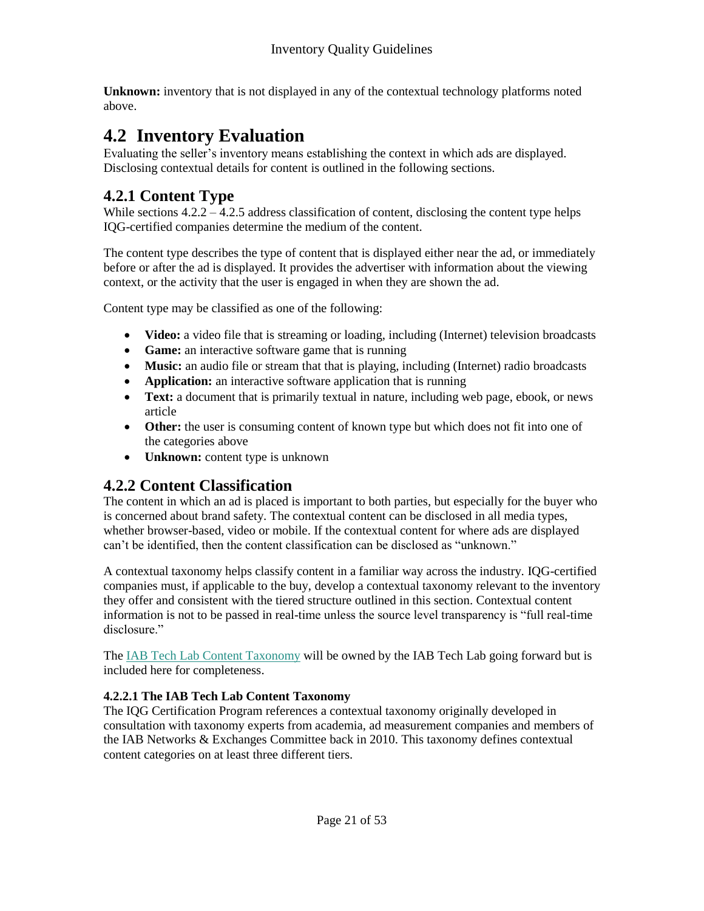**Unknown:** inventory that is not displayed in any of the contextual technology platforms noted above.

## **4.2 Inventory Evaluation**

Evaluating the seller's inventory means establishing the context in which ads are displayed. Disclosing contextual details for content is outlined in the following sections.

## **4.2.1 Content Type**

While sections  $4.2.2 - 4.2.5$  address classification of content, disclosing the content type helps IQG-certified companies determine the medium of the content.

The content type describes the type of content that is displayed either near the ad, or immediately before or after the ad is displayed. It provides the advertiser with information about the viewing context, or the activity that the user is engaged in when they are shown the ad.

Content type may be classified as one of the following:

- **Video:** a video file that is streaming or loading, including (Internet) television broadcasts
- **Game:** an interactive software game that is running
- Music: an audio file or stream that that is playing, including (Internet) radio broadcasts
- **Application:** an interactive software application that is running
- **Text:** a document that is primarily textual in nature, including web page, ebook, or news article
- Other: the user is consuming content of known type but which does not fit into one of the categories above
- **Unknown:** content type is unknown

## **4.2.2 Content Classification**

The content in which an ad is placed is important to both parties, but especially for the buyer who is concerned about brand safety. The contextual content can be disclosed in all media types, whether browser-based, video or mobile. If the contextual content for where ads are displayed can't be identified, then the content classification can be disclosed as "unknown."

A contextual taxonomy helps classify content in a familiar way across the industry. IQG-certified companies must, if applicable to the buy, develop a contextual taxonomy relevant to the inventory they offer and consistent with the tiered structure outlined in this section. Contextual content information is not to be passed in real-time unless the source level transparency is "full real-time disclosure."

The [IAB Tech Lab Content Taxonomy](http://www.iab.com/guidelines/iab-tech-lab-content-taxonomy/) will be owned by the IAB Tech Lab going forward but is included here for completeness.

### **4.2.2.1 The IAB Tech Lab Content Taxonomy**

The IQG Certification Program references a contextual taxonomy originally developed in consultation with taxonomy experts from academia, ad measurement companies and members of the IAB Networks & Exchanges Committee back in 2010. This taxonomy defines contextual content categories on at least three different tiers.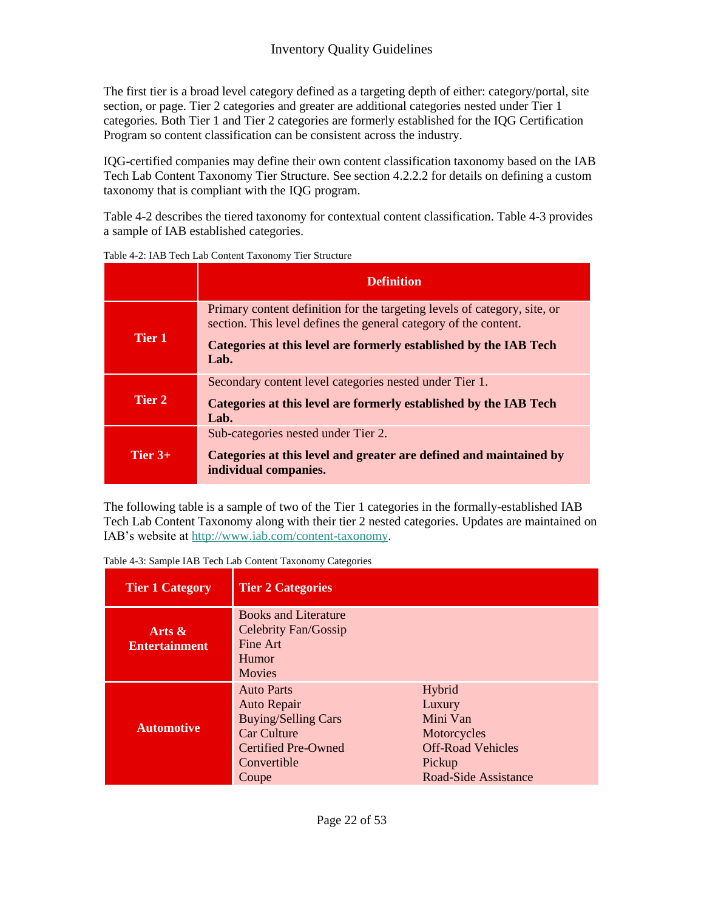The first tier is a broad level category defined as a targeting depth of either: category/portal, site section, or page. Tier 2 categories and greater are additional categories nested under Tier 1 categories. Both Tier 1 and Tier 2 categories are formerly established for the IQG Certification Program so content classification can be consistent across the industry.

IQG-certified companies may define their own content classification taxonomy based on the IAB Tech Lab Content Taxonomy Tier Structure. See section 4.2.2.2 for details on defining a custom taxonomy that is compliant with the IQG program.

Table 4-2 describes the tiered taxonomy for contextual content classification. Table 4-3 provides a sample of IAB established categories.

|           | <b>Definition</b>                                                                                                                             |
|-----------|-----------------------------------------------------------------------------------------------------------------------------------------------|
|           | Primary content definition for the targeting levels of category, site, or<br>section. This level defines the general category of the content. |
| Tier 1    | Categories at this level are formerly established by the IAB Tech<br>Lab.                                                                     |
|           | Secondary content level categories nested under Tier 1.                                                                                       |
| Tier 2    | Categories at this level are formerly established by the IAB Tech<br>Lab.                                                                     |
|           | Sub-categories nested under Tier 2.                                                                                                           |
| Tier $3+$ | Categories at this level and greater are defined and maintained by<br>individual companies.                                                   |

Table 4-2: IAB Tech Lab Content Taxonomy Tier Structure

The following table is a sample of two of the Tier 1 categories in the formally-established IAB Tech Lab Content Taxonomy along with their tier 2 nested categories. Updates are maintained on IAB's website at [http://www.iab.com/content-taxonomy.](http://www.iab.net/content-taxonomy)

| <b>Tier 1 Category</b>            | <b>Tier 2 Categories</b>                                                                                                            |                                                                                                           |
|-----------------------------------|-------------------------------------------------------------------------------------------------------------------------------------|-----------------------------------------------------------------------------------------------------------|
| Arts $\&$<br><b>Entertainment</b> | <b>Books and Literature</b><br>Celebrity Fan/Gossip<br>Fine Art<br>Humor<br><b>Movies</b>                                           |                                                                                                           |
| <b>Automotive</b>                 | <b>Auto Parts</b><br>Auto Repair<br><b>Buying/Selling Cars</b><br><b>Car Culture</b><br>Certified Pre-Owned<br>Convertible<br>Coupe | Hybrid<br>Luxury<br>Mini Van<br>Motorcycles<br><b>Off-Road Vehicles</b><br>Pickup<br>Road-Side Assistance |

Table 4-3: Sample IAB Tech Lab Content Taxonomy Categories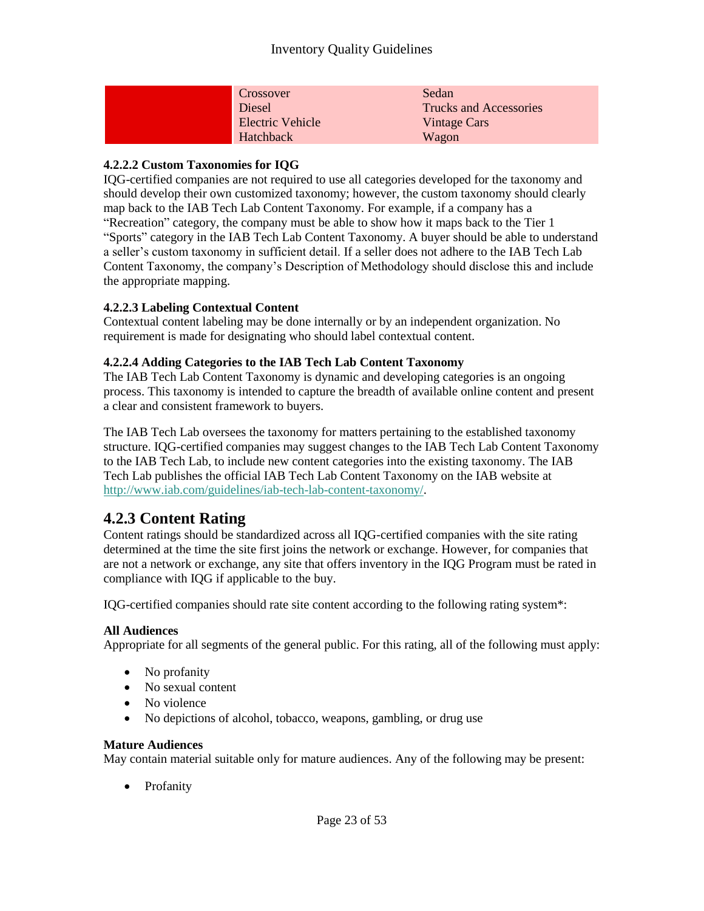| Crossover               | Sedan                         |
|-------------------------|-------------------------------|
| Diesel                  | <b>Trucks and Accessories</b> |
| <b>Electric Vehicle</b> | Vintage Cars                  |
| Hatchback               | Wagon                         |

#### **4.2.2.2 Custom Taxonomies for IQG**

IQG-certified companies are not required to use all categories developed for the taxonomy and should develop their own customized taxonomy; however, the custom taxonomy should clearly map back to the IAB Tech Lab Content Taxonomy. For example, if a company has a "Recreation" category, the company must be able to show how it maps back to the Tier 1 "Sports" category in the IAB Tech Lab Content Taxonomy. A buyer should be able to understand a seller's custom taxonomy in sufficient detail. If a seller does not adhere to the IAB Tech Lab Content Taxonomy, the company's Description of Methodology should disclose this and include the appropriate mapping.

#### **4.2.2.3 Labeling Contextual Content**

Contextual content labeling may be done internally or by an independent organization. No requirement is made for designating who should label contextual content.

#### **4.2.2.4 Adding Categories to the IAB Tech Lab Content Taxonomy**

The IAB Tech Lab Content Taxonomy is dynamic and developing categories is an ongoing process. This taxonomy is intended to capture the breadth of available online content and present a clear and consistent framework to buyers.

The IAB Tech Lab oversees the taxonomy for matters pertaining to the established taxonomy structure. IQG-certified companies may suggest changes to the IAB Tech Lab Content Taxonomy to the IAB Tech Lab, to include new content categories into the existing taxonomy. The IAB Tech Lab publishes the official IAB Tech Lab Content Taxonomy on the IAB website at [http://www.iab.com/guidelines/iab-tech-lab-content-taxonomy/.](http://www.iab.com/guidelines/iab-tech-lab-content-taxonomy/)

## **4.2.3 Content Rating**

Content ratings should be standardized across all IQG-certified companies with the site rating determined at the time the site first joins the network or exchange. However, for companies that are not a network or exchange, any site that offers inventory in the IQG Program must be rated in compliance with IQG if applicable to the buy.

IQG-certified companies should rate site content according to the following rating system\*:

#### **All Audiences**

Appropriate for all segments of the general public. For this rating, all of the following must apply:

- No profanity
- No sexual content
- No violence
- No depictions of alcohol, tobacco, weapons, gambling, or drug use

#### **Mature Audiences**

May contain material suitable only for mature audiences. Any of the following may be present:

• Profanity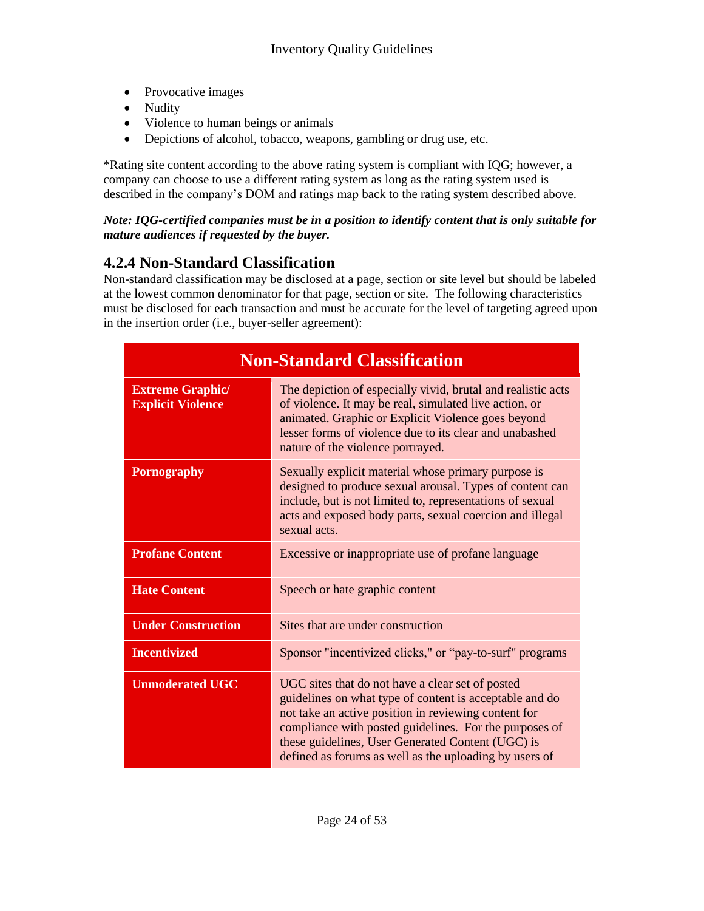- Provocative images
- Nudity
- Violence to human beings or animals
- Depictions of alcohol, tobacco, weapons, gambling or drug use, etc.

\*Rating site content according to the above rating system is compliant with IQG; however, a company can choose to use a different rating system as long as the rating system used is described in the company's DOM and ratings map back to the rating system described above.

#### *Note: IQG-certified companies must be in a position to identify content that is only suitable for mature audiences if requested by the buyer.*

## **4.2.4 Non-Standard Classification**

Non-standard classification may be disclosed at a page, section or site level but should be labeled at the lowest common denominator for that page, section or site. The following characteristics must be disclosed for each transaction and must be accurate for the level of targeting agreed upon in the insertion order (i.e., buyer-seller agreement):

| <b>Non-Standard Classification</b>                                                                                                                                                                                                                                                                                                  |                                                                                                                                                                                                                                                                                                                                              |  |
|-------------------------------------------------------------------------------------------------------------------------------------------------------------------------------------------------------------------------------------------------------------------------------------------------------------------------------------|----------------------------------------------------------------------------------------------------------------------------------------------------------------------------------------------------------------------------------------------------------------------------------------------------------------------------------------------|--|
| The depiction of especially vivid, brutal and realistic acts<br><b>Extreme Graphic/</b><br>of violence. It may be real, simulated live action, or<br><b>Explicit Violence</b><br>animated. Graphic or Explicit Violence goes beyond<br>lesser forms of violence due to its clear and unabashed<br>nature of the violence portrayed. |                                                                                                                                                                                                                                                                                                                                              |  |
| <b>Pornography</b>                                                                                                                                                                                                                                                                                                                  | Sexually explicit material whose primary purpose is<br>designed to produce sexual arousal. Types of content can<br>include, but is not limited to, representations of sexual<br>acts and exposed body parts, sexual coercion and illegal<br>sexual acts.                                                                                     |  |
| <b>Profane Content</b>                                                                                                                                                                                                                                                                                                              | Excessive or inappropriate use of profane language                                                                                                                                                                                                                                                                                           |  |
| <b>Hate Content</b>                                                                                                                                                                                                                                                                                                                 | Speech or hate graphic content                                                                                                                                                                                                                                                                                                               |  |
| <b>Under Construction</b>                                                                                                                                                                                                                                                                                                           | Sites that are under construction                                                                                                                                                                                                                                                                                                            |  |
| <b>Incentivized</b>                                                                                                                                                                                                                                                                                                                 | Sponsor "incentivized clicks," or "pay-to-surf" programs                                                                                                                                                                                                                                                                                     |  |
| <b>Unmoderated UGC</b>                                                                                                                                                                                                                                                                                                              | UGC sites that do not have a clear set of posted<br>guidelines on what type of content is acceptable and do<br>not take an active position in reviewing content for<br>compliance with posted guidelines. For the purposes of<br>these guidelines, User Generated Content (UGC) is<br>defined as forums as well as the uploading by users of |  |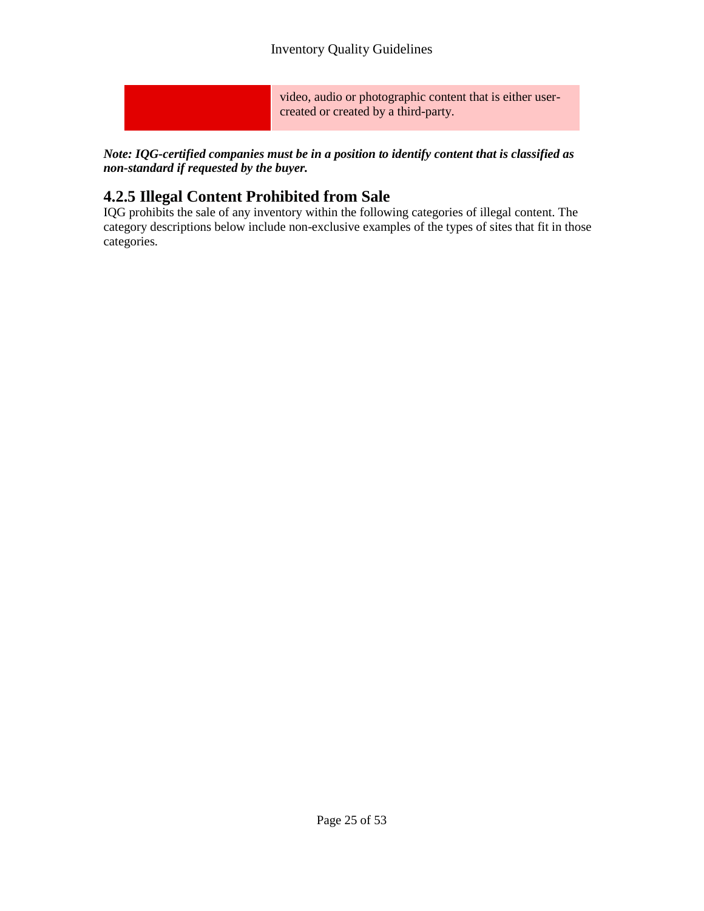video, audio or photographic content that is either usercreated or created by a third-party.

*Note: IQG-certified companies must be in a position to identify content that is classified as non-standard if requested by the buyer.*

## **4.2.5 Illegal Content Prohibited from Sale**

IQG prohibits the sale of any inventory within the following categories of illegal content. The category descriptions below include non-exclusive examples of the types of sites that fit in those categories.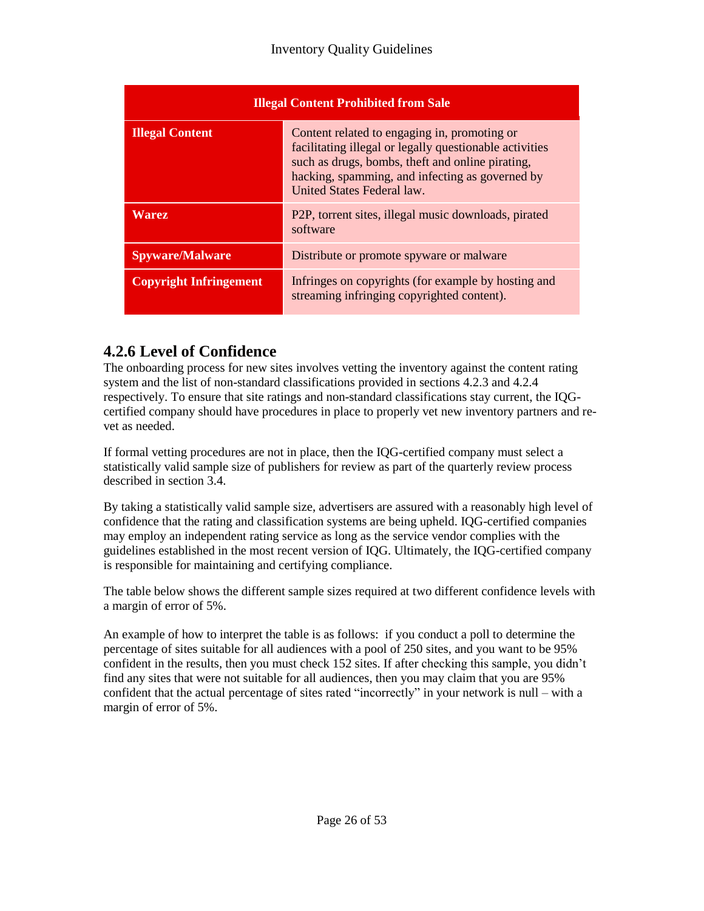| <b>Illegal Content Prohibited from Sale</b> |                                                                                                                                                                                                                                              |
|---------------------------------------------|----------------------------------------------------------------------------------------------------------------------------------------------------------------------------------------------------------------------------------------------|
| <b>Illegal Content</b>                      | Content related to engaging in, promoting or<br>facilitating illegal or legally questionable activities<br>such as drugs, bombs, theft and online pirating,<br>hacking, spamming, and infecting as governed by<br>United States Federal law. |
| <b>Warez</b>                                | P <sub>2</sub> P, torrent sites, illegal music downloads, pirated<br>software                                                                                                                                                                |
| <b>Spyware/Malware</b>                      | Distribute or promote spyware or malware                                                                                                                                                                                                     |
| <b>Copyright Infringement</b>               | Infringes on copyrights (for example by hosting and<br>streaming infringing copyrighted content).                                                                                                                                            |

## **4.2.6 Level of Confidence**

The onboarding process for new sites involves vetting the inventory against the content rating system and the list of non-standard classifications provided in sections 4.2.3 and 4.2.4 respectively. To ensure that site ratings and non-standard classifications stay current, the IQGcertified company should have procedures in place to properly vet new inventory partners and revet as needed.

If formal vetting procedures are not in place, then the IQG-certified company must select a statistically valid sample size of publishers for review as part of the quarterly review process described in section 3.4.

By taking a statistically valid sample size, advertisers are assured with a reasonably high level of confidence that the rating and classification systems are being upheld. IQG-certified companies may employ an independent rating service as long as the service vendor complies with the guidelines established in the most recent version of IQG. Ultimately, the IQG-certified company is responsible for maintaining and certifying compliance.

The table below shows the different sample sizes required at two different confidence levels with a margin of error of 5%.

An example of how to interpret the table is as follows: if you conduct a poll to determine the percentage of sites suitable for all audiences with a pool of 250 sites, and you want to be 95% confident in the results, then you must check 152 sites. If after checking this sample, you didn't find any sites that were not suitable for all audiences, then you may claim that you are 95% confident that the actual percentage of sites rated "incorrectly" in your network is null – with a margin of error of 5%.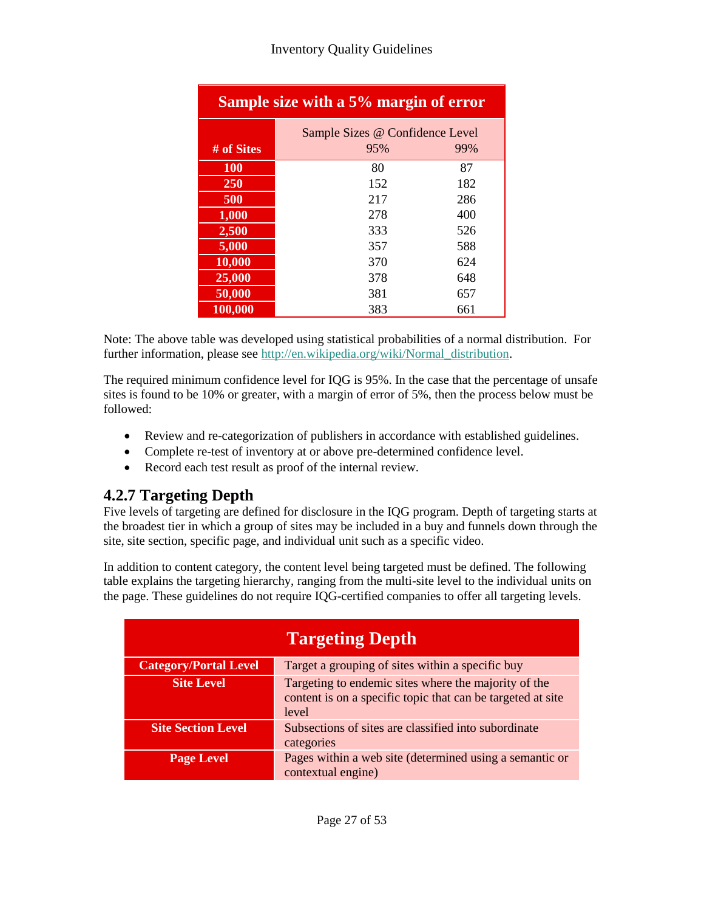| Sample size with a 5% margin of error |                                 |     |
|---------------------------------------|---------------------------------|-----|
|                                       | Sample Sizes @ Confidence Level |     |
| # of Sites                            | 95%                             | 99% |
| <b>100</b>                            | 80                              | 87  |
| 250                                   | 152                             | 182 |
| 500                                   | 217                             | 286 |
| 1,000                                 | 278                             | 400 |
| 2,500                                 | 333                             | 526 |
| 5,000                                 | 357                             | 588 |
| 10,000                                | 370                             | 624 |
| 25,000                                | 378                             | 648 |
| 50,000                                | 381                             | 657 |
| 100,000                               | 383                             | 661 |

Note: The above table was developed using statistical probabilities of a normal distribution. For further information, please see [http://en.wikipedia.org/wiki/Normal\\_distribution.](http://en.wikipedia.org/wiki/Normal_distribution)

The required minimum confidence level for IQG is 95%. In the case that the percentage of unsafe sites is found to be 10% or greater, with a margin of error of 5%, then the process below must be followed:

- Review and re-categorization of publishers in accordance with established guidelines.
- Complete re-test of inventory at or above pre-determined confidence level.
- Record each test result as proof of the internal review.

## **4.2.7 Targeting Depth**

Five levels of targeting are defined for disclosure in the IQG program. Depth of targeting starts at the broadest tier in which a group of sites may be included in a buy and funnels down through the site, site section, specific page, and individual unit such as a specific video.

In addition to content category, the content level being targeted must be defined. The following table explains the targeting hierarchy, ranging from the multi-site level to the individual units on the page. These guidelines do not require IQG-certified companies to offer all targeting levels.

| <b>Targeting Depth</b>                                                           |                                                                                                                              |
|----------------------------------------------------------------------------------|------------------------------------------------------------------------------------------------------------------------------|
| Target a grouping of sites within a specific buy<br><b>Category/Portal Level</b> |                                                                                                                              |
| <b>Site Level</b>                                                                | Targeting to endemic sites where the majority of the<br>content is on a specific topic that can be targeted at site<br>level |
| <b>Site Section Level</b>                                                        | Subsections of sites are classified into subordinate<br>categories                                                           |
| <b>Page Level</b>                                                                | Pages within a web site (determined using a semantic or<br>contextual engine)                                                |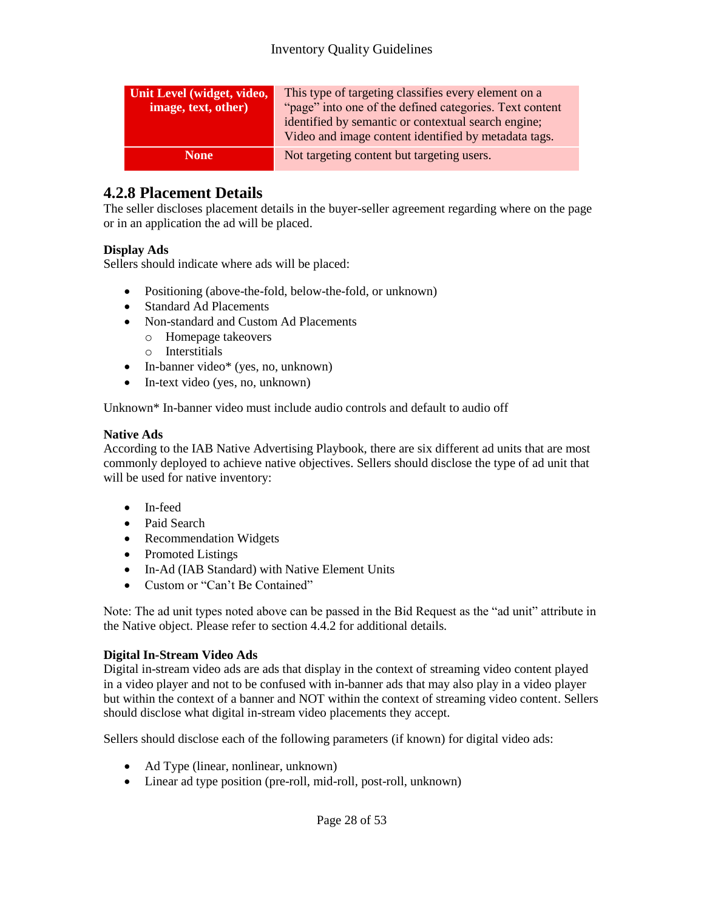| Unit Level (widget, video, | This type of targeting classifies every element on a    |  |
|----------------------------|---------------------------------------------------------|--|
| image, text, other)        | "page" into one of the defined categories. Text content |  |
|                            | identified by semantic or contextual search engine;     |  |
|                            | Video and image content identified by metadata tags.    |  |
| <b>None</b>                | Not targeting content but targeting users.              |  |

### **4.2.8 Placement Details**

The seller discloses placement details in the buyer-seller agreement regarding where on the page or in an application the ad will be placed.

#### **Display Ads**

Sellers should indicate where ads will be placed:

- Positioning (above-the-fold, below-the-fold, or unknown)
- Standard Ad Placements
- Non-standard and Custom Ad Placements
	- o Homepage takeovers
	- o Interstitials
- In-banner video\* (yes, no, unknown)
- In-text video (yes, no, unknown)

Unknown\* In-banner video must include audio controls and default to audio off

#### **Native Ads**

According to the IAB Native Advertising Playbook, there are six different ad units that are most commonly deployed to achieve native objectives. Sellers should disclose the type of ad unit that will be used for native inventory:

- In-feed
- Paid Search
- Recommendation Widgets
- Promoted Listings
- In-Ad (IAB Standard) with Native Element Units
- Custom or "Can't Be Contained"

Note: The ad unit types noted above can be passed in the Bid Request as the "ad unit" attribute in the Native object. Please refer to section 4.4.2 for additional details.

#### **Digital In-Stream Video Ads**

Digital in-stream video ads are ads that display in the context of streaming video content played in a video player and not to be confused with in-banner ads that may also play in a video player but within the context of a banner and NOT within the context of streaming video content. Sellers should disclose what digital in-stream video placements they accept.

Sellers should disclose each of the following parameters (if known) for digital video ads:

- Ad Type (linear, nonlinear, unknown)
- Linear ad type position (pre-roll, mid-roll, post-roll, unknown)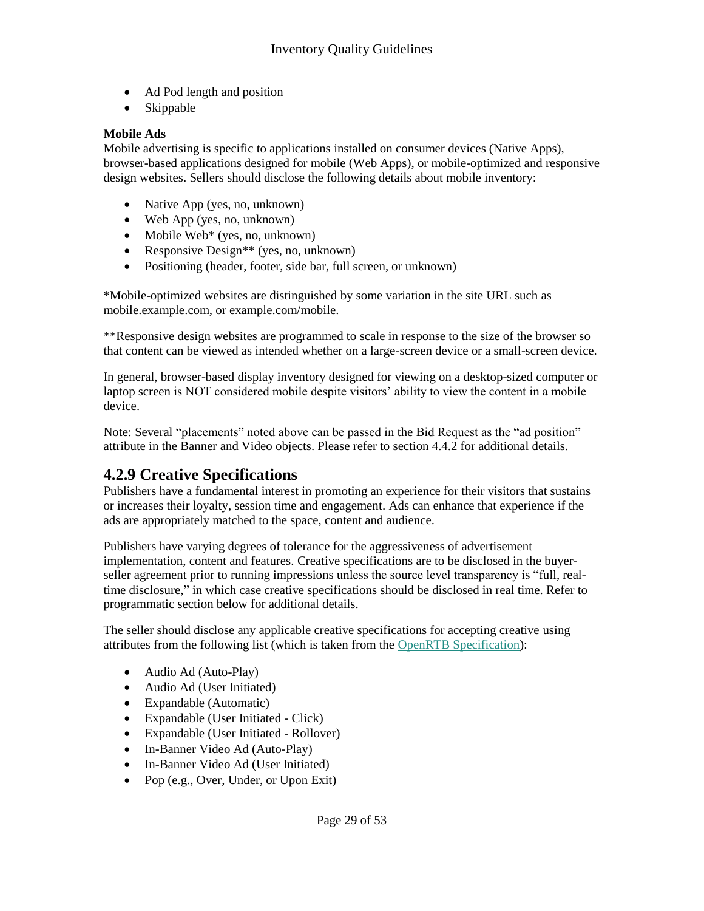- Ad Pod length and position
- Skippable

#### **Mobile Ads**

Mobile advertising is specific to applications installed on consumer devices (Native Apps), browser-based applications designed for mobile (Web Apps), or mobile-optimized and responsive design websites. Sellers should disclose the following details about mobile inventory:

- Native App (yes, no, unknown)
- Web App (yes, no, unknown)
- Mobile Web $*$  (yes, no, unknown)
- Responsive Design<sup>\*\*</sup> (yes, no, unknown)
- Positioning (header, footer, side bar, full screen, or unknown)

\*Mobile-optimized websites are distinguished by some variation in the site URL such as mobile.example.com, or example.com/mobile.

\*\*Responsive design websites are programmed to scale in response to the size of the browser so that content can be viewed as intended whether on a large-screen device or a small-screen device.

In general, browser-based display inventory designed for viewing on a desktop-sized computer or laptop screen is NOT considered mobile despite visitors' ability to view the content in a mobile device.

Note: Several "placements" noted above can be passed in the Bid Request as the "ad position" attribute in the Banner and Video objects. Please refer to section 4.4.2 for additional details.

### **4.2.9 Creative Specifications**

Publishers have a fundamental interest in promoting an experience for their visitors that sustains or increases their loyalty, session time and engagement. Ads can enhance that experience if the ads are appropriately matched to the space, content and audience.

Publishers have varying degrees of tolerance for the aggressiveness of advertisement implementation, content and features. Creative specifications are to be disclosed in the buyerseller agreement prior to running impressions unless the source level transparency is "full, realtime disclosure," in which case creative specifications should be disclosed in real time. Refer to programmatic section below for additional details.

The seller should disclose any applicable creative specifications for accepting creative using attributes from the following list (which is taken from the [OpenRTB Specification\)](http://www.iab.com/guidelines/real-time-bidding-rtb-project/):

- Audio Ad (Auto-Play)
- Audio Ad (User Initiated)
- Expandable (Automatic)
- Expandable (User Initiated Click)
- Expandable (User Initiated Rollover)
- In-Banner Video Ad (Auto-Play)
- In-Banner Video Ad (User Initiated)
- Pop (e.g., Over, Under, or Upon Exit)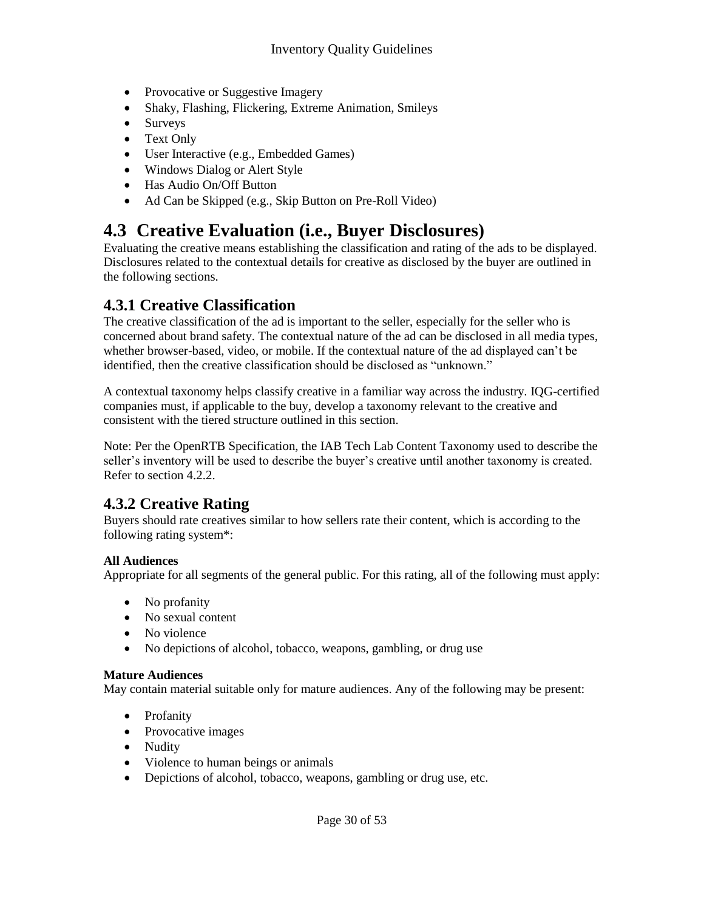- Provocative or Suggestive Imagery
- Shaky, Flashing, Flickering, Extreme Animation, Smileys
- Surveys
- Text Only
- User Interactive (e.g., Embedded Games)
- Windows Dialog or Alert Style
- Has Audio On/Off Button
- Ad Can be Skipped (e.g., Skip Button on Pre-Roll Video)

## **4.3 Creative Evaluation (i.e., Buyer Disclosures)**

Evaluating the creative means establishing the classification and rating of the ads to be displayed. Disclosures related to the contextual details for creative as disclosed by the buyer are outlined in the following sections.

### **4.3.1 Creative Classification**

The creative classification of the ad is important to the seller, especially for the seller who is concerned about brand safety. The contextual nature of the ad can be disclosed in all media types, whether browser-based, video, or mobile. If the contextual nature of the ad displayed can't be identified, then the creative classification should be disclosed as "unknown."

A contextual taxonomy helps classify creative in a familiar way across the industry. IQG-certified companies must, if applicable to the buy, develop a taxonomy relevant to the creative and consistent with the tiered structure outlined in this section.

Note: Per the OpenRTB Specification, the IAB Tech Lab Content Taxonomy used to describe the seller's inventory will be used to describe the buyer's creative until another taxonomy is created. Refer to section 4.2.2.

## **4.3.2 Creative Rating**

Buyers should rate creatives similar to how sellers rate their content, which is according to the following rating system\*:

#### **All Audiences**

Appropriate for all segments of the general public. For this rating, all of the following must apply:

- No profanity
- No sexual content
- No violence
- No depictions of alcohol, tobacco, weapons, gambling, or drug use

#### **Mature Audiences**

May contain material suitable only for mature audiences. Any of the following may be present:

- Profanity
- Provocative images
- Nudity
- Violence to human beings or animals
- Depictions of alcohol, tobacco, weapons, gambling or drug use, etc.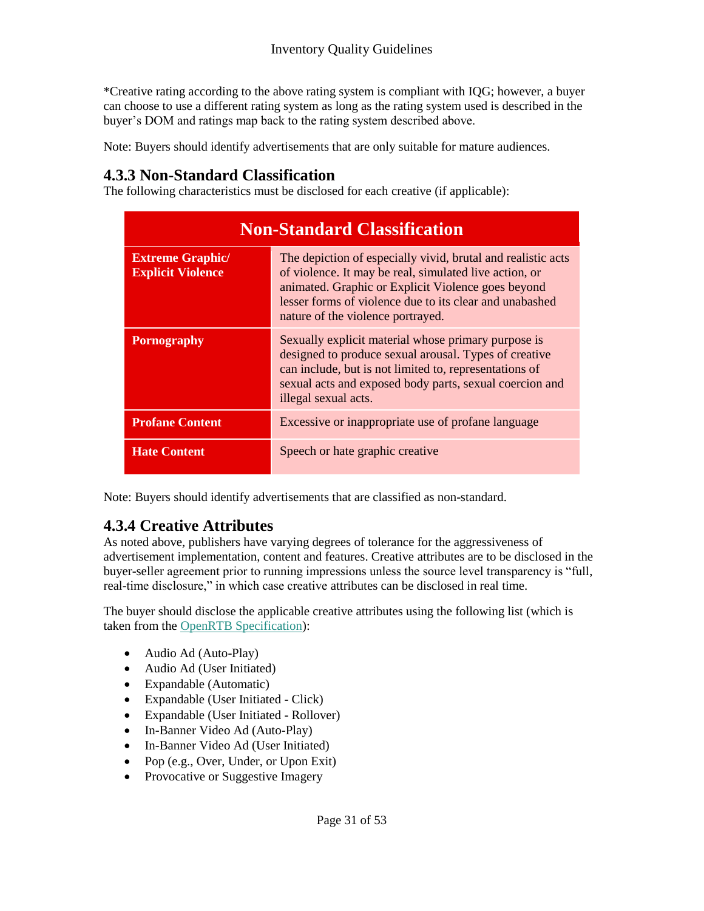\*Creative rating according to the above rating system is compliant with IQG; however, a buyer can choose to use a different rating system as long as the rating system used is described in the buyer's DOM and ratings map back to the rating system described above.

Note: Buyers should identify advertisements that are only suitable for mature audiences.

### **4.3.3 Non-Standard Classification**

The following characteristics must be disclosed for each creative (if applicable):

| <b>Non-Standard Classification</b>                                                                                                                                                                                                                                                                                                  |                                                                                                                                                                                                                                                           |
|-------------------------------------------------------------------------------------------------------------------------------------------------------------------------------------------------------------------------------------------------------------------------------------------------------------------------------------|-----------------------------------------------------------------------------------------------------------------------------------------------------------------------------------------------------------------------------------------------------------|
| The depiction of especially vivid, brutal and realistic acts<br><b>Extreme Graphic/</b><br>of violence. It may be real, simulated live action, or<br><b>Explicit Violence</b><br>animated. Graphic or Explicit Violence goes beyond<br>lesser forms of violence due to its clear and unabashed<br>nature of the violence portrayed. |                                                                                                                                                                                                                                                           |
| <b>Pornography</b>                                                                                                                                                                                                                                                                                                                  | Sexually explicit material whose primary purpose is<br>designed to produce sexual arousal. Types of creative<br>can include, but is not limited to, representations of<br>sexual acts and exposed body parts, sexual coercion and<br>illegal sexual acts. |
| <b>Profane Content</b>                                                                                                                                                                                                                                                                                                              | Excessive or inappropriate use of profane language                                                                                                                                                                                                        |
| <b>Hate Content</b>                                                                                                                                                                                                                                                                                                                 | Speech or hate graphic creative                                                                                                                                                                                                                           |

Note: Buyers should identify advertisements that are classified as non-standard.

### **4.3.4 Creative Attributes**

As noted above, publishers have varying degrees of tolerance for the aggressiveness of advertisement implementation, content and features. Creative attributes are to be disclosed in the buyer-seller agreement prior to running impressions unless the source level transparency is "full, real-time disclosure," in which case creative attributes can be disclosed in real time.

The buyer should disclose the applicable creative attributes using the following list (which is taken from the [OpenRTB Specification\)](http://www.iab.com/guidelines/real-time-bidding-rtb-project/):

- Audio Ad (Auto-Play)
- Audio Ad (User Initiated)
- Expandable (Automatic)
- Expandable (User Initiated Click)
- Expandable (User Initiated Rollover)
- In-Banner Video Ad (Auto-Play)
- In-Banner Video Ad (User Initiated)
- Pop (e.g., Over, Under, or Upon Exit)
- Provocative or Suggestive Imagery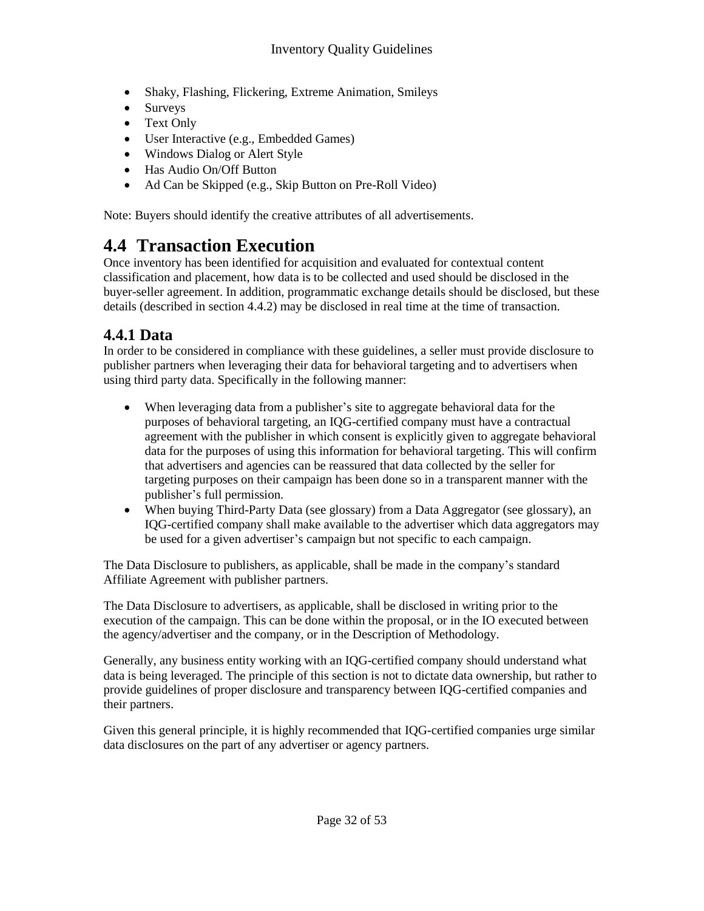- Shaky, Flashing, Flickering, Extreme Animation, Smileys
- Surveys
- Text Only
- User Interactive (e.g., Embedded Games)
- Windows Dialog or Alert Style
- Has Audio On/Off Button
- Ad Can be Skipped (e.g., Skip Button on Pre-Roll Video)

Note: Buyers should identify the creative attributes of all advertisements.

## **4.4 Transaction Execution**

Once inventory has been identified for acquisition and evaluated for contextual content classification and placement, how data is to be collected and used should be disclosed in the buyer-seller agreement. In addition, programmatic exchange details should be disclosed, but these details (described in section 4.4.2) may be disclosed in real time at the time of transaction.

## **4.4.1 Data**

In order to be considered in compliance with these guidelines, a seller must provide disclosure to publisher partners when leveraging their data for behavioral targeting and to advertisers when using third party data. Specifically in the following manner:

- When leveraging data from a publisher's site to aggregate behavioral data for the purposes of behavioral targeting, an IQG-certified company must have a contractual agreement with the publisher in which consent is explicitly given to aggregate behavioral data for the purposes of using this information for behavioral targeting. This will confirm that advertisers and agencies can be reassured that data collected by the seller for targeting purposes on their campaign has been done so in a transparent manner with the publisher's full permission.
- When buying Third-Party Data (see glossary) from a Data Aggregator (see glossary), an IQG-certified company shall make available to the advertiser which data aggregators may be used for a given advertiser's campaign but not specific to each campaign.

The Data Disclosure to publishers, as applicable, shall be made in the company's standard Affiliate Agreement with publisher partners.

The Data Disclosure to advertisers, as applicable, shall be disclosed in writing prior to the execution of the campaign. This can be done within the proposal, or in the IO executed between the agency/advertiser and the company, or in the Description of Methodology.

Generally, any business entity working with an IQG-certified company should understand what data is being leveraged. The principle of this section is not to dictate data ownership, but rather to provide guidelines of proper disclosure and transparency between IQG-certified companies and their partners.

Given this general principle, it is highly recommended that IQG-certified companies urge similar data disclosures on the part of any advertiser or agency partners.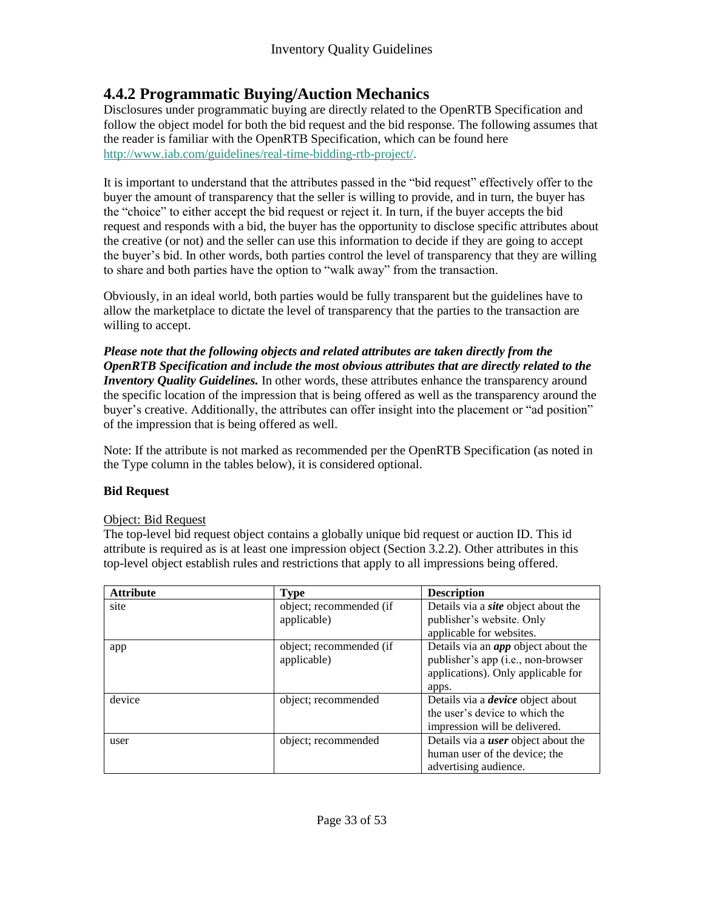## **4.4.2 Programmatic Buying/Auction Mechanics**

Disclosures under programmatic buying are directly related to the OpenRTB Specification and follow the object model for both the bid request and the bid response. The following assumes that the reader is familiar with the OpenRTB Specification, which can be found here [http://www.iab.com/guidelines/real-time-bidding-rtb-project/.](http://www.iab.com/guidelines/real-time-bidding-rtb-project/)

It is important to understand that the attributes passed in the "bid request" effectively offer to the buyer the amount of transparency that the seller is willing to provide, and in turn, the buyer has the "choice" to either accept the bid request or reject it. In turn, if the buyer accepts the bid request and responds with a bid, the buyer has the opportunity to disclose specific attributes about the creative (or not) and the seller can use this information to decide if they are going to accept the buyer's bid. In other words, both parties control the level of transparency that they are willing to share and both parties have the option to "walk away" from the transaction.

Obviously, in an ideal world, both parties would be fully transparent but the guidelines have to allow the marketplace to dictate the level of transparency that the parties to the transaction are willing to accept.

*Please note that the following objects and related attributes are taken directly from the OpenRTB Specification and include the most obvious attributes that are directly related to the Inventory Quality Guidelines.* In other words, these attributes enhance the transparency around the specific location of the impression that is being offered as well as the transparency around the buyer's creative. Additionally, the attributes can offer insight into the placement or "ad position" of the impression that is being offered as well.

Note: If the attribute is not marked as recommended per the OpenRTB Specification (as noted in the Type column in the tables below), it is considered optional.

#### **Bid Request**

#### Object: Bid Request

The top-level bid request object contains a globally unique bid request or auction ID. This id attribute is required as is at least one impression object (Section 3.2.2). Other attributes in this top-level object establish rules and restrictions that apply to all impressions being offered.

| <b>Attribute</b> | <b>Type</b>                            | <b>Description</b>                                                                                                     |
|------------------|----------------------------------------|------------------------------------------------------------------------------------------------------------------------|
| site             | object; recommended (if<br>applicable) | Details via a <i>site</i> object about the<br>publisher's website. Only                                                |
|                  |                                        | applicable for websites.                                                                                               |
| app              | object; recommended (if<br>applicable) | Details via an <i>app</i> object about the<br>publisher's app (i.e., non-browser<br>applications). Only applicable for |
| device           | object; recommended                    | apps.<br>Details via a <i>device</i> object about                                                                      |
|                  |                                        | the user's device to which the                                                                                         |
|                  |                                        | impression will be delivered.                                                                                          |
| user             | object; recommended                    | Details via a <i>user</i> object about the                                                                             |
|                  |                                        | human user of the device; the                                                                                          |
|                  |                                        | advertising audience.                                                                                                  |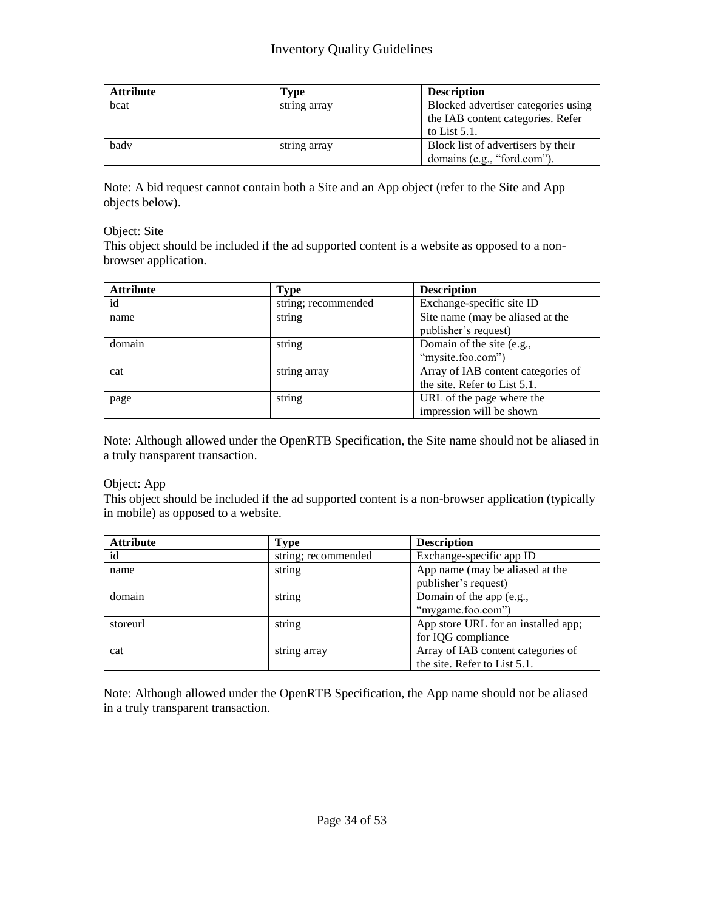| <b>Attribute</b> | Type         | <b>Description</b>                  |
|------------------|--------------|-------------------------------------|
| bcat             | string array | Blocked advertiser categories using |
|                  |              | the IAB content categories. Refer   |
|                  |              | to List $5.1$ .                     |
| bady             | string array | Block list of advertisers by their  |
|                  |              | domains (e.g., "ford.com").         |

Note: A bid request cannot contain both a Site and an App object (refer to the Site and App objects below).

#### Object: Site

This object should be included if the ad supported content is a website as opposed to a nonbrowser application.

| <b>Attribute</b> | <b>Type</b>         | <b>Description</b>                                                 |
|------------------|---------------------|--------------------------------------------------------------------|
| id               | string; recommended | Exchange-specific site ID                                          |
| name             | string              | Site name (may be aliased at the<br>publisher's request)           |
| domain           | string              | Domain of the site (e.g.,<br>"mysite.foo.com")                     |
| cat              | string array        | Array of IAB content categories of<br>the site. Refer to List 5.1. |
| page             | string              | URL of the page where the<br>impression will be shown              |

Note: Although allowed under the OpenRTB Specification, the Site name should not be aliased in a truly transparent transaction.

#### Object: App

This object should be included if the ad supported content is a non-browser application (typically in mobile) as opposed to a website.

| <b>Attribute</b> | <b>Type</b>         | <b>Description</b>                                                 |
|------------------|---------------------|--------------------------------------------------------------------|
| id               | string; recommended | Exchange-specific app ID                                           |
| name             | string              | App name (may be aliased at the<br>publisher's request)            |
| domain           | string              | Domain of the app (e.g.,<br>"mygame.foo.com")                      |
| storeurl         | string              | App store URL for an installed app;<br>for IQG compliance          |
| cat              | string array        | Array of IAB content categories of<br>the site. Refer to List 5.1. |

Note: Although allowed under the OpenRTB Specification, the App name should not be aliased in a truly transparent transaction.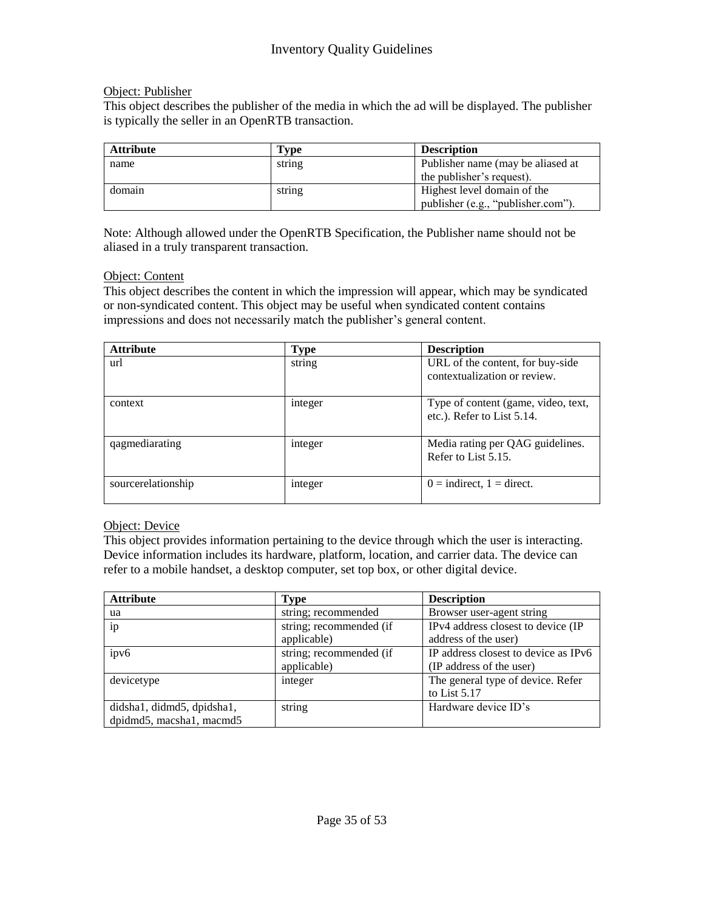#### Object: Publisher

This object describes the publisher of the media in which the ad will be displayed. The publisher is typically the seller in an OpenRTB transaction.

| <b>Attribute</b> | Fvpe   | <b>Description</b>                 |
|------------------|--------|------------------------------------|
| name             | string | Publisher name (may be aliased at  |
|                  |        | the publisher's request).          |
| domain           | string | Highest level domain of the        |
|                  |        | publisher (e.g., "publisher.com"). |

Note: Although allowed under the OpenRTB Specification, the Publisher name should not be aliased in a truly transparent transaction.

#### Object: Content

This object describes the content in which the impression will appear, which may be syndicated or non-syndicated content. This object may be useful when syndicated content contains impressions and does not necessarily match the publisher's general content.

| <b>Attribute</b>   | <b>Type</b> | <b>Description</b>                                                |
|--------------------|-------------|-------------------------------------------------------------------|
| url                | string      | URL of the content, for buy-side<br>contextualization or review.  |
| context            | integer     | Type of content (game, video, text,<br>etc.). Refer to List 5.14. |
| qagmediarating     | integer     | Media rating per QAG guidelines.<br>Refer to List 5.15.           |
| sourcerelationship | integer     | $0 =$ indirect, $1 =$ direct.                                     |

#### Object: Device

This object provides information pertaining to the device through which the user is interacting. Device information includes its hardware, platform, location, and carrier data. The device can refer to a mobile handset, a desktop computer, set top box, or other digital device.

| <b>Attribute</b>           | <b>Type</b>             | <b>Description</b>                   |
|----------------------------|-------------------------|--------------------------------------|
| ua                         | string; recommended     | Browser user-agent string            |
| ip                         | string; recommended (if | IPv4 address closest to device (IP   |
|                            | applicable)             | address of the user)                 |
| ipv6                       | string; recommended (if | IP address closest to device as IPv6 |
|                            | applicable)             | (IP address of the user)             |
| devicetype                 | integer                 | The general type of device. Refer    |
|                            |                         | to List $5.17$                       |
| didsha1, didmd5, dpidsha1, | string                  | Hardware device ID's                 |
| dpidmd5, macsha1, macmd5   |                         |                                      |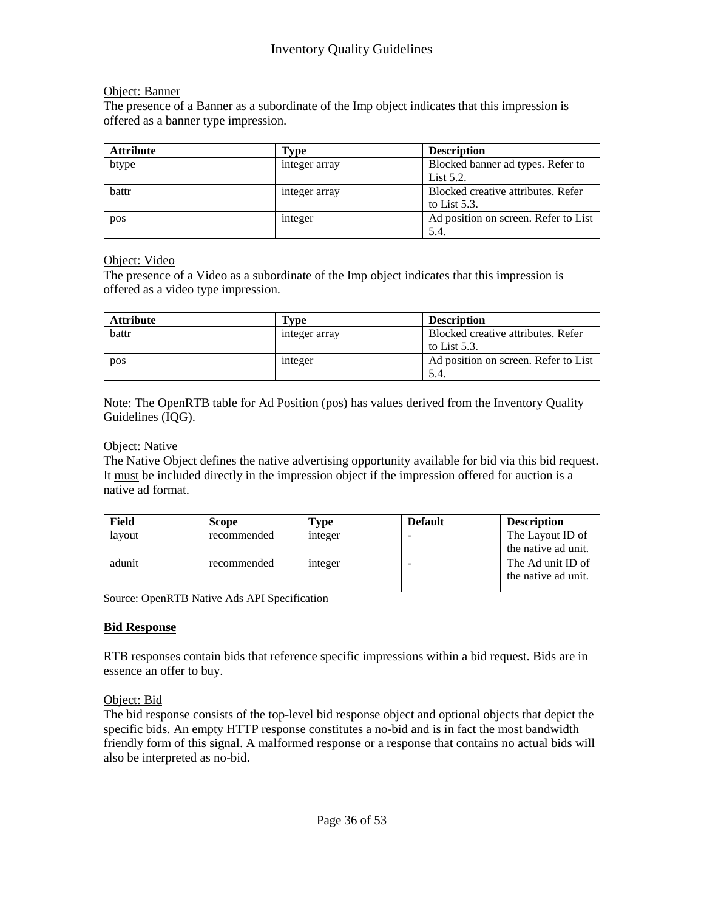#### Object: Banner

The presence of a Banner as a subordinate of the Imp object indicates that this impression is offered as a banner type impression.

| <b>Attribute</b> | Type          | <b>Description</b>                   |
|------------------|---------------|--------------------------------------|
| btype            | integer array | Blocked banner ad types. Refer to    |
|                  |               | List $5.2$ .                         |
| battr            | integer array | Blocked creative attributes. Refer   |
|                  |               | to List $5.3$ .                      |
| pos              | integer       | Ad position on screen. Refer to List |
|                  |               | 5.4.                                 |

#### Object: Video

The presence of a Video as a subordinate of the Imp object indicates that this impression is offered as a video type impression.

| <b>Attribute</b> | Tvpe          | <b>Description</b>                                    |
|------------------|---------------|-------------------------------------------------------|
| battr            | integer array | Blocked creative attributes. Refer<br>to List $5.3$ . |
| pos              | integer       | Ad position on screen. Refer to List<br>5.4.          |

Note: The OpenRTB table for Ad Position (pos) has values derived from the Inventory Quality Guidelines (IQG).

#### Object: Native

The Native Object defines the native advertising opportunity available for bid via this bid request. It must be included directly in the impression object if the impression offered for auction is a native ad format.

| Field  | <b>Scope</b> | Tvpe    | <b>Default</b>           | <b>Description</b>                       |
|--------|--------------|---------|--------------------------|------------------------------------------|
| lavout | recommended  | integer |                          | The Layout ID of                         |
|        |              |         |                          | the native ad unit.                      |
| adunit | recommended  | integer | $\overline{\phantom{a}}$ | The Ad unit ID of<br>the native ad unit. |

Source: OpenRTB Native Ads API Specification

#### **Bid Response**

RTB responses contain bids that reference specific impressions within a bid request. Bids are in essence an offer to buy.

#### Object: Bid

The bid response consists of the top-level bid response object and optional objects that depict the specific bids. An empty HTTP response constitutes a no-bid and is in fact the most bandwidth friendly form of this signal. A malformed response or a response that contains no actual bids will also be interpreted as no-bid.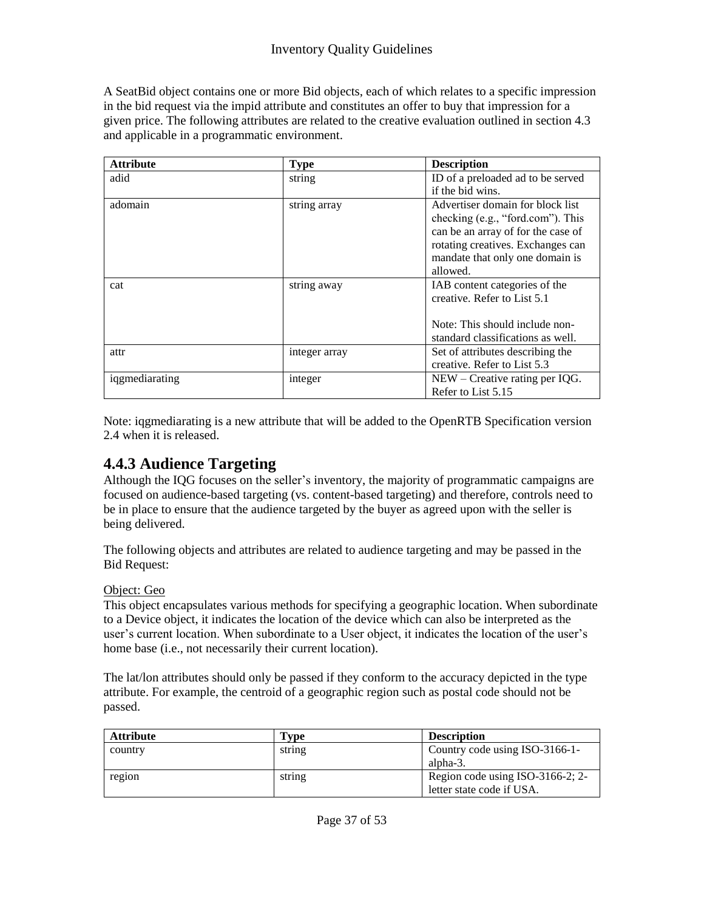A SeatBid object contains one or more Bid objects, each of which relates to a specific impression in the bid request via the impid attribute and constitutes an offer to buy that impression for a given price. The following attributes are related to the creative evaluation outlined in section 4.3 and applicable in a programmatic environment.

| <b>Attribute</b> | <b>Type</b>   | <b>Description</b>                 |
|------------------|---------------|------------------------------------|
| adid             | string        | ID of a preloaded ad to be served  |
|                  |               | if the bid wins.                   |
| adomain          | string array  | Advertiser domain for block list   |
|                  |               | checking (e.g., "ford.com"). This  |
|                  |               | can be an array of for the case of |
|                  |               | rotating creatives. Exchanges can  |
|                  |               | mandate that only one domain is    |
|                  |               | allowed.                           |
| cat              | string away   | IAB content categories of the      |
|                  |               | creative. Refer to List 5.1        |
|                  |               |                                    |
|                  |               | Note: This should include non-     |
|                  |               | standard classifications as well.  |
| attr             | integer array | Set of attributes describing the   |
|                  |               | creative. Refer to List 5.3        |
| iqgmediarating   | integer       | $NEW - Creative$ rating per IQG.   |
|                  |               | Refer to List 5.15                 |

Note: iqgmediarating is a new attribute that will be added to the OpenRTB Specification version 2.4 when it is released.

## **4.4.3 Audience Targeting**

Although the IQG focuses on the seller's inventory, the majority of programmatic campaigns are focused on audience-based targeting (vs. content-based targeting) and therefore, controls need to be in place to ensure that the audience targeted by the buyer as agreed upon with the seller is being delivered.

The following objects and attributes are related to audience targeting and may be passed in the Bid Request:

#### Object: Geo

This object encapsulates various methods for specifying a geographic location. When subordinate to a Device object, it indicates the location of the device which can also be interpreted as the user's current location. When subordinate to a User object, it indicates the location of the user's home base (i.e., not necessarily their current location).

The lat/lon attributes should only be passed if they conform to the accuracy depicted in the type attribute. For example, the centroid of a geographic region such as postal code should not be passed.

| Attribute | Tvpe   | <b>Description</b>               |
|-----------|--------|----------------------------------|
| country   | string | Country code using ISO-3166-1-   |
|           |        | alpha-3.                         |
| region    | string | Region code using ISO-3166-2; 2- |
|           |        | letter state code if USA.        |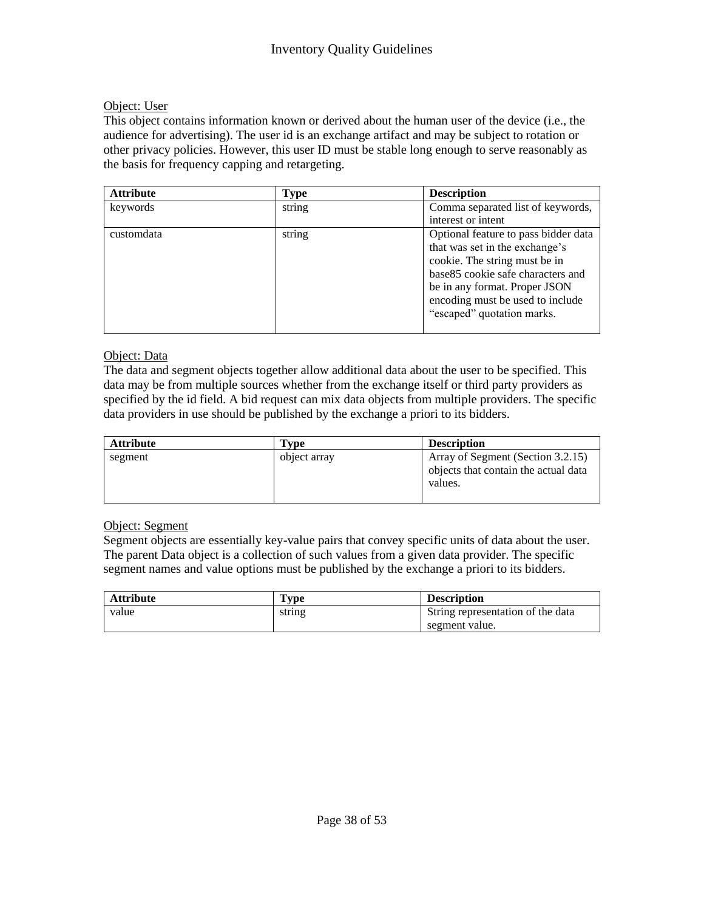#### Object: User

This object contains information known or derived about the human user of the device (i.e., the audience for advertising). The user id is an exchange artifact and may be subject to rotation or other privacy policies. However, this user ID must be stable long enough to serve reasonably as the basis for frequency capping and retargeting.

| <b>Attribute</b> | <b>Type</b> | <b>Description</b>                                                                                                                                                             |
|------------------|-------------|--------------------------------------------------------------------------------------------------------------------------------------------------------------------------------|
| keywords         | string      | Comma separated list of keywords,                                                                                                                                              |
|                  |             | interest or intent                                                                                                                                                             |
| customdata       | string      | Optional feature to pass bidder data<br>that was set in the exchange's<br>cookie. The string must be in<br>base 85 cookie safe characters and<br>be in any format. Proper JSON |
|                  |             | encoding must be used to include<br>"escaped" quotation marks.                                                                                                                 |

#### Object: Data

The data and segment objects together allow additional data about the user to be specified. This data may be from multiple sources whether from the exchange itself or third party providers as specified by the id field. A bid request can mix data objects from multiple providers. The specific data providers in use should be published by the exchange a priori to its bidders.

| <b>Attribute</b> | Type         | <b>Description</b>                                                                   |
|------------------|--------------|--------------------------------------------------------------------------------------|
| segment          | object array | Array of Segment (Section 3.2.15)<br>objects that contain the actual data<br>values. |

#### Object: Segment

Segment objects are essentially key-value pairs that convey specific units of data about the user. The parent Data object is a collection of such values from a given data provider. The specific segment names and value options must be published by the exchange a priori to its bidders.

| <b>Attribute</b> | $\mathbf{T}_{\mathbf{V}}$ | <b>Description</b>                |
|------------------|---------------------------|-----------------------------------|
| value            | string                    | String representation of the data |
|                  |                           | segment value.                    |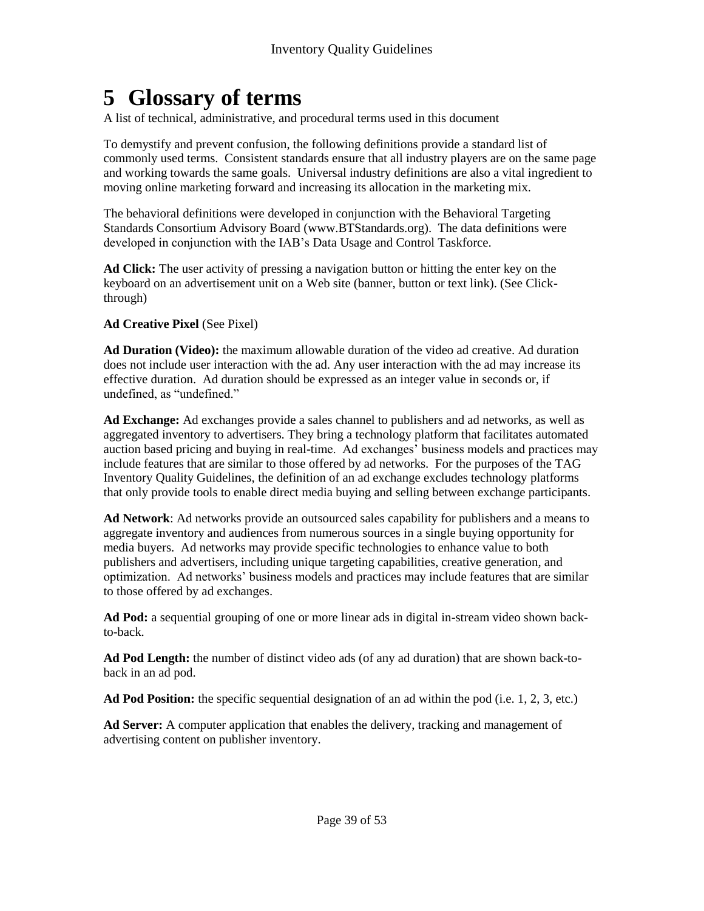# **5 Glossary of terms**

A list of technical, administrative, and procedural terms used in this document

To demystify and prevent confusion, the following definitions provide a standard list of commonly used terms. Consistent standards ensure that all industry players are on the same page and working towards the same goals. Universal industry definitions are also a vital ingredient to moving online marketing forward and increasing its allocation in the marketing mix.

The behavioral definitions were developed in conjunction with the Behavioral Targeting Standards Consortium Advisory Board (www.BTStandards.org). The data definitions were developed in conjunction with the IAB's Data Usage and Control Taskforce.

**Ad Click:** The user activity of pressing a navigation button or hitting the enter key on the keyboard on an advertisement unit on a Web site (banner, button or text link). (See Clickthrough)

#### **Ad Creative Pixel** (See Pixel)

**Ad Duration (Video):** the maximum allowable duration of the video ad creative. Ad duration does not include user interaction with the ad. Any user interaction with the ad may increase its effective duration. Ad duration should be expressed as an integer value in seconds or, if undefined, as "undefined."

**Ad Exchange:** Ad exchanges provide a sales channel to publishers and ad networks, as well as aggregated inventory to advertisers. They bring a technology platform that facilitates automated auction based pricing and buying in real-time. Ad exchanges' business models and practices may include features that are similar to those offered by ad networks. For the purposes of the TAG Inventory Quality Guidelines, the definition of an ad exchange excludes technology platforms that only provide tools to enable direct media buying and selling between exchange participants.

**Ad Network**: Ad networks provide an outsourced sales capability for publishers and a means to aggregate inventory and audiences from numerous sources in a single buying opportunity for media buyers. Ad networks may provide specific technologies to enhance value to both publishers and advertisers, including unique targeting capabilities, creative generation, and optimization. Ad networks' business models and practices may include features that are similar to those offered by ad exchanges.

**Ad Pod:** a sequential grouping of one or more linear ads in digital in-stream video shown backto-back.

**Ad Pod Length:** the number of distinct video ads (of any ad duration) that are shown back-toback in an ad pod.

**Ad Pod Position:** the specific sequential designation of an ad within the pod (i.e. 1, 2, 3, etc.)

**Ad Server:** A computer application that enables the delivery, tracking and management of advertising content on publisher inventory.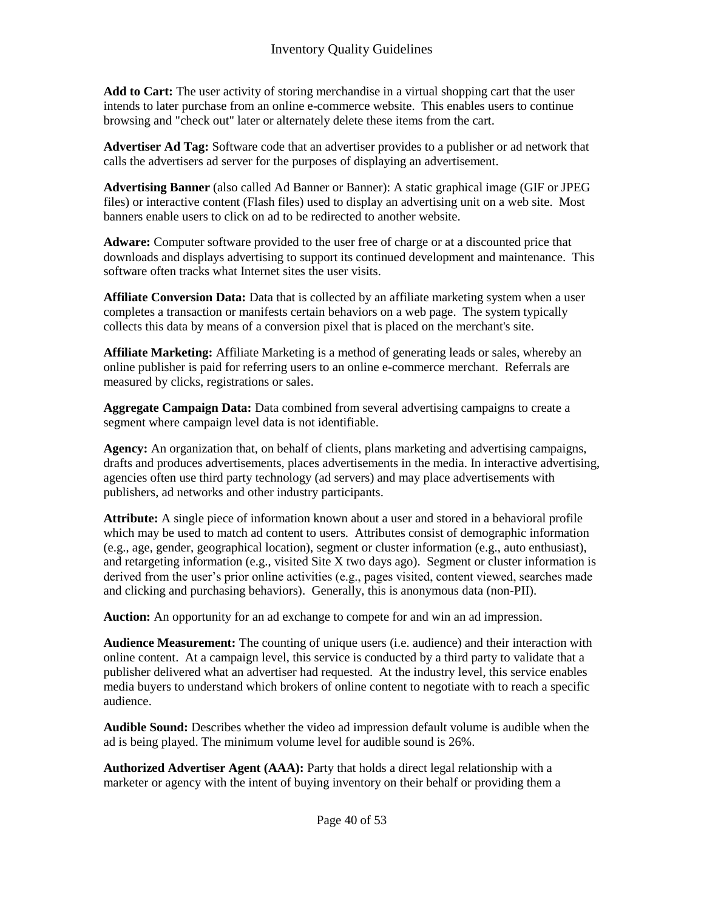**Add to Cart:** The user activity of storing merchandise in a virtual shopping cart that the user intends to later purchase from an online e-commerce website. This enables users to continue browsing and "check out" later or alternately delete these items from the cart.

**Advertiser Ad Tag:** Software code that an advertiser provides to a publisher or ad network that calls the advertisers ad server for the purposes of displaying an advertisement.

**Advertising Banner** (also called Ad Banner or Banner): A static graphical image (GIF or JPEG files) or interactive content (Flash files) used to display an advertising unit on a web site. Most banners enable users to click on ad to be redirected to another website.

**Adware:** Computer software provided to the user free of charge or at a discounted price that downloads and displays advertising to support its continued development and maintenance. This software often tracks what Internet sites the user visits.

**Affiliate Conversion Data:** Data that is collected by an affiliate marketing system when a user completes a transaction or manifests certain behaviors on a web page. The system typically collects this data by means of a conversion pixel that is placed on the merchant's site.

**Affiliate Marketing:** Affiliate Marketing is a method of generating leads or sales, whereby an online publisher is paid for referring users to an online e-commerce merchant. Referrals are measured by clicks, registrations or sales.

**Aggregate Campaign Data:** Data combined from several advertising campaigns to create a segment where campaign level data is not identifiable.

**Agency:** An organization that, on behalf of clients, plans marketing and advertising campaigns, drafts and produces advertisements, places advertisements in the media. In interactive advertising, agencies often use third party technology (ad servers) and may place advertisements with publishers, ad networks and other industry participants.

**Attribute:** A single piece of information known about a user and stored in a behavioral profile which may be used to match ad content to users. Attributes consist of demographic information (e.g., age, gender, geographical location), segment or cluster information (e.g., auto enthusiast), and retargeting information (e.g., visited Site X two days ago). Segment or cluster information is derived from the user's prior online activities (e.g., pages visited, content viewed, searches made and clicking and purchasing behaviors). Generally, this is anonymous data (non-PII).

**Auction:** An opportunity for an ad exchange to compete for and win an ad impression.

**Audience Measurement:** The counting of unique users (i.e. audience) and their interaction with online content. At a campaign level, this service is conducted by a third party to validate that a publisher delivered what an advertiser had requested. At the industry level, this service enables media buyers to understand which brokers of online content to negotiate with to reach a specific audience.

**Audible Sound:** Describes whether the video ad impression default volume is audible when the ad is being played. The minimum volume level for audible sound is 26%.

**Authorized Advertiser Agent (AAA):** Party that holds a direct legal relationship with a marketer or agency with the intent of buying inventory on their behalf or providing them a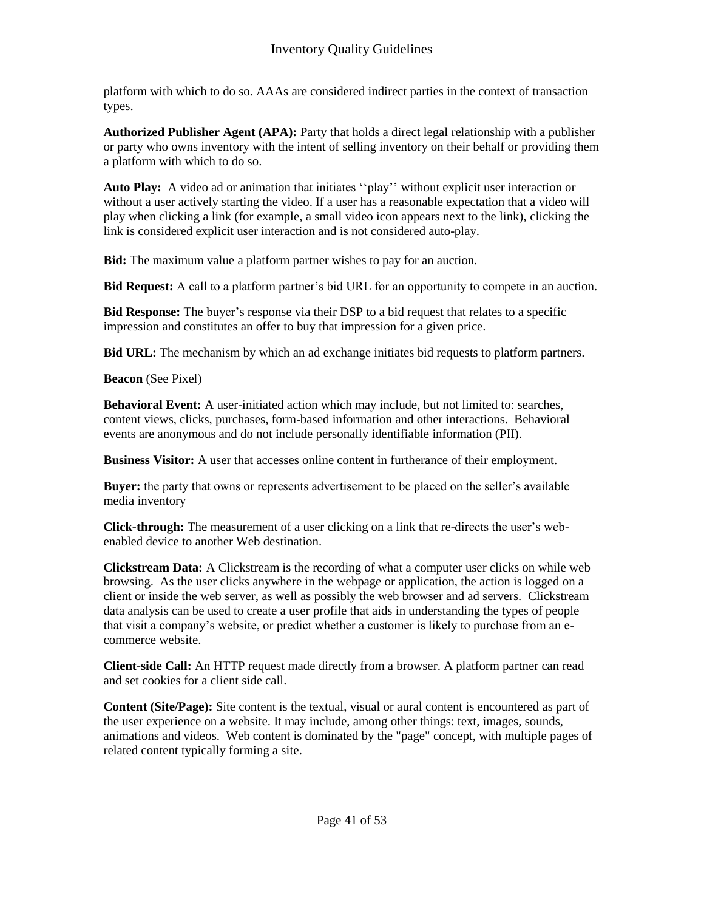platform with which to do so. AAAs are considered indirect parties in the context of transaction types.

**Authorized Publisher Agent (APA):** Party that holds a direct legal relationship with a publisher or party who owns inventory with the intent of selling inventory on their behalf or providing them a platform with which to do so.

**Auto Play:** A video ad or animation that initiates ''play'' without explicit user interaction or without a user actively starting the video. If a user has a reasonable expectation that a video will play when clicking a link (for example, a small video icon appears next to the link), clicking the link is considered explicit user interaction and is not considered auto-play.

**Bid:** The maximum value a platform partner wishes to pay for an auction.

**Bid Request:** A call to a platform partner's bid URL for an opportunity to compete in an auction.

**Bid Response:** The buyer's response via their DSP to a bid request that relates to a specific impression and constitutes an offer to buy that impression for a given price.

**Bid URL:** The mechanism by which an ad exchange initiates bid requests to platform partners.

**Beacon** (See Pixel)

**Behavioral Event:** A user-initiated action which may include, but not limited to: searches, content views, clicks, purchases, form-based information and other interactions. Behavioral events are anonymous and do not include personally identifiable information (PII).

**Business Visitor:** A user that accesses online content in furtherance of their employment.

**Buyer:** the party that owns or represents advertisement to be placed on the seller's available media inventory

**Click-through:** The measurement of a user clicking on a link that re-directs the user's webenabled device to another Web destination.

**Clickstream Data:** A Clickstream is the recording of what a computer user clicks on while web browsing. As the user clicks anywhere in the webpage or application, the action is logged on a client or inside the web server, as well as possibly the web browser and ad servers. Clickstream data analysis can be used to create a user profile that aids in understanding the types of people that visit a company's website, or predict whether a customer is likely to purchase from an ecommerce website.

**Client-side Call:** An HTTP request made directly from a browser. A platform partner can read and set cookies for a client side call.

**Content (Site/Page):** Site content is the textual, visual or aural content is encountered as part of the user experience on a website. It may include, among other things: text, images, sounds, animations and videos. Web content is dominated by the "page" concept, with multiple pages of related content typically forming a site.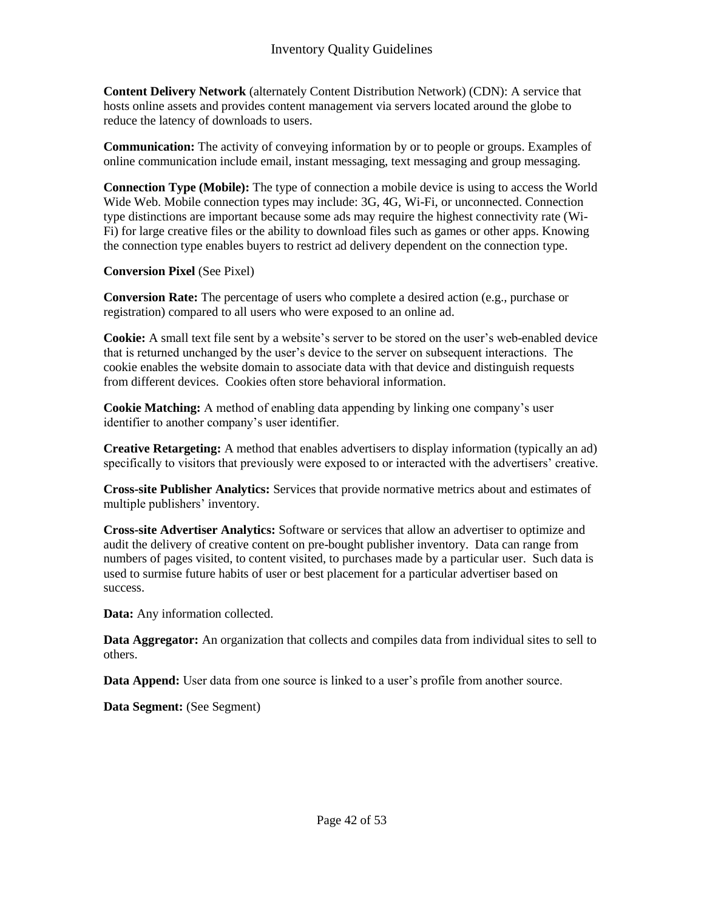**Content Delivery Network** (alternately Content Distribution Network) (CDN): A service that hosts online assets and provides content management via servers located around the globe to reduce the latency of downloads to users.

**Communication:** The activity of conveying information by or to people or groups. Examples of online communication include email, instant messaging, text messaging and group messaging.

**Connection Type (Mobile):** The type of connection a mobile device is using to access the World Wide Web. Mobile connection types may include: 3G, 4G, Wi-Fi, or unconnected. Connection type distinctions are important because some ads may require the highest connectivity rate (Wi-Fi) for large creative files or the ability to download files such as games or other apps. Knowing the connection type enables buyers to restrict ad delivery dependent on the connection type.

#### **Conversion Pixel** (See Pixel)

**Conversion Rate:** The percentage of users who complete a desired action (e.g., purchase or registration) compared to all users who were exposed to an online ad.

**Cookie:** A small text file sent by a website's server to be stored on the user's web-enabled device that is returned unchanged by the user's device to the server on subsequent interactions. The cookie enables the website domain to associate data with that device and distinguish requests from different devices. Cookies often store behavioral information.

**Cookie Matching:** A method of enabling data appending by linking one company's user identifier to another company's user identifier.

**Creative Retargeting:** A method that enables advertisers to display information (typically an ad) specifically to visitors that previously were exposed to or interacted with the advertisers' creative.

**Cross-site Publisher Analytics:** Services that provide normative metrics about and estimates of multiple publishers' inventory.

**Cross-site Advertiser Analytics:** Software or services that allow an advertiser to optimize and audit the delivery of creative content on pre-bought publisher inventory. Data can range from numbers of pages visited, to content visited, to purchases made by a particular user. Such data is used to surmise future habits of user or best placement for a particular advertiser based on success.

**Data:** Any information collected.

**Data Aggregator:** An organization that collects and compiles data from individual sites to sell to others.

**Data Append:** User data from one source is linked to a user's profile from another source.

**Data Segment:** (See Segment)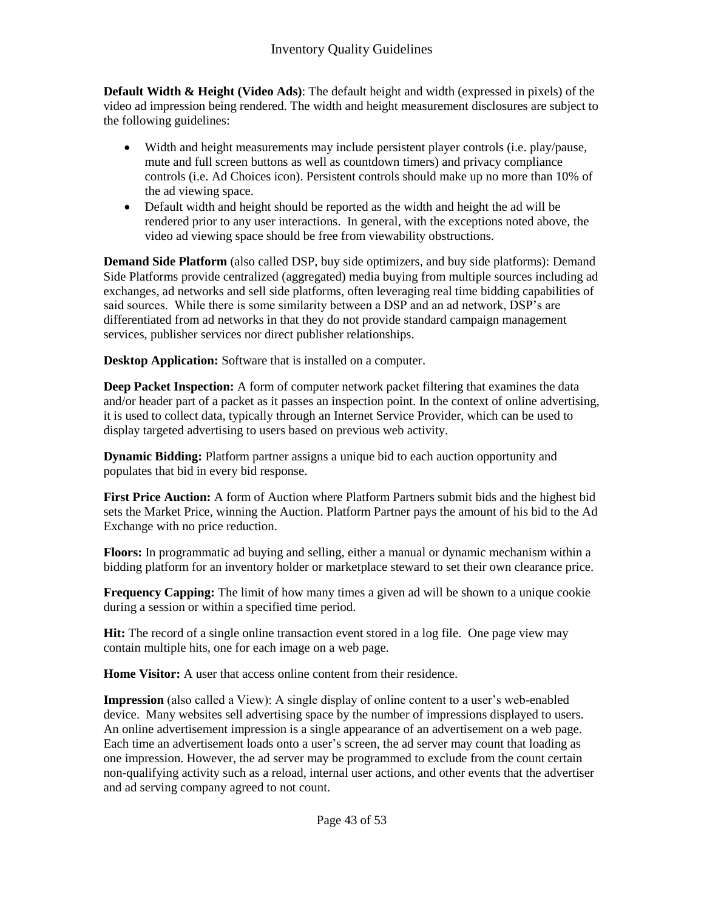**Default Width & Height (Video Ads)**: The default height and width (expressed in pixels) of the video ad impression being rendered. The width and height measurement disclosures are subject to the following guidelines:

- Width and height measurements may include persistent player controls (i.e. play/pause, mute and full screen buttons as well as countdown timers) and privacy compliance controls (i.e. Ad Choices icon). Persistent controls should make up no more than 10% of the ad viewing space.
- Default width and height should be reported as the width and height the ad will be rendered prior to any user interactions. In general, with the exceptions noted above, the video ad viewing space should be free from viewability obstructions.

**Demand Side Platform** (also called DSP, buy side optimizers, and buy side platforms): Demand Side Platforms provide centralized (aggregated) media buying from multiple sources including ad exchanges, ad networks and sell side platforms, often leveraging real time bidding capabilities of said sources. While there is some similarity between a DSP and an ad network, DSP's are differentiated from ad networks in that they do not provide standard campaign management services, publisher services nor direct publisher relationships.

**Desktop Application:** Software that is installed on a computer.

**Deep Packet Inspection:** A form of computer network packet filtering that examines the data and/or header part of a packet as it passes an inspection point. In the context of online advertising, it is used to collect data, typically through an Internet Service Provider, which can be used to display targeted advertising to users based on previous web activity.

**Dynamic Bidding:** Platform partner assigns a unique bid to each auction opportunity and populates that bid in every bid response.

**First Price Auction:** A form of Auction where Platform Partners submit bids and the highest bid sets the Market Price, winning the Auction. Platform Partner pays the amount of his bid to the Ad Exchange with no price reduction.

**Floors:** In programmatic ad buying and selling, either a manual or dynamic mechanism within a bidding platform for an inventory holder or marketplace steward to set their own clearance price.

**Frequency Capping:** The limit of how many times a given ad will be shown to a unique cookie during a session or within a specified time period.

**Hit:** The record of a single online transaction event stored in a log file. One page view may contain multiple hits, one for each image on a web page.

**Home Visitor:** A user that access online content from their residence.

**Impression** (also called a View): A single display of online content to a user's web-enabled device. Many websites sell advertising space by the number of impressions displayed to users. An online advertisement impression is a single appearance of an advertisement on a web page. Each time an advertisement loads onto a user's screen, the ad server may count that loading as one impression. However, the ad server may be programmed to exclude from the count certain non-qualifying activity such as a reload, internal user actions, and other events that the advertiser and ad serving company agreed to not count.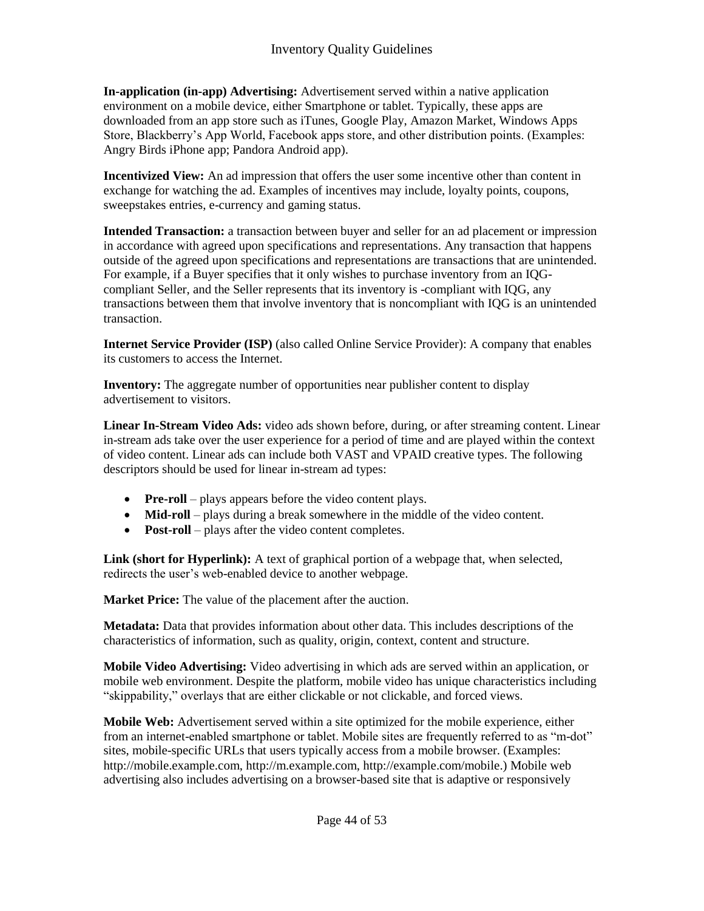**In-application (in-app) Advertising:** Advertisement served within a native application environment on a mobile device, either Smartphone or tablet. Typically, these apps are downloaded from an app store such as iTunes, Google Play, Amazon Market, Windows Apps Store, Blackberry's App World, Facebook apps store, and other distribution points. (Examples: Angry Birds iPhone app; Pandora Android app).

**Incentivized View:** An ad impression that offers the user some incentive other than content in exchange for watching the ad. Examples of incentives may include, loyalty points, coupons, sweepstakes entries, e-currency and gaming status.

**Intended Transaction:** a transaction between buyer and seller for an ad placement or impression in accordance with agreed upon specifications and representations. Any transaction that happens outside of the agreed upon specifications and representations are transactions that are unintended. For example, if a Buyer specifies that it only wishes to purchase inventory from an IQGcompliant Seller, and the Seller represents that its inventory is -compliant with IQG, any transactions between them that involve inventory that is noncompliant with IQG is an unintended transaction.

**Internet Service Provider (ISP)** (also called Online Service Provider): A company that enables its customers to access the Internet.

**Inventory:** The aggregate number of opportunities near publisher content to display advertisement to visitors.

**Linear In-Stream Video Ads:** video ads shown before, during, or after streaming content. Linear in-stream ads take over the user experience for a period of time and are played within the context of video content. Linear ads can include both VAST and VPAID creative types. The following descriptors should be used for linear in-stream ad types:

- **Pre-roll** plays appears before the video content plays.
- **Mid-roll** plays during a break somewhere in the middle of the video content.
- **Post-roll** plays after the video content completes.

Link (short for Hyperlink): A text of graphical portion of a webpage that, when selected, redirects the user's web-enabled device to another webpage.

**Market Price:** The value of the placement after the auction.

**Metadata:** Data that provides information about other data. This includes descriptions of the characteristics of information, such as quality, origin, context, content and structure.

**Mobile Video Advertising:** Video advertising in which ads are served within an application, or mobile web environment. Despite the platform, mobile video has unique characteristics including "skippability," overlays that are either clickable or not clickable, and forced views.

**Mobile Web:** Advertisement served within a site optimized for the mobile experience, either from an internet-enabled smartphone or tablet. Mobile sites are frequently referred to as "m-dot" sites, mobile-specific URLs that users typically access from a mobile browser. (Examples: http://mobile.example.com, http://m.example.com, http://example.com/mobile.) Mobile web advertising also includes advertising on a browser-based site that is adaptive or responsively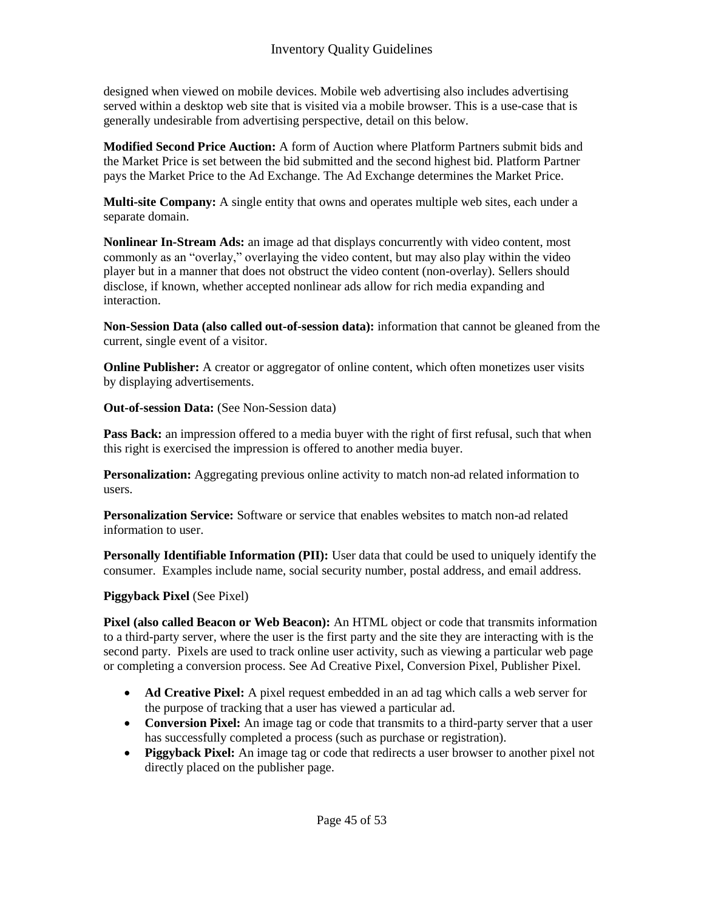designed when viewed on mobile devices. Mobile web advertising also includes advertising served within a desktop web site that is visited via a mobile browser. This is a use-case that is generally undesirable from advertising perspective, detail on this below.

**Modified Second Price Auction:** A form of Auction where Platform Partners submit bids and the Market Price is set between the bid submitted and the second highest bid. Platform Partner pays the Market Price to the Ad Exchange. The Ad Exchange determines the Market Price.

**Multi-site Company:** A single entity that owns and operates multiple web sites, each under a separate domain.

**Nonlinear In-Stream Ads:** an image ad that displays concurrently with video content, most commonly as an "overlay," overlaying the video content, but may also play within the video player but in a manner that does not obstruct the video content (non-overlay). Sellers should disclose, if known, whether accepted nonlinear ads allow for rich media expanding and interaction.

**Non-Session Data (also called out-of-session data):** information that cannot be gleaned from the current, single event of a visitor.

**Online Publisher:** A creator or aggregator of online content, which often monetizes user visits by displaying advertisements.

**Out-of-session Data:** (See Non-Session data)

**Pass Back:** an impression offered to a media buyer with the right of first refusal, such that when this right is exercised the impression is offered to another media buyer.

**Personalization:** Aggregating previous online activity to match non-ad related information to users.

**Personalization Service:** Software or service that enables websites to match non-ad related information to user.

**Personally Identifiable Information (PII):** User data that could be used to uniquely identify the consumer. Examples include name, social security number, postal address, and email address.

#### **Piggyback Pixel** (See Pixel)

**Pixel (also called Beacon or Web Beacon):** An HTML object or code that transmits information to a third-party server, where the user is the first party and the site they are interacting with is the second party. Pixels are used to track online user activity, such as viewing a particular web page or completing a conversion process. See Ad Creative Pixel, Conversion Pixel, Publisher Pixel.

- **Ad Creative Pixel:** A pixel request embedded in an ad tag which calls a web server for the purpose of tracking that a user has viewed a particular ad.
- Conversion Pixel: An image tag or code that transmits to a third-party server that a user has successfully completed a process (such as purchase or registration).
- **Piggyback Pixel:** An image tag or code that redirects a user browser to another pixel not directly placed on the publisher page.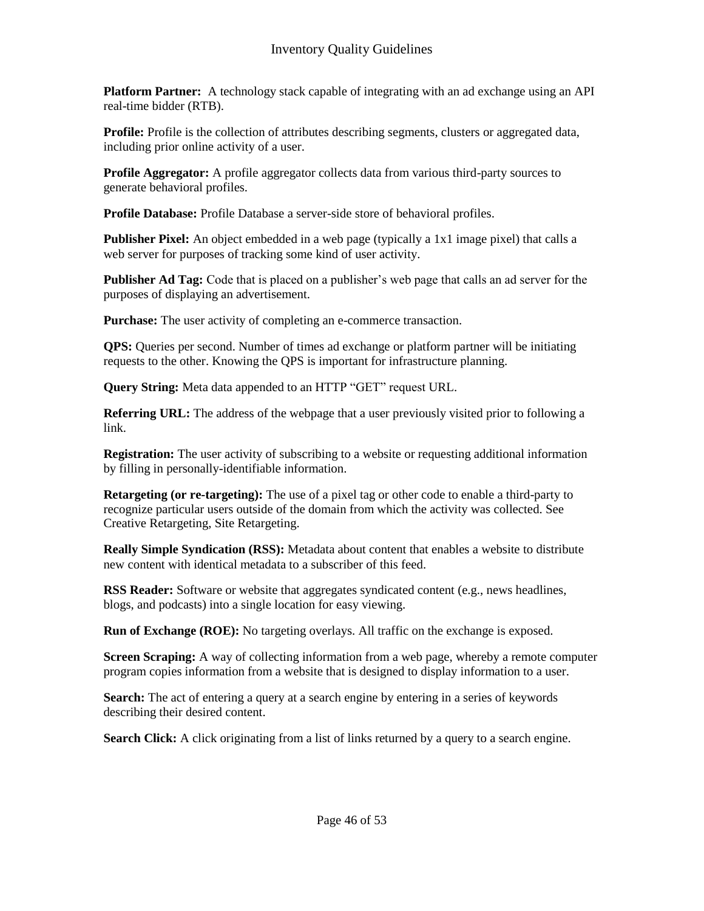**Platform Partner:** A technology stack capable of integrating with an ad exchange using an API real-time bidder (RTB).

**Profile:** Profile is the collection of attributes describing segments, clusters or aggregated data, including prior online activity of a user.

**Profile Aggregator:** A profile aggregator collects data from various third-party sources to generate behavioral profiles.

**Profile Database:** Profile Database a server-side store of behavioral profiles.

**Publisher Pixel:** An object embedded in a web page (typically a 1x1 image pixel) that calls a web server for purposes of tracking some kind of user activity.

**Publisher Ad Tag:** Code that is placed on a publisher's web page that calls an ad server for the purposes of displaying an advertisement.

**Purchase:** The user activity of completing an e-commerce transaction.

**QPS:** Queries per second. Number of times ad exchange or platform partner will be initiating requests to the other. Knowing the QPS is important for infrastructure planning.

**Query String:** Meta data appended to an HTTP "GET" request URL.

**Referring URL:** The address of the webpage that a user previously visited prior to following a link.

**Registration:** The user activity of subscribing to a website or requesting additional information by filling in personally-identifiable information.

**Retargeting (or re-targeting):** The use of a pixel tag or other code to enable a third-party to recognize particular users outside of the domain from which the activity was collected. See Creative Retargeting, Site Retargeting.

**Really Simple Syndication (RSS):** Metadata about content that enables a website to distribute new content with identical metadata to a subscriber of this feed.

**RSS Reader:** Software or website that aggregates syndicated content (e.g., news headlines, blogs, and podcasts) into a single location for easy viewing.

**Run of Exchange (ROE):** No targeting overlays. All traffic on the exchange is exposed.

**Screen Scraping:** A way of collecting information from a web page, whereby a remote computer program copies information from a website that is designed to display information to a user.

**Search:** The act of entering a query at a search engine by entering in a series of keywords describing their desired content.

**Search Click:** A click originating from a list of links returned by a query to a search engine.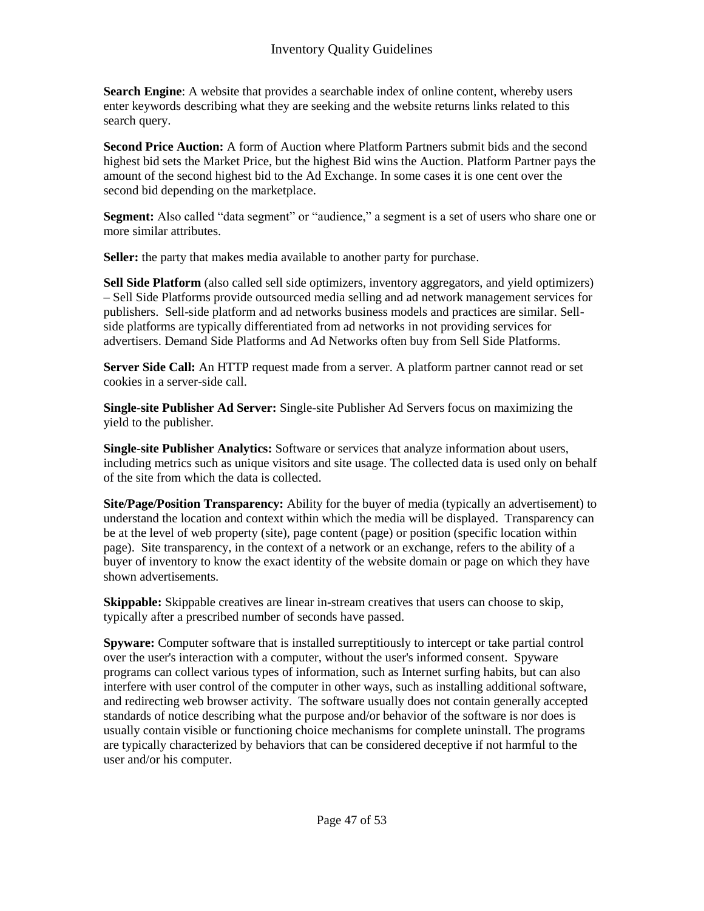**Search Engine**: A website that provides a searchable index of online content, whereby users enter keywords describing what they are seeking and the website returns links related to this search query.

**Second Price Auction:** A form of Auction where Platform Partners submit bids and the second highest bid sets the Market Price, but the highest Bid wins the Auction. Platform Partner pays the amount of the second highest bid to the Ad Exchange. In some cases it is one cent over the second bid depending on the marketplace.

**Segment:** Also called "data segment" or "audience," a segment is a set of users who share one or more similar attributes.

**Seller:** the party that makes media available to another party for purchase.

**Sell Side Platform** (also called sell side optimizers, inventory aggregators, and yield optimizers) – Sell Side Platforms provide outsourced media selling and ad network management services for publishers. Sell-side platform and ad networks business models and practices are similar. Sellside platforms are typically differentiated from ad networks in not providing services for advertisers. Demand Side Platforms and Ad Networks often buy from Sell Side Platforms.

**Server Side Call:** An HTTP request made from a server. A platform partner cannot read or set cookies in a server-side call.

**Single-site Publisher Ad Server:** Single-site Publisher Ad Servers focus on maximizing the yield to the publisher.

**Single-site Publisher Analytics:** Software or services that analyze information about users, including metrics such as unique visitors and site usage. The collected data is used only on behalf of the site from which the data is collected.

**Site/Page/Position Transparency:** Ability for the buyer of media (typically an advertisement) to understand the location and context within which the media will be displayed. Transparency can be at the level of web property (site), page content (page) or position (specific location within page). Site transparency, in the context of a network or an exchange, refers to the ability of a buyer of inventory to know the exact identity of the website domain or page on which they have shown advertisements.

**Skippable:** Skippable creatives are linear in-stream creatives that users can choose to skip, typically after a prescribed number of seconds have passed.

**Spyware:** Computer software that is installed surreptitiously to intercept or take partial control over the user's interaction with a computer, without the user's informed consent. Spyware programs can collect various types of information, such as Internet surfing habits, but can also interfere with user control of the computer in other ways, such as installing additional software, and redirecting web browser activity. The software usually does not contain generally accepted standards of notice describing what the purpose and/or behavior of the software is nor does is usually contain visible or functioning choice mechanisms for complete uninstall. The programs are typically characterized by behaviors that can be considered deceptive if not harmful to the user and/or his computer.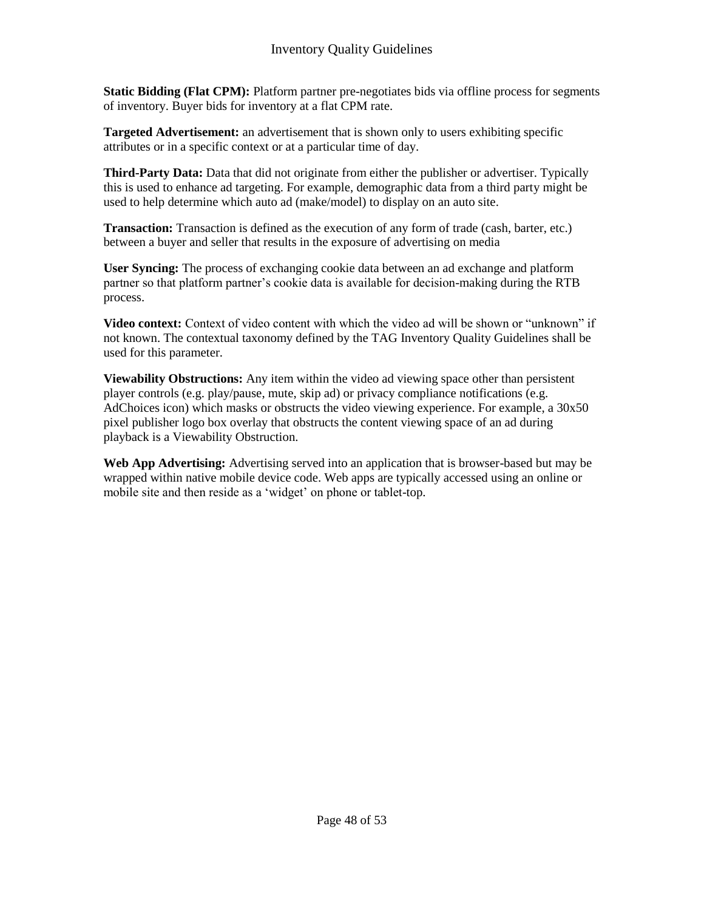**Static Bidding (Flat CPM):** Platform partner pre-negotiates bids via offline process for segments of inventory. Buyer bids for inventory at a flat CPM rate.

**Targeted Advertisement:** an advertisement that is shown only to users exhibiting specific attributes or in a specific context or at a particular time of day.

**Third-Party Data:** Data that did not originate from either the publisher or advertiser. Typically this is used to enhance ad targeting. For example, demographic data from a third party might be used to help determine which auto ad (make/model) to display on an auto site.

**Transaction:** Transaction is defined as the execution of any form of trade (cash, barter, etc.) between a buyer and seller that results in the exposure of advertising on media

**User Syncing:** The process of exchanging cookie data between an ad exchange and platform partner so that platform partner's cookie data is available for decision-making during the RTB process.

**Video context:** Context of video content with which the video ad will be shown or "unknown" if not known. The contextual taxonomy defined by the TAG Inventory Quality Guidelines shall be used for this parameter.

**Viewability Obstructions:** Any item within the video ad viewing space other than persistent player controls (e.g. play/pause, mute, skip ad) or privacy compliance notifications (e.g. AdChoices icon) which masks or obstructs the video viewing experience. For example, a 30x50 pixel publisher logo box overlay that obstructs the content viewing space of an ad during playback is a Viewability Obstruction.

**Web App Advertising:** Advertising served into an application that is browser-based but may be wrapped within native mobile device code. Web apps are typically accessed using an online or mobile site and then reside as a 'widget' on phone or tablet-top.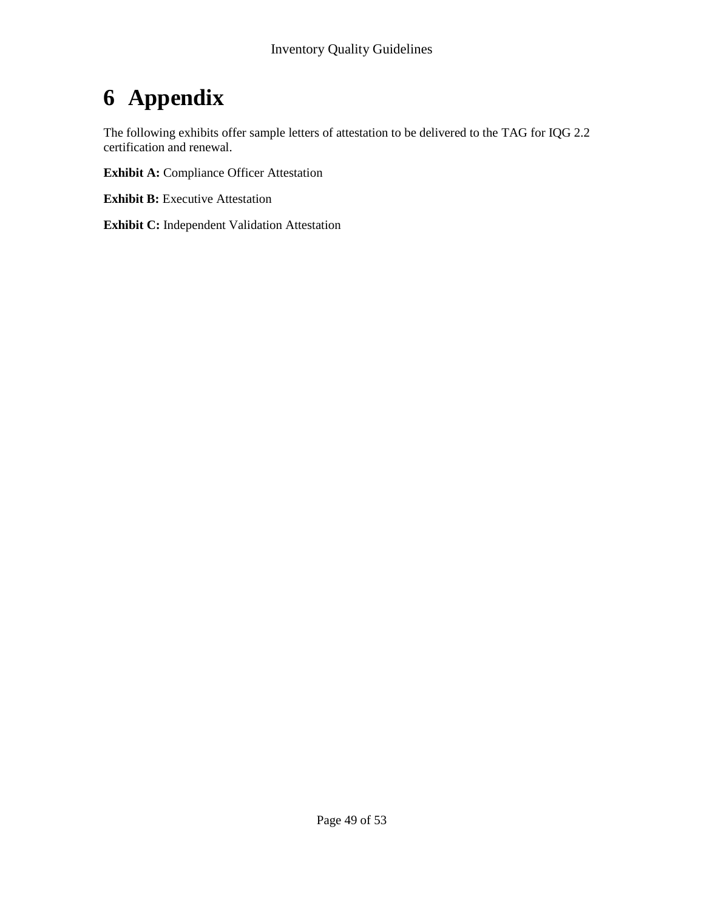# **6 Appendix**

The following exhibits offer sample letters of attestation to be delivered to the TAG for IQG 2.2 certification and renewal.

**Exhibit A:** Compliance Officer Attestation

**Exhibit B:** Executive Attestation

**Exhibit C:** Independent Validation Attestation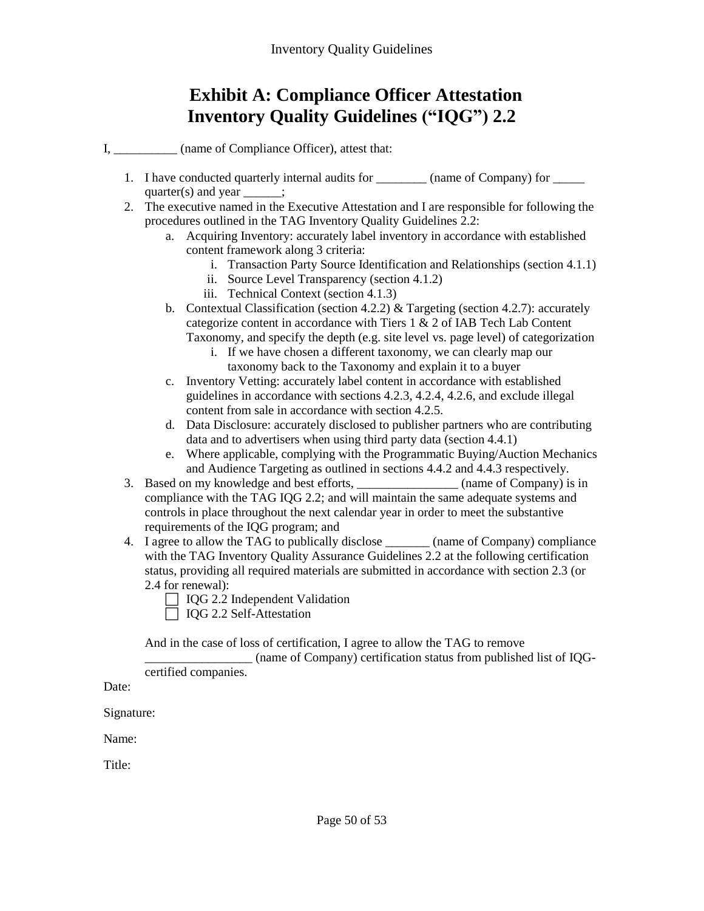## **Exhibit A: Compliance Officer Attestation Inventory Quality Guidelines ("IQG") 2.2**

I,  $\qquad \qquad$  (name of Compliance Officer), attest that:

- 1. I have conducted quarterly internal audits for \_\_\_\_\_\_\_\_ (name of Company) for \_\_\_\_\_\_ quarter(s) and year  $\qquad$  :
- 2. The executive named in the Executive Attestation and I are responsible for following the procedures outlined in the TAG Inventory Quality Guidelines 2.2:
	- a. Acquiring Inventory: accurately label inventory in accordance with established content framework along 3 criteria:
		- i. Transaction Party Source Identification and Relationships (section 4.1.1)
		- ii. Source Level Transparency (section 4.1.2)
		- iii. Technical Context (section 4.1.3)
	- b. Contextual Classification (section 4.2.2) & Targeting (section 4.2.7): accurately categorize content in accordance with Tiers 1 & 2 of IAB Tech Lab Content Taxonomy, and specify the depth (e.g. site level vs. page level) of categorization
		- i. If we have chosen a different taxonomy, we can clearly map our taxonomy back to the Taxonomy and explain it to a buyer
	- c. Inventory Vetting: accurately label content in accordance with established guidelines in accordance with sections 4.2.3, 4.2.4, 4.2.6, and exclude illegal content from sale in accordance with section 4.2.5.
	- d. Data Disclosure: accurately disclosed to publisher partners who are contributing data and to advertisers when using third party data (section 4.4.1)
	- e. Where applicable, complying with the Programmatic Buying/Auction Mechanics and Audience Targeting as outlined in sections 4.4.2 and 4.4.3 respectively.
- 3. Based on my knowledge and best efforts,  $\qquad \qquad$  (name of Company) is in compliance with the TAG IQG 2.2; and will maintain the same adequate systems and controls in place throughout the next calendar year in order to meet the substantive requirements of the IQG program; and
- 4. I agree to allow the TAG to publically disclose \_\_\_\_\_\_\_ (name of Company) compliance with the TAG Inventory Quality Assurance Guidelines 2.2 at the following certification status, providing all required materials are submitted in accordance with section 2.3 (or 2.4 for renewal):
	- $\Box$  IQG 2.2 Independent Validation
	- □ IQG 2.2 Self-Attestation

And in the case of loss of certification, I agree to allow the TAG to remove

\_\_\_\_\_\_\_\_\_\_\_\_\_\_\_\_\_ (name of Company) certification status from published list of IQGcertified companies.

Date:

Signature:

Name:

Title: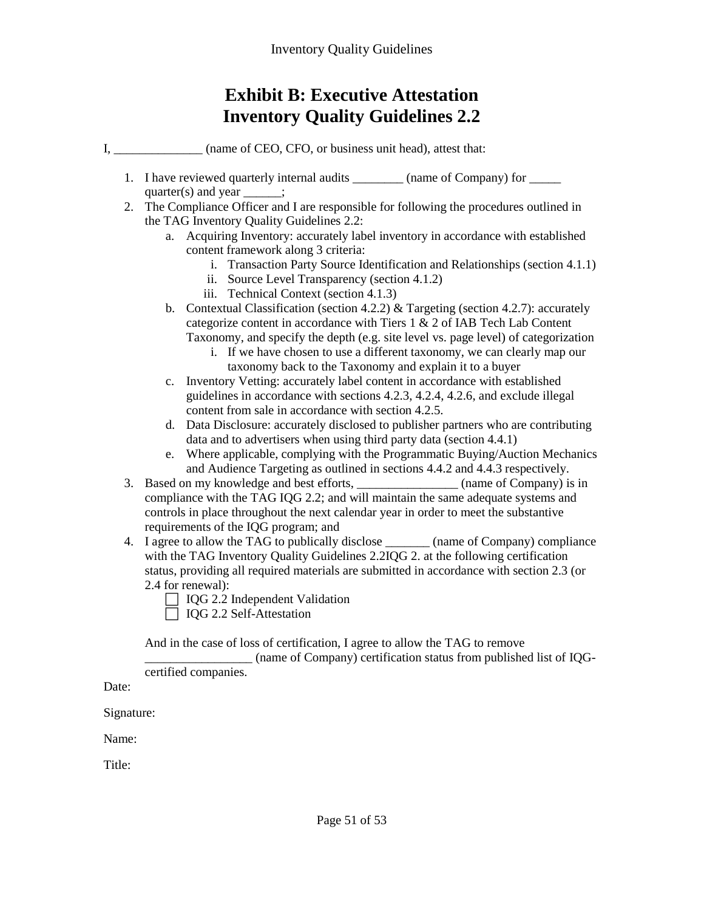## **Exhibit B: Executive Attestation Inventory Quality Guidelines 2.2**

I,  $\Box$  (name of CEO, CFO, or business unit head), attest that:

- 1. I have reviewed quarterly internal audits \_\_\_\_\_\_\_\_\_ (name of Company) for \_\_\_\_\_\_ quarter(s) and year  $\qquad$  :
- 2. The Compliance Officer and I are responsible for following the procedures outlined in the TAG Inventory Quality Guidelines 2.2:
	- a. Acquiring Inventory: accurately label inventory in accordance with established content framework along 3 criteria:
		- i. Transaction Party Source Identification and Relationships (section 4.1.1)
		- ii. Source Level Transparency (section 4.1.2)
		- iii. Technical Context (section 4.1.3)
	- b. Contextual Classification (section 4.2.2) & Targeting (section 4.2.7): accurately categorize content in accordance with Tiers 1 & 2 of IAB Tech Lab Content Taxonomy, and specify the depth (e.g. site level vs. page level) of categorization
		- i. If we have chosen to use a different taxonomy, we can clearly map our taxonomy back to the Taxonomy and explain it to a buyer
	- c. Inventory Vetting: accurately label content in accordance with established guidelines in accordance with sections 4.2.3, 4.2.4, 4.2.6, and exclude illegal content from sale in accordance with section 4.2.5.
	- d. Data Disclosure: accurately disclosed to publisher partners who are contributing data and to advertisers when using third party data (section 4.4.1)
	- e. Where applicable, complying with the Programmatic Buying/Auction Mechanics and Audience Targeting as outlined in sections 4.4.2 and 4.4.3 respectively.
- 3. Based on my knowledge and best efforts,  $\qquad \qquad$  (name of Company) is in compliance with the TAG IQG 2.2; and will maintain the same adequate systems and controls in place throughout the next calendar year in order to meet the substantive requirements of the IQG program; and
- 4. I agree to allow the TAG to publically disclose \_\_\_\_\_\_\_ (name of Company) compliance with the TAG Inventory Quality Guidelines 2.2IQG 2. at the following certification status, providing all required materials are submitted in accordance with section 2.3 (or 2.4 for renewal):
	- $\Box$  IQG 2.2 Independent Validation
	- □ IQG 2.2 Self-Attestation

And in the case of loss of certification, I agree to allow the TAG to remove

\_\_\_\_\_\_\_\_\_\_\_\_\_\_\_\_\_ (name of Company) certification status from published list of IQGcertified companies.

Date:

Signature:

Name:

Title: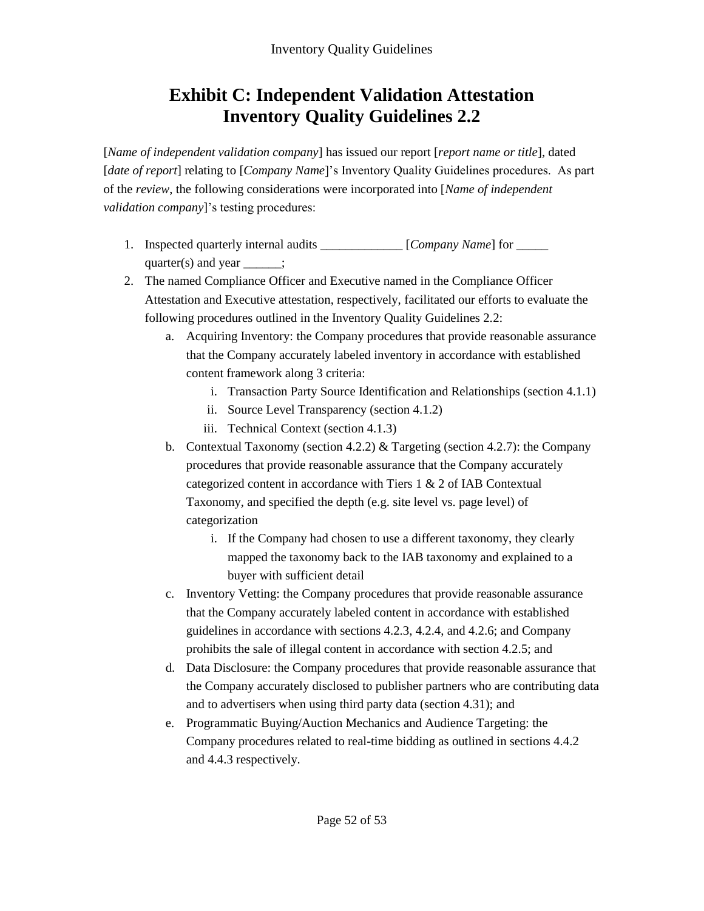## **Exhibit C: Independent Validation Attestation Inventory Quality Guidelines 2.2**

[*Name of independent validation company*] has issued our report [*report name or title*], dated [*date of report*] relating to [*Company Name*]'s Inventory Quality Guidelines procedures. As part of the *review*, the following considerations were incorporated into [*Name of independent validation company*]'s testing procedures:

- 1. Inspected quarterly internal audits \_\_\_\_\_\_\_\_\_\_\_\_\_ [*Company Name*] for \_\_\_\_\_ quarter(s) and year  $\qquad$  :
- 2. The named Compliance Officer and Executive named in the Compliance Officer Attestation and Executive attestation, respectively, facilitated our efforts to evaluate the following procedures outlined in the Inventory Quality Guidelines 2.2:
	- a. Acquiring Inventory: the Company procedures that provide reasonable assurance that the Company accurately labeled inventory in accordance with established content framework along 3 criteria:
		- i. Transaction Party Source Identification and Relationships (section 4.1.1)
		- ii. Source Level Transparency (section 4.1.2)
		- iii. Technical Context (section 4.1.3)
	- b. Contextual Taxonomy (section 4.2.2) & Targeting (section 4.2.7): the Company procedures that provide reasonable assurance that the Company accurately categorized content in accordance with Tiers 1 & 2 of IAB Contextual Taxonomy, and specified the depth (e.g. site level vs. page level) of categorization
		- i. If the Company had chosen to use a different taxonomy, they clearly mapped the taxonomy back to the IAB taxonomy and explained to a buyer with sufficient detail
	- c. Inventory Vetting: the Company procedures that provide reasonable assurance that the Company accurately labeled content in accordance with established guidelines in accordance with sections 4.2.3, 4.2.4, and 4.2.6; and Company prohibits the sale of illegal content in accordance with section 4.2.5; and
	- d. Data Disclosure: the Company procedures that provide reasonable assurance that the Company accurately disclosed to publisher partners who are contributing data and to advertisers when using third party data (section 4.31); and
	- e. Programmatic Buying/Auction Mechanics and Audience Targeting: the Company procedures related to real-time bidding as outlined in sections 4.4.2 and 4.4.3 respectively.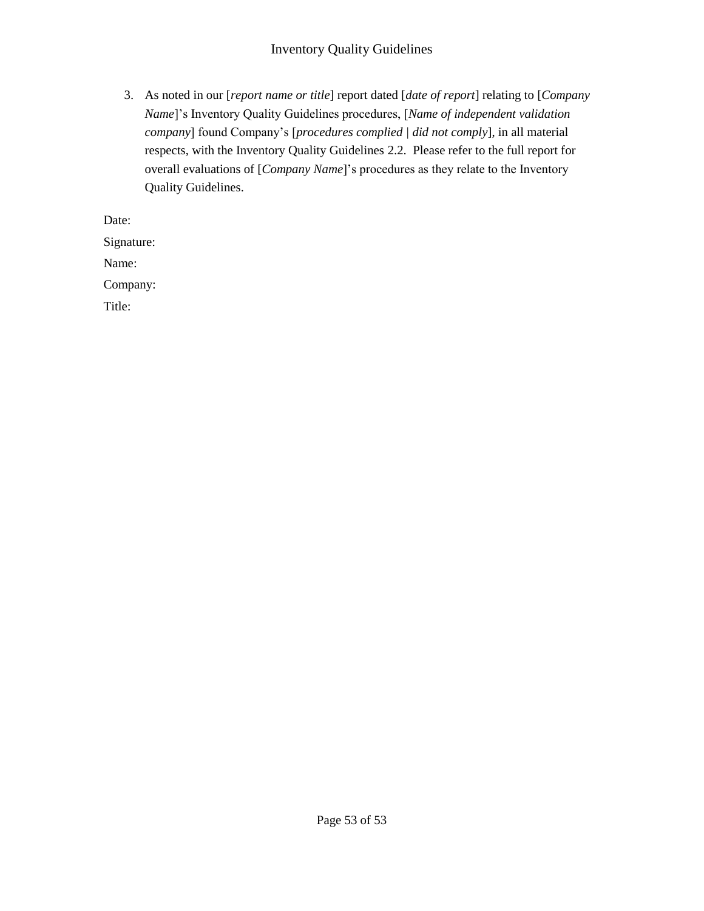#### Inventory Quality Guidelines

3. As noted in our [*report name or title*] report dated [*date of report*] relating to [*Company Name*]'s Inventory Quality Guidelines procedures, [*Name of independent validation company*] found Company's [*procedures complied | did not comply*], in all material respects, with the Inventory Quality Guidelines 2.2. Please refer to the full report for overall evaluations of [*Company Name*]'s procedures as they relate to the Inventory Quality Guidelines.

Date:

Signature:

Name:

Company:

Title: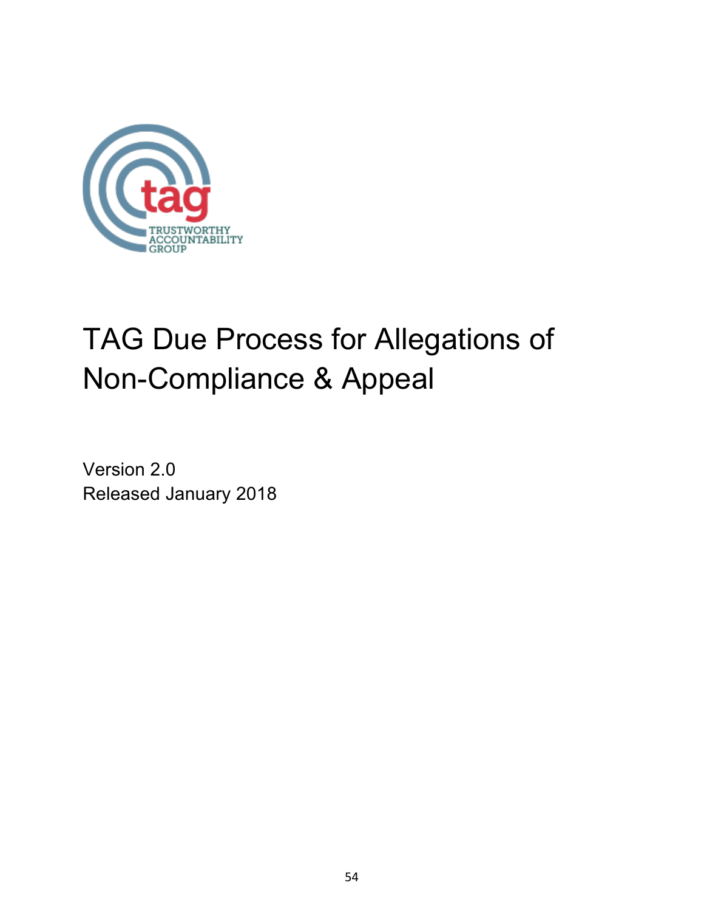

# TAG Due Process for Allegations of Non-Compliance & Appeal

Version 2.0 Released January 2018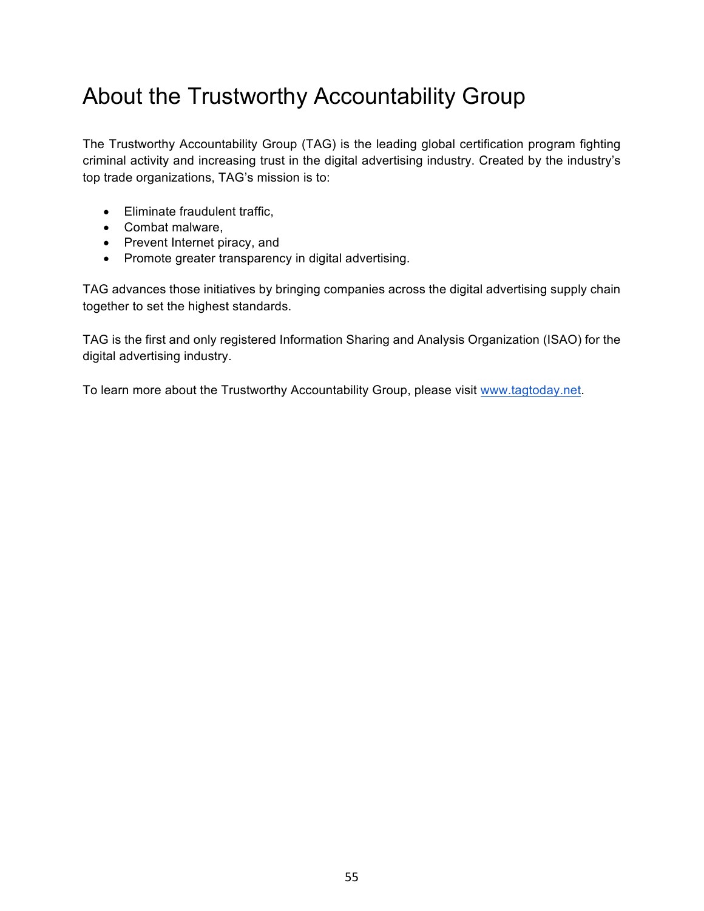# About the Trustworthy Accountability Group

The Trustworthy Accountability Group (TAG) is the leading global certification program fighting criminal activity and increasing trust in the digital advertising industry. Created by the industry's top trade organizations, TAG's mission is to:

- Eliminate fraudulent traffic,
- Combat malware,
- Prevent Internet piracy, and
- Promote greater transparency in digital advertising.

TAG advances those initiatives by bringing companies across the digital advertising supply chain together to set the highest standards.

TAG is the first and only registered Information Sharing and Analysis Organization (ISAO) for the digital advertising industry.

To learn more about the Trustworthy Accountability Group, please visit www.tagtoday.net.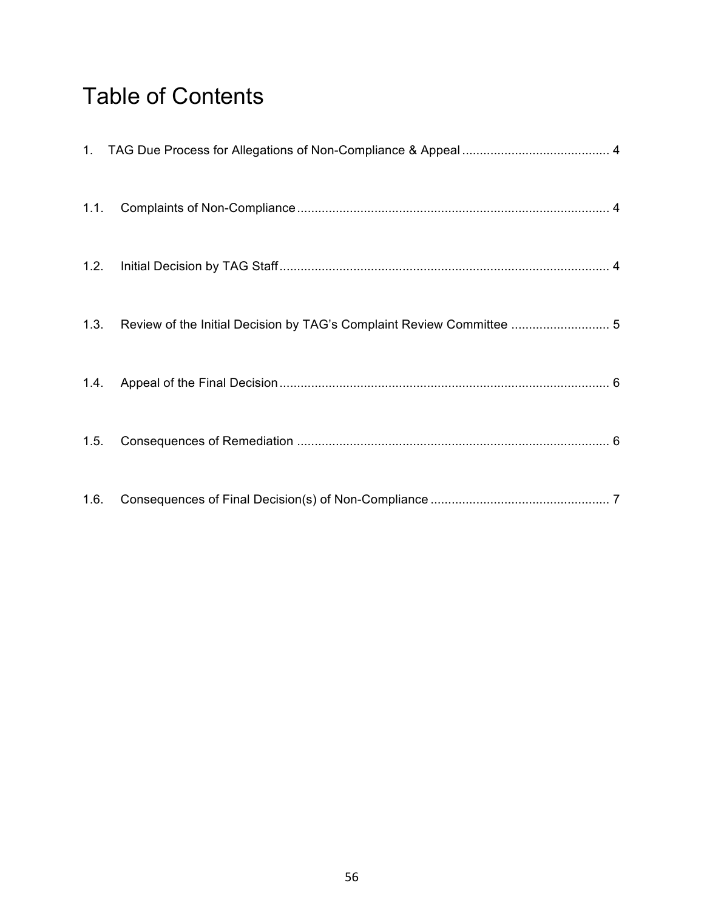# Table of Contents

|      | 1.3. Review of the Initial Decision by TAG's Complaint Review Committee  5 |  |
|------|----------------------------------------------------------------------------|--|
|      |                                                                            |  |
| 1.5. |                                                                            |  |
| 1.6. |                                                                            |  |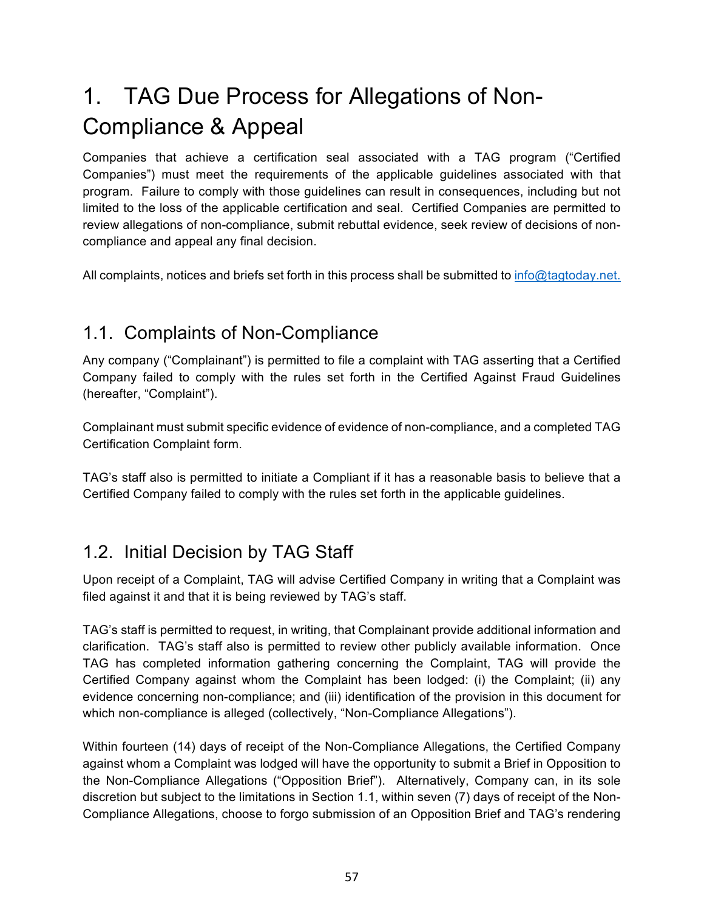# 1. TAG Due Process for Allegations of Non-Compliance & Appeal

Companies that achieve a certification seal associated with a TAG program ("Certified Companies") must meet the requirements of the applicable guidelines associated with that program. Failure to comply with those guidelines can result in consequences, including but not limited to the loss of the applicable certification and seal. Certified Companies are permitted to review allegations of non-compliance, submit rebuttal evidence, seek review of decisions of noncompliance and appeal any final decision.

All complaints, notices and briefs set forth in this process shall be submitted to info@tagtoday.net.

## 1.1. Complaints of Non-Compliance

Any company ("Complainant") is permitted to file a complaint with TAG asserting that a Certified Company failed to comply with the rules set forth in the Certified Against Fraud Guidelines (hereafter, "Complaint").

Complainant must submit specific evidence of evidence of non-compliance, and a completed TAG Certification Complaint form.

TAG's staff also is permitted to initiate a Compliant if it has a reasonable basis to believe that a Certified Company failed to comply with the rules set forth in the applicable guidelines.

## 1.2. Initial Decision by TAG Staff

Upon receipt of a Complaint, TAG will advise Certified Company in writing that a Complaint was filed against it and that it is being reviewed by TAG's staff.

TAG's staff is permitted to request, in writing, that Complainant provide additional information and clarification. TAG's staff also is permitted to review other publicly available information. Once TAG has completed information gathering concerning the Complaint, TAG will provide the Certified Company against whom the Complaint has been lodged: (i) the Complaint; (ii) any evidence concerning non-compliance; and (iii) identification of the provision in this document for which non-compliance is alleged (collectively, "Non-Compliance Allegations").

Within fourteen (14) days of receipt of the Non-Compliance Allegations, the Certified Company against whom a Complaint was lodged will have the opportunity to submit a Brief in Opposition to the Non-Compliance Allegations ("Opposition Brief"). Alternatively, Company can, in its sole discretion but subject to the limitations in Section 1.1, within seven (7) days of receipt of the Non-Compliance Allegations, choose to forgo submission of an Opposition Brief and TAG's rendering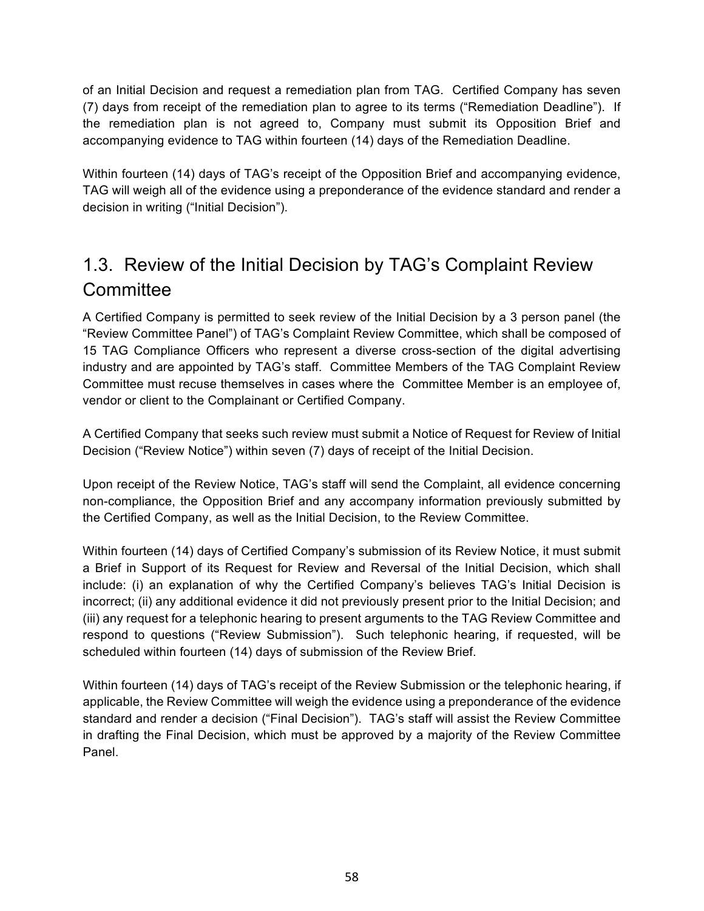of an Initial Decision and request a remediation plan from TAG. Certified Company has seven (7) days from receipt of the remediation plan to agree to its terms ("Remediation Deadline"). If the remediation plan is not agreed to, Company must submit its Opposition Brief and accompanying evidence to TAG within fourteen (14) days of the Remediation Deadline.

Within fourteen (14) days of TAG's receipt of the Opposition Brief and accompanying evidence, TAG will weigh all of the evidence using a preponderance of the evidence standard and render a decision in writing ("Initial Decision").

## 1.3. Review of the Initial Decision by TAG's Complaint Review **Committee**

A Certified Company is permitted to seek review of the Initial Decision by a 3 person panel (the "Review Committee Panel") of TAG's Complaint Review Committee, which shall be composed of 15 TAG Compliance Officers who represent a diverse cross-section of the digital advertising industry and are appointed by TAG's staff. Committee Members of the TAG Complaint Review Committee must recuse themselves in cases where the Committee Member is an employee of, vendor or client to the Complainant or Certified Company.

A Certified Company that seeks such review must submit a Notice of Request for Review of Initial Decision ("Review Notice") within seven (7) days of receipt of the Initial Decision.

Upon receipt of the Review Notice, TAG's staff will send the Complaint, all evidence concerning non-compliance, the Opposition Brief and any accompany information previously submitted by the Certified Company, as well as the Initial Decision, to the Review Committee.

Within fourteen (14) days of Certified Company's submission of its Review Notice, it must submit a Brief in Support of its Request for Review and Reversal of the Initial Decision, which shall include: (i) an explanation of why the Certified Company's believes TAG's Initial Decision is incorrect; (ii) any additional evidence it did not previously present prior to the Initial Decision; and (iii) any request for a telephonic hearing to present arguments to the TAG Review Committee and respond to questions ("Review Submission"). Such telephonic hearing, if requested, will be scheduled within fourteen (14) days of submission of the Review Brief.

Within fourteen (14) days of TAG's receipt of the Review Submission or the telephonic hearing, if applicable, the Review Committee will weigh the evidence using a preponderance of the evidence standard and render a decision ("Final Decision"). TAG's staff will assist the Review Committee in drafting the Final Decision, which must be approved by a majority of the Review Committee Panel.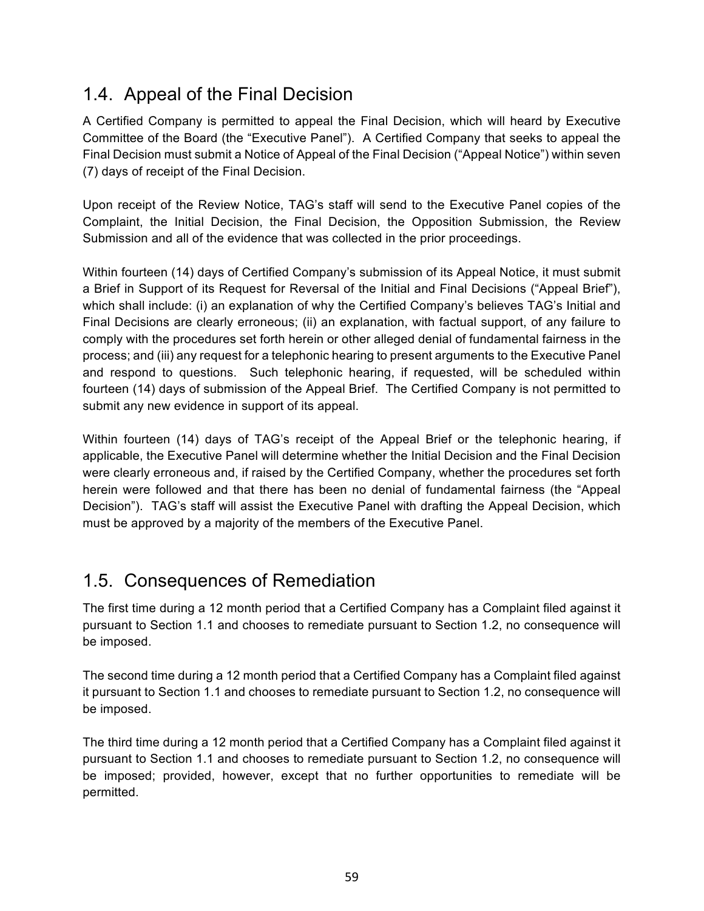## 1.4. Appeal of the Final Decision

A Certified Company is permitted to appeal the Final Decision, which will heard by Executive Committee of the Board (the "Executive Panel"). A Certified Company that seeks to appeal the Final Decision must submit a Notice of Appeal of the Final Decision ("Appeal Notice") within seven (7) days of receipt of the Final Decision.

Upon receipt of the Review Notice, TAG's staff will send to the Executive Panel copies of the Complaint, the Initial Decision, the Final Decision, the Opposition Submission, the Review Submission and all of the evidence that was collected in the prior proceedings.

Within fourteen (14) days of Certified Company's submission of its Appeal Notice, it must submit a Brief in Support of its Request for Reversal of the Initial and Final Decisions ("Appeal Brief"), which shall include: (i) an explanation of why the Certified Company's believes TAG's Initial and Final Decisions are clearly erroneous; (ii) an explanation, with factual support, of any failure to comply with the procedures set forth herein or other alleged denial of fundamental fairness in the process; and (iii) any request for a telephonic hearing to present arguments to the Executive Panel and respond to questions. Such telephonic hearing, if requested, will be scheduled within fourteen (14) days of submission of the Appeal Brief. The Certified Company is not permitted to submit any new evidence in support of its appeal.

Within fourteen (14) days of TAG's receipt of the Appeal Brief or the telephonic hearing, if applicable, the Executive Panel will determine whether the Initial Decision and the Final Decision were clearly erroneous and, if raised by the Certified Company, whether the procedures set forth herein were followed and that there has been no denial of fundamental fairness (the "Appeal Decision"). TAG's staff will assist the Executive Panel with drafting the Appeal Decision, which must be approved by a majority of the members of the Executive Panel.

## 1.5. Consequences of Remediation

The first time during a 12 month period that a Certified Company has a Complaint filed against it pursuant to Section 1.1 and chooses to remediate pursuant to Section 1.2, no consequence will be imposed.

The second time during a 12 month period that a Certified Company has a Complaint filed against it pursuant to Section 1.1 and chooses to remediate pursuant to Section 1.2, no consequence will be imposed.

The third time during a 12 month period that a Certified Company has a Complaint filed against it pursuant to Section 1.1 and chooses to remediate pursuant to Section 1.2, no consequence will be imposed; provided, however, except that no further opportunities to remediate will be permitted.